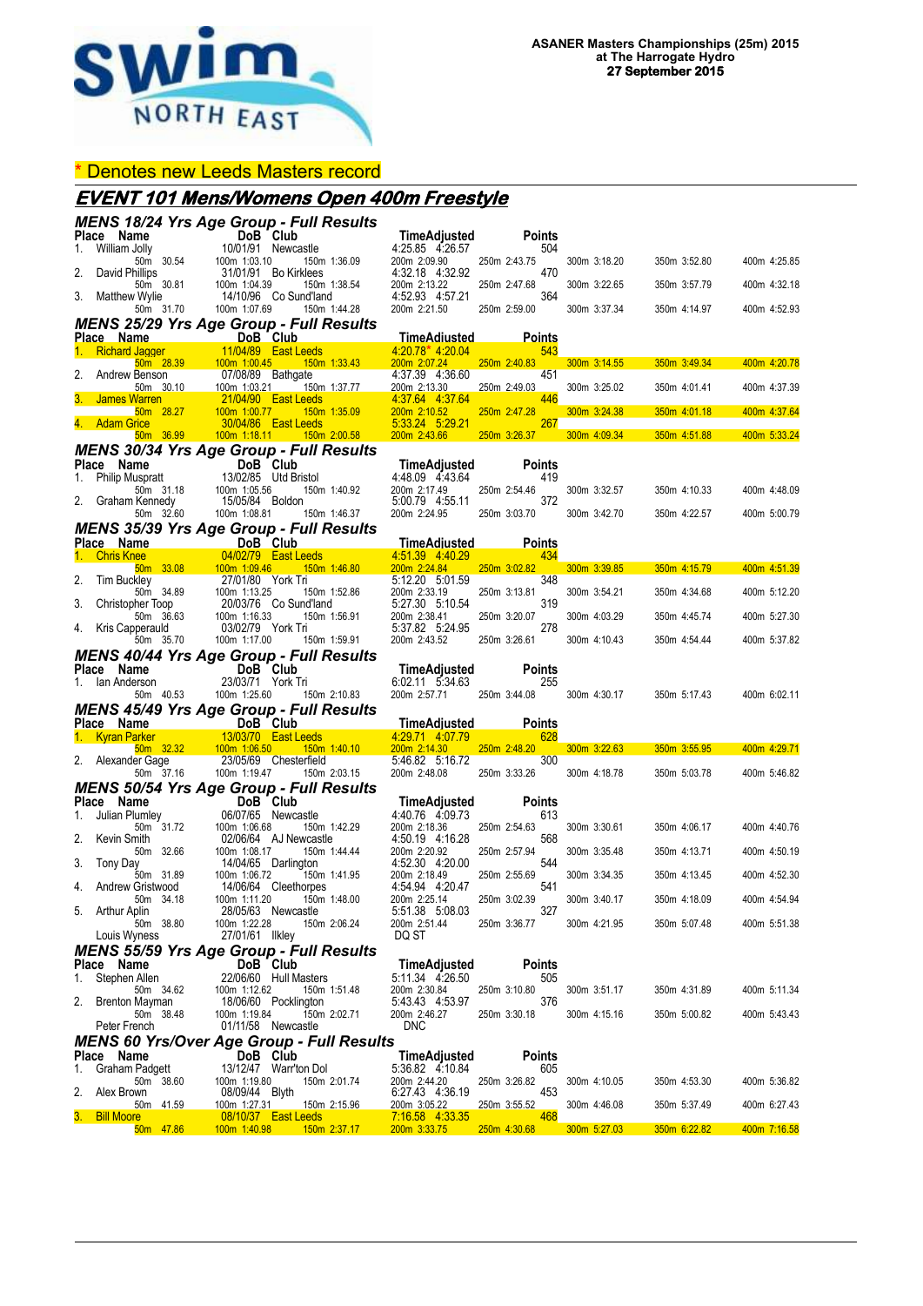

#### \* Denotes new Leeds Masters record

## **EVENT 101 Mens/Womens Open 400m Freestyle**

|    |                                                                                                                                                                                                              |                                                                 | <b>MENS 18/24 Yrs Age Group - Full Results</b>                                                                                                         |                                                        |                      |              |                           |              |
|----|--------------------------------------------------------------------------------------------------------------------------------------------------------------------------------------------------------------|-----------------------------------------------------------------|--------------------------------------------------------------------------------------------------------------------------------------------------------|--------------------------------------------------------|----------------------|--------------|---------------------------|--------------|
|    | Place Name<br>$\frac{1}{10}$                                                                                                                                                                                 | DoB Club                                                        |                                                                                                                                                        | $\lim_{4.25}$ as $\lim_{4.26}$ 57                      | <b>Points</b>        |              |                           |              |
| 1. | William Jolly<br>50m 30.54                                                                                                                                                                                   | 10/01/91 Newcastle<br>100m 1:03.10 150m<br>31/01/91 Bo Kirklees | 150m 1:36.09                                                                                                                                           | 4:25.85 4:26.57<br>200m 2:09.90                        | 504<br>250m 2:43.75  | 300m 3:18.20 | 350m 3:52.80              | 400m 4:25.85 |
|    | David Phillips<br>50m 30.81                                                                                                                                                                                  | 100m 1:04.39                                                    | 150m 1:38.54                                                                                                                                           | 4:32.18 4:32.92<br>200m 2:13.22                        | 470<br>250m 2:47.68  | 300m 3:22.65 | 350m 3:57.79              | 400m 4:32.18 |
| 3. | <b>Matthew Wylie</b><br>50m 31.70                                                                                                                                                                            | 100m 1:07.69                                                    | 14/10/96 Co Sund'land<br>150m 1:44.28                                                                                                                  | 4:52.93 4:57.21<br>200m 2:21.50                        | 364<br>250m 2:59.00  | 300m 3:37.34 | 350m 4:14.97              | 400m 4:52.93 |
|    | <b>MENS 25/29 Yrs Age Group - Full Results</b>                                                                                                                                                               |                                                                 |                                                                                                                                                        |                                                        |                      |              |                           |              |
|    | Place Name<br>1. Richard Jagger 11/04/89 East Leeds                                                                                                                                                          |                                                                 |                                                                                                                                                        | <u>TimeAdiusted</u><br>4:20.78* 4:20.04                | <u>Points</u><br>543 |              |                           |              |
|    |                                                                                                                                                                                                              |                                                                 | 50m 28.39 100m 1:00.45 150m 1:33.43                                                                                                                    | 200m 2:07.24                                           | 250m 2:40.83         |              | 300m 3:14.55 350m 3:49.34 | 400m 4:20.78 |
|    | Andrew Benson<br>50m 30.10                                                                                                                                                                                   | 07/08/89 Bathgate                                               | 100m 1:03.21   150m 1:37.77                                                                                                                            | 4:37.39 4:36.60<br>200m 2:13.30                        | 451<br>250m 2:49.03  | 300m 3:25.02 | 350m 4:01.41              | 400m 4:37.39 |
|    | James Warren                                                                                                                                                                                                 | <b>21/04/90 East Leeds</b>                                      | $\mathcal{L}(\mathcal{L})$ and $\mathcal{L}(\mathcal{L})$ and $\mathcal{L}(\mathcal{L})$ and $\mathcal{L}(\mathcal{L})$                                | 4.37.64 4.37.64                                        | 446                  |              |                           |              |
|    | 50m 28.27<br>4. Adam Grice                                                                                                                                                                                   | 100m 1:00.77                                                    | 150m 1:35.09<br>30/04/86  East Leeds<br>and the state of the state of the state of the state of the state of the state of the state of the state of th | 200m 2:10.52 250m 2:47.28<br>$\frac{5:33.24}{5:29.21}$ | 267                  | 300m 3:24.38 | $350m$ 4:01.18            | 400m 4:37.64 |
|    |                                                                                                                                                                                                              |                                                                 | 50m 36.99   100m 1:18.11   150m 2:00.58   200m 2:43.66   250m 3:26.37   300m 4:09.34   350m 4:51.88   400m 5:33.24                                     |                                                        |                      |              |                           |              |
|    |                                                                                                                                                                                                              |                                                                 | <b>MENS 30/34 Yrs Age Group - Full Results</b>                                                                                                         | TimeAdjusted                                           | <b>Points</b>        |              |                           |              |
|    |                                                                                                                                                                                                              |                                                                 |                                                                                                                                                        | 4.48.09 4.43.64                                        | 419                  |              |                           |              |
|    |                                                                                                                                                                                                              |                                                                 | 150m 1:40.92                                                                                                                                           | 200m 2:17.49 250m 2:54.46<br>5:00.79 4:55.11           | 372                  | 300m 3:32.57 | 350m 4:10.33              | 400m 4:48.09 |
|    | <b>Place Name</b><br>1. Philip Muspratt<br>50m 31.18<br>2. Graham Kennedy<br>50m 32.60<br>100m 1:05.56<br>150m 32.60<br>100m 1:08.81<br>150m<br>160m 1:08.81<br>160m 1:08.81<br>160m 1:08.81<br>160m 1:08.81 |                                                                 | 150m 1:46.37                                                                                                                                           | 200m 2:24.95                                           | 250m 3:03.70         | 300m 3:42.70 | 350m 4:22.57              | 400m 5:00.79 |
|    | <b>MENS 35/39 Yrs Age Group - Full Results</b>                                                                                                                                                               |                                                                 |                                                                                                                                                        |                                                        |                      |              |                           |              |
|    |                                                                                                                                                                                                              |                                                                 |                                                                                                                                                        | <b>TimeAdjusted</b><br>4 51 39 4 40 29                 | <b>Points</b><br>434 |              |                           |              |
|    | $50m$ $33.08$                                                                                                                                                                                                | 100m 1:09.46                                                    | 150m 1:46.80                                                                                                                                           | 200m 2:24.84                                           | 250m 3:02.82<br>348  |              | 300m 3:39.85 350m 4:15.79 | 400m 4:51.39 |
| 2. | <b>Tim Buckley</b>                                                                                                                                                                                           | 27/01/80 York Tri                                               |                                                                                                                                                        | 5:12.20 5:01.59<br>200m 2:33.19                        | 250m 3:13.81         | 300m 3:54.21 | 350m 4:34.68              | 400m 5:12.20 |
| 3. | 1 2006 34.89 100m 1:13.25 150m 1:52.86<br>Christopher Toop 20/03/76 Co Sund'land<br>50m 36.63 100m 1:16.33 150m 1:56.91                                                                                      |                                                                 |                                                                                                                                                        | 5:27.30 5:10.54<br>200m 2:38.41 250m 3:20.07           | 319                  | 300m 4:03.29 | 350m 4:45.74              | 400m 5:27.30 |
|    | 4. Kris Capperauld                                                                                                                                                                                           | 03/02/79 York Tri                                               |                                                                                                                                                        | 5:37.82 5:24.95                                        | 278                  |              |                           |              |
|    | 50m 35.70                                                                                                                                                                                                    |                                                                 | 100m 1:17.00   150m 1:59.91<br><b>MENS 40/44 Yrs Age Group - Full Results</b>                                                                          | 200m 2:43.52                                           | 250m 3:26.61         | 300m 4:10.43 | 350m 4:54.44              | 400m 5:37.82 |
|    | <b>Place Name Club</b><br>1. Ian Anderson 23/03/71 York T                                                                                                                                                    |                                                                 |                                                                                                                                                        | TimeAdjusted                                           | <b>Points</b>        |              |                           |              |
|    |                                                                                                                                                                                                              |                                                                 |                                                                                                                                                        |                                                        |                      |              |                           |              |
|    | 1. Ian Anderson                                                                                                                                                                                              | 23/03/71 York Tri                                               |                                                                                                                                                        | 6.02.11 5.34.63                                        | 255                  |              |                           |              |
|    | 50m 40.53                                                                                                                                                                                                    |                                                                 | 100m 1:25.60 150m 2:10.83                                                                                                                              | 200m 2:57.71 250m 3:44.08                              |                      | 300m 4:30.17 | 350m 5:17.43              | 400m 6:02.11 |
|    | Place Name                                                                                                                                                                                                   | DoB Club                                                        | <b>MENS 45/49 Yrs Age Group - Full Results</b>                                                                                                         | <b>TimeAdjusted</b>                                    | <b>Points</b>        |              |                           |              |
|    |                                                                                                                                                                                                              |                                                                 |                                                                                                                                                        | 4.29.71 4.07.79                                        | 628                  |              |                           |              |
|    | 1. Kyran Parker 13/03/70 East Leeds<br>50m 32.32 100m 1:06.50 150m 1:40.10<br>2. Alexander Gage 23/05/69 Chesterfield                                                                                        |                                                                 |                                                                                                                                                        | 200m 2:14.30 250m 2:48.20<br>5:46.82 5:16.72           | 300                  | 300m 3:22.63 | 350m 3:55.95              | 400m 4:29.71 |
|    | 50m 37.16                                                                                                                                                                                                    | 100m 1:19.47                                                    | 150m 2:03.15                                                                                                                                           | 200m 2:48.08                                           | 250m 3:33.26         | 300m 4:18.78 | 350m 5:03.78              | 400m 5:46.82 |
|    | <b>MENS 50/54 Yrs Age Group - Full Results</b><br>Place Name                                                                                                                                                 |                                                                 |                                                                                                                                                        | TimeAdjusted                                           | <b>Points</b>        |              |                           |              |
| 1. | Julian Plumley                                                                                                                                                                                               | DoB Club<br>06/07/65 Newca<br>06/07/65 Newcastle                |                                                                                                                                                        | 4:40.76 4:09.73                                        | 613                  |              |                           |              |
| 2. | 50m 31.72<br>Kevin Smith                                                                                                                                                                                     | 100m 1:06.68                                                    | 150m 1:42.29<br>02/06/64 AJ Newcastle                                                                                                                  | 200m 2:18.36<br>4:50.19 4:16.28                        | 250m 2:54.63<br>568  | 300m 3:30.61 | 350m 4:06.17              | 400m 4:40.76 |
|    | 50m 32.66                                                                                                                                                                                                    | 100m 1:08.17                                                    | 150m 1:44.44                                                                                                                                           | 200m 2:20.92                                           | 250m 2:57.94         | 300m 3:35.48 | 350m 4:13.71              | 400m 4:50.19 |
| 3. | Tony Day<br>50m 31.89                                                                                                                                                                                        | 14/04/65 Darlington<br>100m 1:06.72                             | 150m 1:41.95                                                                                                                                           | 4:52.30 4:20.00<br>200m 2:18.49                        | 544<br>250m 2:55.69  | 300m 3:34.35 | 350m 4:13.45              | 400m 4:52.30 |
|    | 4. Andrew Gristwood<br>50m 34.18                                                                                                                                                                             | 100m 1.00.72<br>14/06/64 Cleethorpes<br>150m                    | 100m 1:11.20   150m 1:48.00                                                                                                                            | 4:54.94 4:20.47<br>200m 2:25.14                        | 541<br>250m 3:02.39  | 300m 3:40.17 | 350m 4:18.09              | 400m 4:54.94 |
|    | 5. Arthur Aplin<br>50m 38.80                                                                                                                                                                                 | 28/05/63 Newcastle<br>100m 1:22.28                              | 150m 2:06.24                                                                                                                                           | 5:51.38 5:08.03<br>200m 2:51.44                        | 327<br>250m 3:36.77  | 300m 4:21.95 | 350m 5:07.48              | 400m 5:51.38 |
|    | Louis Wyness                                                                                                                                                                                                 | 27/01/61 Ilkley                                                 |                                                                                                                                                        | DQ ST                                                  |                      |              |                           |              |
|    | <b>MENS 55/59 Yrs Age Group - Full Results</b>                                                                                                                                                               |                                                                 |                                                                                                                                                        |                                                        |                      |              |                           |              |
| 1. | Place Name<br>Stephen Allen                                                                                                                                                                                  | DoB Club                                                        | 22/06/60 Hull Masters                                                                                                                                  | TimeAdjusted<br>5:11.34 4:26.50                        | <b>Points</b><br>505 |              |                           |              |
|    | 50m 34.62                                                                                                                                                                                                    | 100m 1:12.62                                                    | 150m 1:51.48                                                                                                                                           | 200m 2:30.84                                           | 250m 3:10.80         | 300m 3:51.17 | 350m 4:31.89              | 400m 5:11.34 |
|    | 2. Brenton Mayman<br>50m 38.48                                                                                                                                                                               | 100m 1:19.84                                                    | 18/06/60 Pocklington<br>150m 2:02.71                                                                                                                   | 5:43.43 4:53.97<br>200m 2:46.27                        | 376<br>250m 3:30.18  | 300m 4:15.16 | 350m 5:00.82              | 400m 5:43.43 |
|    | Peter French                                                                                                                                                                                                 | 01/11/58 Newcastle                                              |                                                                                                                                                        | <b>DNC</b>                                             |                      |              |                           |              |
|    | Place Name                                                                                                                                                                                                   | DoB Club                                                        | <b>MENS 60 Yrs/Over Age Group - Full Results</b>                                                                                                       | <b>TimeAdjusted</b>                                    | Points               |              |                           |              |
| 1. | Graham Padgett                                                                                                                                                                                               |                                                                 | 13/12/47 Warr'ton Dol                                                                                                                                  | 5:36.82 4:10.84                                        | 605                  |              |                           |              |
| 2. | 50m 38.60<br>Alex Brown                                                                                                                                                                                      | 100m 1:19.80<br>08/09/44 Blyth                                  | 150m 2:01.74                                                                                                                                           | 200m 2:44.20<br>6:27.43 4:36.19                        | 250m 3:26.82<br>453  | 300m 4:10.05 | 350m 4:53.30              | 400m 5:36.82 |
|    | 50m 41.59<br>3. Bill Moore                                                                                                                                                                                   | 100m 1:27.31                                                    | 150m 2:15.96<br>08/10/37 East Leeds                                                                                                                    | 200m 3:05.22<br>7:16.58 4:33.35                        | 250m 3:55.52<br>468  | 300m 4:46.08 | 350m 5:37.49              | 400m 6:27.43 |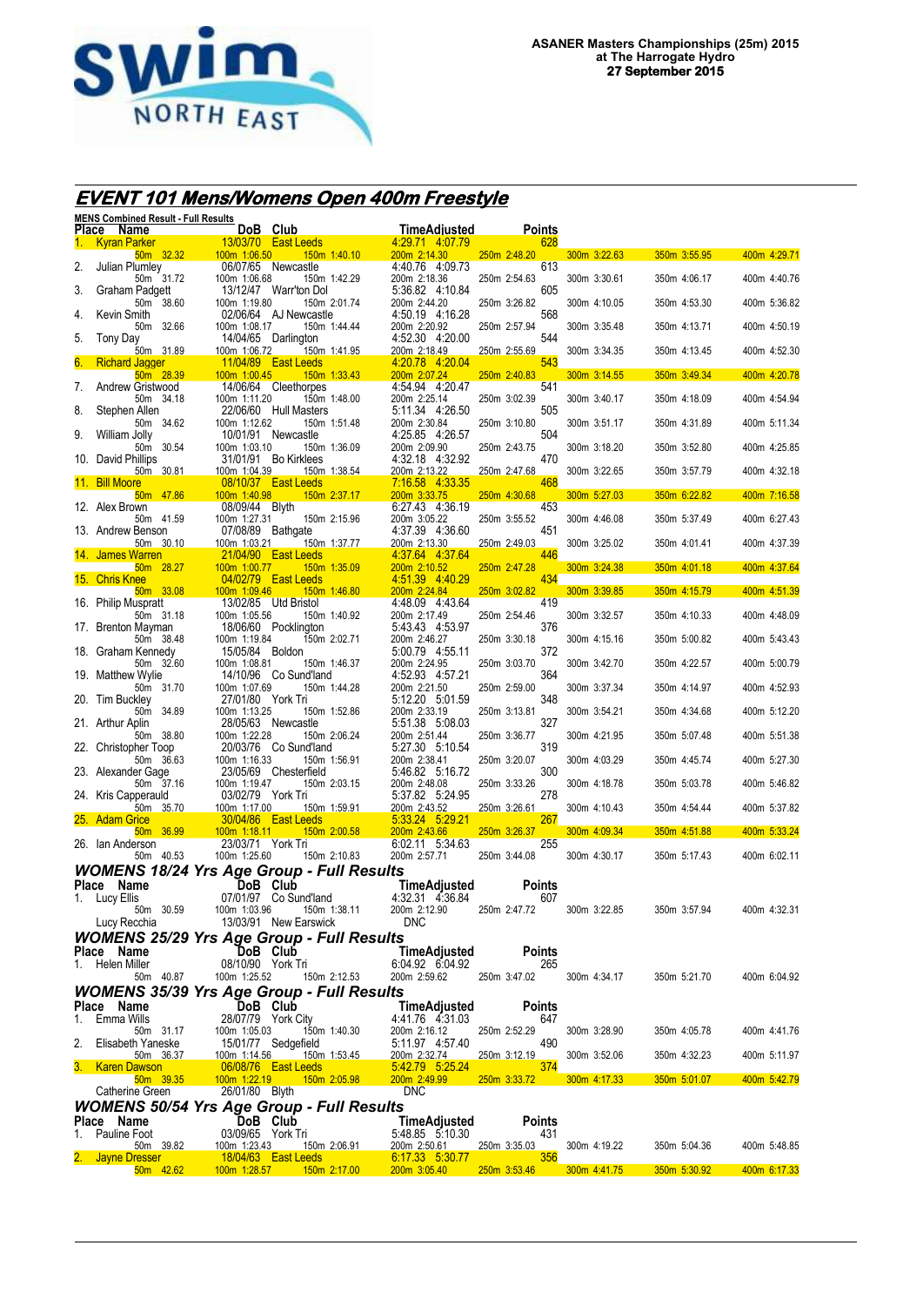

# **EVENT 101 Mens/Womens Open 400m Freestyle**

|    | MENS Combined Result - Full Results<br>Place Name |                                     | DoB Club                                     | <b>TimeAdjusted</b>                    | Points               |              |              |              |
|----|---------------------------------------------------|-------------------------------------|----------------------------------------------|----------------------------------------|----------------------|--------------|--------------|--------------|
| 1. | <b>Kyran Parker</b>                               |                                     | <b>13/03/70 East Leeds</b>                   | 4:29.71 4:07.79                        | 628                  |              |              |              |
| 2. | $50m$ 32.32<br>Julian Plumley                     | 100m 1:06.50                        | 150m 1:40.10<br>06/07/65 Newcastle           | 200m 2:14.30<br>4:40.76 4:09.73        | 250m 2:48.20<br>613  | 300m 3:22.63 | 350m 3:55.95 | 400m 4:29.71 |
|    | 50m 31.72                                         | 100m 1:06.68                        | 150m 1:42.29                                 | 200m 2:18.36                           | 250m 2:54.63         | 300m 3:30.61 | 350m 4:06.17 | 400m 4:40.76 |
| 3. | Graham Padgett<br>50m 38.60                       | 100m 1:19.80                        | 13/12/47 Warr'ton Dol<br>150m 2:01.74        | 5:36.82 4:10.84<br>200m 2:44.20        | 605<br>250m 3:26.82  | 300m 4:10.05 | 350m 4:53.30 | 400m 5:36.82 |
| 4. | Kevin Smith                                       |                                     | 02/06/64 AJ Newcastle                        | 4:50.19 4:16.28                        | 568                  |              |              |              |
| 5. | 50m 32.66<br>Tony Day                             | 100m 1:08.17                        | 150m 1:44.44<br>14/04/65 Darlington          | 200m 2:20.92<br>4:52.30 4:20.00        | 250m 2:57.94<br>544  | 300m 3:35.48 | 350m 4:13.71 | 400m 4:50.19 |
|    | 50m 31.89                                         | 100m 1:06.72                        | <u>150m 1:41.95</u>                          | 200m 2:18.49                           | 250m 2:55.69         | 300m 3:34.35 | 350m 4:13.45 | 400m 4:52.30 |
| 6. | <b>Richard Jagger</b><br>50m 28.39                | 100m 1:00.45                        | <b>11/04/89 East Leeds</b><br>$150m$ 1:33.43 | 4.20.78 4:20.04<br>200m 2:07.24        | 543<br>250m 2:40.83  | 300m 3:14.55 | 350m 3:49.34 | 400m 4:20.78 |
| 7. | Andrew Gristwood<br>50m 34.18                     | 100m 1:11.20                        | 14/06/64 Cleethorpes<br>150m 1:48.00         | 4:54.94 4:20.47<br>200m 2:25.14        | 541<br>250m 3:02.39  | 300m 3:40.17 | 350m 4:18.09 | 400m 4:54.94 |
| 8. | Stephen Allen                                     |                                     | 22/06/60 Hull Masters                        | 5:11.34 4:26.50                        | 505                  |              |              |              |
| 9. | 50m 34.62<br>William Jolly                        | 100m 1:12.62                        | 150m 1:51.48<br>10/01/91 Newcastle           | 200m 2:30.84<br>4:25.85 4:26.57        | 250m 3:10.80<br>504  | 300m 3:51.17 | 350m 4:31.89 | 400m 5:11.34 |
|    | 50m 30.54                                         | 100m 1:03.10                        | 150m 1:36.09                                 | 200m 2:09.90                           | 250m 2:43.75         | 300m 3:18.20 | 350m 3:52.80 | 400m 4:25.85 |
|    | 10. David Phillips<br>50m 30.81                   | 100m 1:04.39                        | 31/01/91 Bo Kirklees<br>150m 1:38.54         | 4:32.18 4:32.92<br>200m 2:13.22        | 470<br>250m 2:47.68  | 300m 3:22.65 | 350m 3:57.79 | 400m 4:32.18 |
|    | 11. Bill Moore<br>50m 47.86                       | 100m 1:40.98                        | 08/10/37 East Leeds<br>150m 2:37.17          | 7:16.58 4:33.35<br>200m 3:33.75        | 468<br>250m 4:30.68  | 300m 5:27.03 | 350m 6:22.82 | 400m 7:16.58 |
|    | 12. Alex Brown                                    | 08/09/44 Blyth                      |                                              | 6:27.43 4:36.19                        | 453                  |              |              |              |
|    | 50m 41.59<br>13. Andrew Benson                    | 100m 1:27.31                        | 150m 2:15.96<br>07/08/89 Bathgate            | 200m 3:05.22<br>4:37.39 4:36.60        | 250m 3:55.52<br>451  | 300m 4:46.08 | 350m 5:37.49 | 400m 6:27.43 |
|    | 50m 30.10                                         | 100m 1:03.21                        | 150m 1:37.77                                 | 200m 2:13.30                           | 250m 2:49.03         | 300m 3:25.02 | 350m 4:01.41 | 400m 4:37.39 |
|    | 14. James Warren<br>50m 28.27                     | 100m 1:00.77                        | 21/04/90 East Leeds<br>150m 1:35.09          | 4 37 64 4 37 64<br>200m 2:10.52        | 446<br>250m 2:47.28  | 300m 3:24.38 | 350m 4:01.18 | 400m 4:37.64 |
|    | 15. Chris Knee<br>$50m$ $33.08$                   | 100m 1:09.46                        | 04/02/79 East Leeds<br>150m 1:46.80          | 4 51 39 4 40 29<br>200m 2:24.84        | 434<br>250m 3:02.82  | 300m 3:39.85 | 350m 4:15.79 | 400m 4:51.39 |
|    | 16. Philip Muspratt                               |                                     | 13/02/85 Utd Bristol                         | 4:48.09 4:43.64                        | 419                  |              |              |              |
|    | 50m 31.18<br>17. Brenton Mayman                   | 100m 1:05.56                        | 150m 1:40.92<br>18/06/60 Pocklington         | 200m 2:17.49<br>5:43.43 4:53.97        | 250m 2:54.46<br>376  | 300m 3:32.57 | 350m 4:10.33 | 400m 4:48.09 |
|    | 50m 38.48                                         | 100m 1:19.84<br>15/05/84 Boldon     | 150m 2:02.71                                 | 200m 2:46.27                           | 250m 3:30.18         | 300m 4:15.16 | 350m 5:00.82 | 400m 5:43.43 |
|    | 18. Graham Kennedy<br>50m 32.60                   | 100m 1:08.81                        | 150m 1:46.37                                 | 5:00.79 4:55.11<br>200m 2:24.95        | 372<br>250m 3:03.70  | 300m 3:42.70 | 350m 4:22.57 | 400m 5:00.79 |
|    | 19. Matthew Wylie<br>50m 31.70                    | 100m 1:07.69                        | 14/10/96 Co Sund'land<br>150m 1:44.28        | 4:52.93 4:57.21<br>200m 2:21.50        | 364<br>250m 2:59.00  | 300m 3:37.34 | 350m 4:14.97 | 400m 4:52.93 |
|    | 20. Tim Buckley                                   | 27/01/80 York Tri                   |                                              | 5:12.20 5:01.59                        | 348                  |              |              |              |
|    | 50m 34.89<br>21. Arthur Aplin                     | 100m 1:13.25                        | 150m 1:52.86<br>28/05/63 Newcastle           | 200m 2:33.19<br>5:51.38 5:08.03        | 250m 3:13.81<br>327  | 300m 3:54.21 | 350m 4:34.68 | 400m 5:12.20 |
|    | 50m 38.80                                         | 100m 1:22.28                        | 150m 2:06.24                                 | 200m 2:51.44<br>5:27.30 5:10.54        | 250m 3:36.77<br>319  | 300m 4:21.95 | 350m 5:07.48 | 400m 5:51.38 |
|    | 22. Christopher Toop<br>50m 36.63                 | 100m 1:16.33                        | 20/03/76 Co Sund'land<br>150m 1:56.91        | 200m 2:38.41                           | 250m 3:20.07         | 300m 4:03.29 | 350m 4:45.74 | 400m 5:27.30 |
|    | 23. Alexander Gage<br>50m 37.16                   | 100m 1:19.47                        | 23/05/69 Chesterfield<br>150m 2:03.15        | 5:46.82 5:16.72<br>200m 2:48.08        | 300<br>250m 3:33.26  | 300m 4:18.78 | 350m 5:03.78 | 400m 5:46.82 |
|    | 24. Kris Capperauld                               | 03/02/79 York Tri                   |                                              | 5:37.82 5:24.95                        | 278                  |              |              |              |
|    | 50m 35.70<br>25. Adam Grice                       | 100m 1:17.00                        | 150m 1:59.91<br>30/04/86  East Leeds         | 200m 2:43.52<br>5:33.24 5:29.21        | 250m 3:26.61<br>267  | 300m 4:10.43 | 350m 4:54.44 | 400m 5:37.82 |
|    | 50m 36.99<br>26. Ian Anderson                     | $100m$ 1:18.11<br>23/03/71 York Tri | 150m 2:00.58                                 | 200m 2:43.66<br>6:02.11 5:34.63        | 250m 3:26.37<br>255  | 300m 4:09.34 | 350m 4:51.88 | 400m 5:33.24 |
|    | 50m 40.53                                         | 100m 1:25.60                        | 150m 2:10.83                                 | 200m 2:57.71                           | 250m 3:44.08         | 300m 4:30.17 | 350m 5:17.43 | 400m 6:02.11 |
|    | <b>WOMENS 18/24 Yrs Age Group - Full Results</b>  |                                     |                                              |                                        |                      |              |              |              |
|    | Place Name<br>1. Lucy Ellis                       |                                     | DoB Club<br>07/01/97 Co Sund'land            | TimeAdjusted<br>4:32.31 4:36.84        | <b>Points</b><br>607 |              |              |              |
|    | 50m 30.59<br>Lucy Recchia                         | 100m 1:03.96                        | 150m 1:38.11                                 | 200m 2:12.90                           | 250m 2:47.72         | 300m 3:22.85 | 350m 3:57.94 | 400m 4:32.31 |
|    | <b>WOMENS 25/29 Yrs Age Group - Full Results</b>  |                                     | 13/03/91 New Earswick                        | <b>DNC</b>                             |                      |              |              |              |
|    | Place Name                                        |                                     | DoB Club                                     | TimeAdjusted                           | <b>Points</b>        |              |              |              |
|    | 1. Helen Miller<br>50m 40.87                      | 08/10/90 York Tri<br>100m 1:25.52   | 150m 2:12.53                                 | 6:04.92 6:04.92<br>200m 2:59.62        | 265<br>250m 3:47.02  | 300m 4:34.17 | 350m 5:21.70 | 400m 6:04.92 |
|    | <b>WOMENS 35/39 Yrs Age Group - Full Results</b>  |                                     |                                              |                                        |                      |              |              |              |
| 1. | Place Name<br>Emma Wills                          |                                     | DoB Club<br>28/07/79 York City               | <b>TimeAdjusted</b><br>4:41.76 4:31.03 | <b>Points</b><br>647 |              |              |              |
|    | 50m 31.17                                         | 100m 1:05.03                        | 150m 1:40.30                                 | 200m 2:16.12                           | 250m 2:52.29         | 300m 3:28.90 | 350m 4:05.78 | 400m 4:41.76 |
| 2. | Elisabeth Yaneske<br>50m 36.37                    | 100m 1:14.56                        | 15/01/77 Sedgefield<br>150m 1:53.45          | 5:11.97 4:57.40<br>200m 2:32.74        | 490<br>250m 3:12.19  | 300m 3:52.06 | 350m 4:32.23 | 400m 5:11.97 |
|    | 3. Karen Dawson                                   |                                     | 06/08/76 East Leeds                          | 5:42.79 5:25.24                        | 374                  |              |              |              |
|    | 50m 39.35<br>Catherine Green                      | 100m 1:22.19<br>26/01/80 Blyth      | 150m 2:05.98                                 | 200m 2:49.99<br><b>DNC</b>             | 250m 3:33.72         | 300m 4:17.33 | 350m 5:01.07 | 400m 5:42.79 |
|    | <b>WOMENS 50/54 Yrs Age Group - Full Results</b>  |                                     |                                              |                                        |                      |              |              |              |
| 1. | Place Name<br>Pauline Foot                        | 03/09/65 York Tri                   | DoB Club                                     | TimeAdjusted<br>5:48.85 5:10.30        | <b>Points</b><br>431 |              |              |              |
|    | 50m 39.82                                         | 100m 1:23.43                        | 150m 2:06.91                                 | 200m 2:50.61                           | 250m 3:35.03         | 300m 4:19.22 | 350m 5:04.36 | 400m 5:48.85 |
|    | 2. Jayne Dresser<br>$50m$ 42.62                   | 100m 1:28.57                        | 18/04/63   East Leeds<br>$150m$ 2:17.00      | 6:17.33 5:30.77<br>200m 3:05.40        | 356<br>250m 3:53.46  | 300m 4:41.75 | 350m 5:30.92 | 400m 6:17.33 |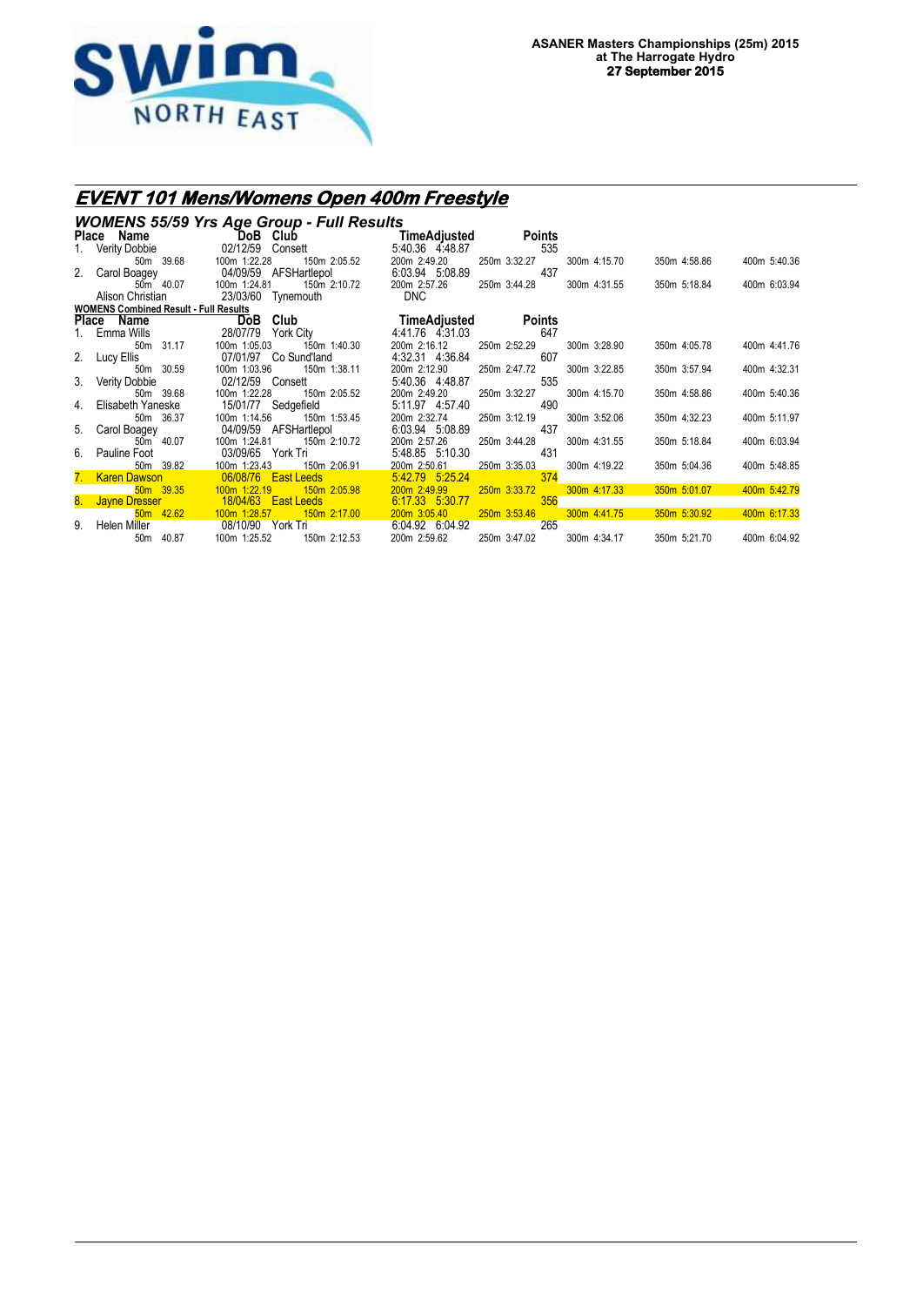

# **EVENT 101 Mens/Womens Open 400m Freestyle**

|    | <b>WOMENS 55/59 Yrs Age Group - Full Results</b> |                                                  |                                 |                     |              |              |              |  |  |  |  |  |
|----|--------------------------------------------------|--------------------------------------------------|---------------------------------|---------------------|--------------|--------------|--------------|--|--|--|--|--|
|    | Place Name                                       | DoB Club                                         | TimeAdjusted                    | <b>Points</b>       |              |              |              |  |  |  |  |  |
|    | 1. Verity Dobbie                                 | 02/12/59 Consett                                 | 5:40.36 4:48.87                 | 535                 |              |              |              |  |  |  |  |  |
|    | 50m 39.68                                        | 100m 1:22.28<br>150m 2:05.52                     | 200m 2:49.20                    | 250m 3:32.27        | 300m 4:15.70 | 350m 4:58.86 | 400m 5:40.36 |  |  |  |  |  |
|    | 2. Carol Boagey                                  | 04/09/59 AFSHartlepol                            | 6:03.94 5:08.89                 | 437                 |              |              |              |  |  |  |  |  |
|    | 50m 40.07                                        | 100m 1:24.81<br>150m 2:10.72                     | 200m 2:57.26                    | 250m 3:44.28        | 300m 4:31.55 | 350m 5:18.84 | 400m 6:03.94 |  |  |  |  |  |
|    | Alison Christian                                 | 23/03/60 Tynemouth                               | <b>DNC</b>                      |                     |              |              |              |  |  |  |  |  |
|    | <b>WOMENS Combined Result - Full Results</b>     |                                                  |                                 |                     |              |              |              |  |  |  |  |  |
|    | Place Name                                       | DoB Club                                         | TimeAdiusted                    | Points              |              |              |              |  |  |  |  |  |
|    | Emma Wills                                       | 28/07/79<br>York City                            | 4:41.76 4:31.03                 | 647                 |              |              |              |  |  |  |  |  |
|    | 50m 31.17                                        | 100m 1:05.03<br>150m 1:40.30                     | 200m 2:16.12                    | 250m 2:52.29        | 300m 3:28.90 | 350m 4:05.78 | 400m 4:41.76 |  |  |  |  |  |
| 2. | Lucy Ellis                                       | 07/01/97 Co Sund'land                            | 4:32.31 4:36.84                 | 607                 |              |              |              |  |  |  |  |  |
|    | 50m 30.59<br>3. Verity Dobbie                    | 100m 1:03.96<br>150m 1:38.11<br>02/12/59 Consett | 200m 2:12.90<br>5:40.36 4:48.87 | 250m 2:47.72<br>535 | 300m 3:22.85 | 350m 3:57.94 | 400m 4:32.31 |  |  |  |  |  |
|    | 50m 39.68                                        | 100m 1:22.28<br>150m 2:05.52                     | 200m 2:49.20                    | 250m 3:32.27        | 300m 4:15.70 | 350m 4:58.86 | 400m 5:40.36 |  |  |  |  |  |
| 4. | Elisabeth Yaneske                                | 15/01/77 Sedgefield                              | 5:11.97 4:57.40                 | 490                 |              |              |              |  |  |  |  |  |
|    | 50m 36.37                                        | 150m 1:53.45<br>100m 1:14.56                     | 200m 2:32.74                    | 250m 3:12.19        | 300m 3:52.06 | 350m 4:32.23 | 400m 5:11.97 |  |  |  |  |  |
| 5. | Carol Boagey                                     | 04/09/59 AFSHartlepol                            | 6:03.94 5:08.89                 | 437                 |              |              |              |  |  |  |  |  |
|    | 50m 40.07                                        | 100m 1:24.81<br>150m 2:10.72                     | 200m 2:57.26                    | 250m 3:44.28        | 300m 4:31.55 | 350m 5:18.84 | 400m 6:03.94 |  |  |  |  |  |
|    | 6. Pauline Foot                                  | 03/09/65 York Tri                                | 5:48.85 5:10.30                 | 431                 |              |              |              |  |  |  |  |  |
|    | 50m 39.82                                        | 100m 1:23.43<br>150m 2:06.91                     | 200m 2:50.61                    | 250m 3:35.03        | 300m 4:19.22 | 350m 5:04.36 | 400m 5:48.85 |  |  |  |  |  |
| 7. | <b>Karen Dawson</b>                              | 06/08/76 East Leeds                              | 5:42.79 5:25.24                 | 374                 |              |              |              |  |  |  |  |  |
|    | 50m 39.35                                        | $100m$ 1:22.19<br>150m 2:05.98                   | 200m 2:49.99                    | 250m 3:33.72        | 300m 4:17.33 | 350m 5:01.07 | 400m 5:42.79 |  |  |  |  |  |
|    | 8. Jayne Dresser                                 | 18/04/63  East Leeds                             | 6:17.33 5:30.77                 | 356                 |              |              |              |  |  |  |  |  |
|    | 50m 42.62                                        | 100m 1:28.57<br>150m 2:17.00                     | 200m 3:05.40                    | 250m 3:53.46        | 300m 4:41.75 | 350m 5:30.92 | 400m 6:17.33 |  |  |  |  |  |
| 9. | Helen Miller                                     | 08/10/90 York Tri                                | 6:04.92 6:04.92                 | 265                 |              |              |              |  |  |  |  |  |
|    | 40.87<br>50 <sub>m</sub>                         | 150m 2:12.53<br>100m 1:25.52                     | 200m 2:59.62                    | 250m 3:47.02        | 300m 4:34.17 | 350m 5:21.70 | 400m 6:04.92 |  |  |  |  |  |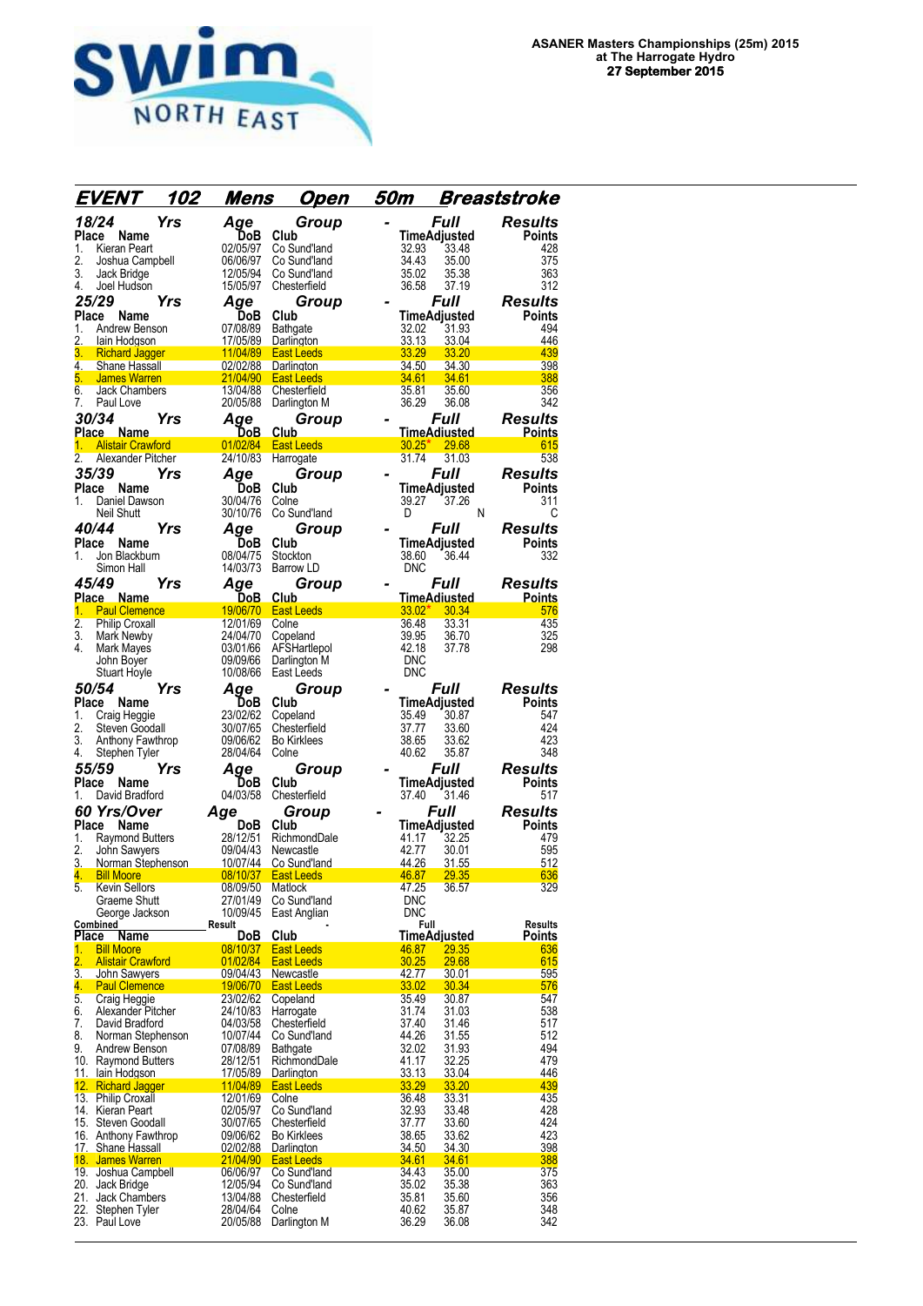

| <i>EVENT</i>                                                            | 102        | Mens                 | <u>Open</u>                      | 50m                      |                      | Breaststroke          |
|-------------------------------------------------------------------------|------------|----------------------|----------------------------------|--------------------------|----------------------|-----------------------|
| 18/24                                                                   | <b>Yrs</b> | Age                  | Group                            |                          | Full                 | <b>Results</b>        |
| Place<br>Name                                                           |            | DoB                  | Club                             |                          | TimeAdjusted         | Points                |
| 1.<br>Kieran Peart                                                      |            | 02/05/97             | Co Sund'land                     | 32.93                    | 33.48                | 428<br>375            |
| 2.<br>Joshua Campbell<br>3.<br>Jack Bridge                              |            | 06/06/97<br>12/05/94 | Co Sund'land<br>Co Sund'land     | 34.43<br>35.02           | 35.00<br>35.38       | 363                   |
| Joel Hudson<br>4.                                                       |            | 15/05/97             | Chesterfield                     | 36.58                    | 37.19                | 312                   |
| 25/29                                                                   | Yrs        | Aqe                  | Group                            |                          | Full                 | <b>Results</b>        |
| Place<br>Name                                                           |            | <b>DoB</b>           | Club                             |                          | <b>TimeAdjusted</b>  | Points                |
| Andrew Benson<br>1.                                                     |            | 07/08/89             | Bathgate                         | 32.02                    | 31.93                | 494                   |
| 2.<br>lain Hodgson<br>3.<br><b>Richard Jagger</b>                       |            | 17/05/89<br>11/04/89 | Darlington<br><b>East Leeds</b>  | 33.13<br>33.29           | 33.04<br>33.20       | 446<br>439            |
| 4.<br>Shane Hassall                                                     |            | 02/02/88             | Darlington                       | 34.50                    | 34.30                | 398                   |
| 5.<br><b>James Warren</b>                                               |            | 21/04/90             | <b>East Leeds</b>                | 34.61                    | 34.61                | 388                   |
| 6.<br>Jack Chambers                                                     |            | 13/04/88             | Chesterfield                     | 35.81                    | 35.60                | 356                   |
| Paul Love<br>7.<br>30/34                                                |            | 20/05/88             | Darlington M                     | 36.29                    | 36.08<br><b>Full</b> | 342<br><b>Results</b> |
| Place Name                                                              | Yrs        | Age<br><u>DoB.</u>   | Group<br>Club.                   |                          | <u>TimeAdiusted</u>  | <b>Points</b>         |
| <b>Alistair Crawford</b><br>1.                                          |            | 01/02/84             | <b>East Leeds</b>                | 30.25"                   | 29.68                | 615                   |
| 2.<br>Alexander Pitcher                                                 |            | 24/10/83             | Harrogate                        | 31.74                    | 31.03                | 538                   |
| 35/39                                                                   | Yrs        | Age                  | Group                            |                          | Full                 | <b>Results</b>        |
| Name<br>Place                                                           |            | DoB                  | Club                             |                          | TimeAdjusted         | Points                |
| Daniel Dawson<br>1.<br>Neil Shutt                                       |            | 30/04/76<br>30/10/76 | Colne<br>Co Sund'land            | 39.27<br>D               | 37.26<br>N           | 311<br>С              |
| 40/44                                                                   | Yrs        | Age                  | Group                            |                          | Full                 | Results               |
| Place<br>Name                                                           |            | DoB                  | Club                             |                          | TimeAdjusted         | Points                |
| Jon Blackburn<br>1.                                                     |            | 08/04/75             | Stockton                         | 38.60                    | 36.44                | 332                   |
| Simon Hall                                                              |            | 14/03/73             | Barrow LD                        | <b>DNC</b>               |                      |                       |
| 45/49                                                                   | Yrs        | Aqe                  | Group                            |                          | <i><b>Full</b></i>   | Results               |
| Place Name                                                              |            | DoB                  | Club                             |                          | TimeAdiusted         | <u>Points</u>         |
| 1.<br><b>Paul Clemence</b><br>$\overline{2}$ .<br><b>Philip Croxall</b> |            | 19/06/70<br>12/01/69 | <b>East Leeds</b><br>Colne       | $33.02*$<br>36.48        | 30.34<br>33.31       | 576<br>435            |
| 3.<br>Mark Newby                                                        |            | 24/04/70             | Copeland                         | 39.95                    | 36.70                | 325                   |
| 4.<br>Mark Mayes                                                        |            | 03/01/66             | AFSHartlepol                     | 42.18                    | 37.78                | 298                   |
| John Boyer                                                              |            | 09/09/66<br>10/08/66 | Darlington M<br>East Leeds       | <b>DNC</b><br><b>DNC</b> |                      |                       |
| Stuart Hoyle<br>50/54                                                   | Yrs        |                      |                                  |                          |                      | <b>Results</b>        |
| Place<br>Name                                                           |            | Age<br>DoB           | Group<br>Club                    |                          | Full<br>TimeAdjusted | Points                |
| Craig Heggie<br>1.                                                      |            | 23/02/62             | Copeland                         | 35.49                    | 30.87                | 547                   |
| 2.<br>Steven Goodall                                                    |            | 30/07/65             | Chesterfield                     | 37.77                    | 33.60                | 424                   |
| 3.<br>Anthony Fawthrop                                                  |            | 09/06/62             | Bo Kirklees                      | 38.65                    | 33.62                | 423                   |
| 4.<br>Stephen Tyler<br>55/59                                            |            | 28/04/64             | Colne                            | 40.62                    | 35.87<br>Full        | 348                   |
| Place<br>Name                                                           | Yrs        | Aqe<br>DoB           | Group<br>Club                    |                          | TimeAdjusted         | Results<br>Points     |
| David Bradford<br>1.                                                    |            | 04/03/58             | Chesterfield                     | 37.40                    | 31.46                | 517                   |
| <b>60 Yrs/Over</b>                                                      |            | Age                  | Group                            |                          | Full                 | <b>Results</b>        |
| Place Name                                                              |            | DoB                  | Club                             |                          | <b>TimeAdjusted</b>  | Points                |
| 1.<br>Raymond Butters                                                   |            | 28/12/51             | RichmondDale                     | 41.17                    | 32.25                | 479                   |
| 2.<br>John Sawyers<br>3.<br>Norman Stephenson                           |            | 09/04/43<br>10/07/44 | Newcastle<br>Co Sund'land        | 42.77<br>44.26           | 30.01<br>31.55       | 595<br>512            |
| 4.<br><b>Bill Moore</b>                                                 |            | 08/10/37             | <b>East Leeds</b>                | <u>46.87</u>             | <b>29.35</b>         | 636                   |
| <b>Kevin Sellors</b><br>5.                                              |            | 08/09/50             | Matlock                          | 47.25                    | 36.57                | 329                   |
| Graeme Shutt                                                            |            | 27/01/49             | Co Sund'land                     | <b>DNC</b>               |                      |                       |
| George Jackson<br>Combined                                              |            | 10/09/45<br>Result   | East Anglian                     | <b>DNC</b>               | Full                 | <b>Results</b>        |
| Place<br>Name                                                           |            | DoB                  | Club                             |                          | <b>TimeAdjusted</b>  | Points                |
| 1.<br><b>Bill Moore</b><br>$\overline{2}$ .                             |            | 08/10/37             | East Leeds                       | 46.87<br>30.25           | 29.35                | 636<br>615            |
| <b>Alistair Crawford</b><br>3.<br>John Sawyers                          |            | 01/02/84<br>09/04/43 | <b>East Leeds</b><br>Newcastle   | 42.77                    | 29.68<br>30.01       | 595                   |
| 4.<br><b>Paul Clemence</b>                                              |            | 19/06/70             | <b>East Leeds</b>                | 33.02                    | 30.34                | 576                   |
| 5.<br>Craig Heggie                                                      |            | 23/02/62             | Copeland                         | 35.49                    | 30.87                | 547                   |
| Alexander Pitcher<br>6.<br>David Bradford<br>7.                         |            | 24/10/83<br>04/03/58 | Harrogate<br>Chesterfield        | 31.74<br>37.40           | 31.03<br>31.46       | 538<br>517            |
| 8.<br>Norman Stephenson                                                 |            | 10/07/44             | Co Sund'land                     | 44.26                    | 31.55                | 512                   |
| 9.<br>Andrew Benson                                                     |            | 07/08/89             | <b>Bathgate</b>                  | 32.02                    | 31.93                | 494                   |
| 10. Raymond Butters                                                     |            | 28/12/51             | RichmondDale                     | 41.17                    | 32.25                | 479                   |
| 11. Iain Hodgson<br><b>Richard Jagger</b><br>12.                        |            | 17/05/89<br>11/04/89 | Darlington<br><b>East Leeds</b>  | <u>33.13</u><br>33.29    | 33.04<br>33.20       | 446<br>439            |
| 13. Philip Croxall                                                      |            | 12/01/69             | Colne                            | 36.48                    | 33.31                | 435                   |
| 14. Kieran Peart                                                        |            | 02/05/97             | Co Sund'land                     | 32.93                    | 33.48                | 428                   |
| 15. Steven Goodall                                                      |            | 30/07/65             | Chesterfield                     | 37.77                    | 33.60                | 424                   |
| 16. Anthony Fawthrop<br>17. Shane Hassall                               |            | 09/06/62<br>02/02/88 | <b>Bo Kirklees</b><br>Darlington | 38.65<br><u>34.50</u>    | 33.62<br>34.30       | 423<br>398            |
| 18. James Warren                                                        |            | 21/04/90             | <b>East Leeds</b>                | 34.61                    | 34.61                | 388                   |
| 19. Joshua Campbell                                                     |            | 06/06/97             | Co Sund'land                     | 34.43                    | 35.00                | 375                   |
| 20.<br>Jack Bridge<br>21.<br>Jack Chambers                              |            | 12/05/94<br>13/04/88 | Co Sund'land<br>Chesterfield     | 35.02<br>35.81           | 35.38<br>35.60       | 363<br>356            |
| 22. Stephen Tyler                                                       |            | 28/04/64             | Colne                            | 40.62                    | 35.87                | 348                   |
| 23. Paul Love                                                           |            | 20/05/88             | Darlington M                     | 36.29                    | 36.08                | 342                   |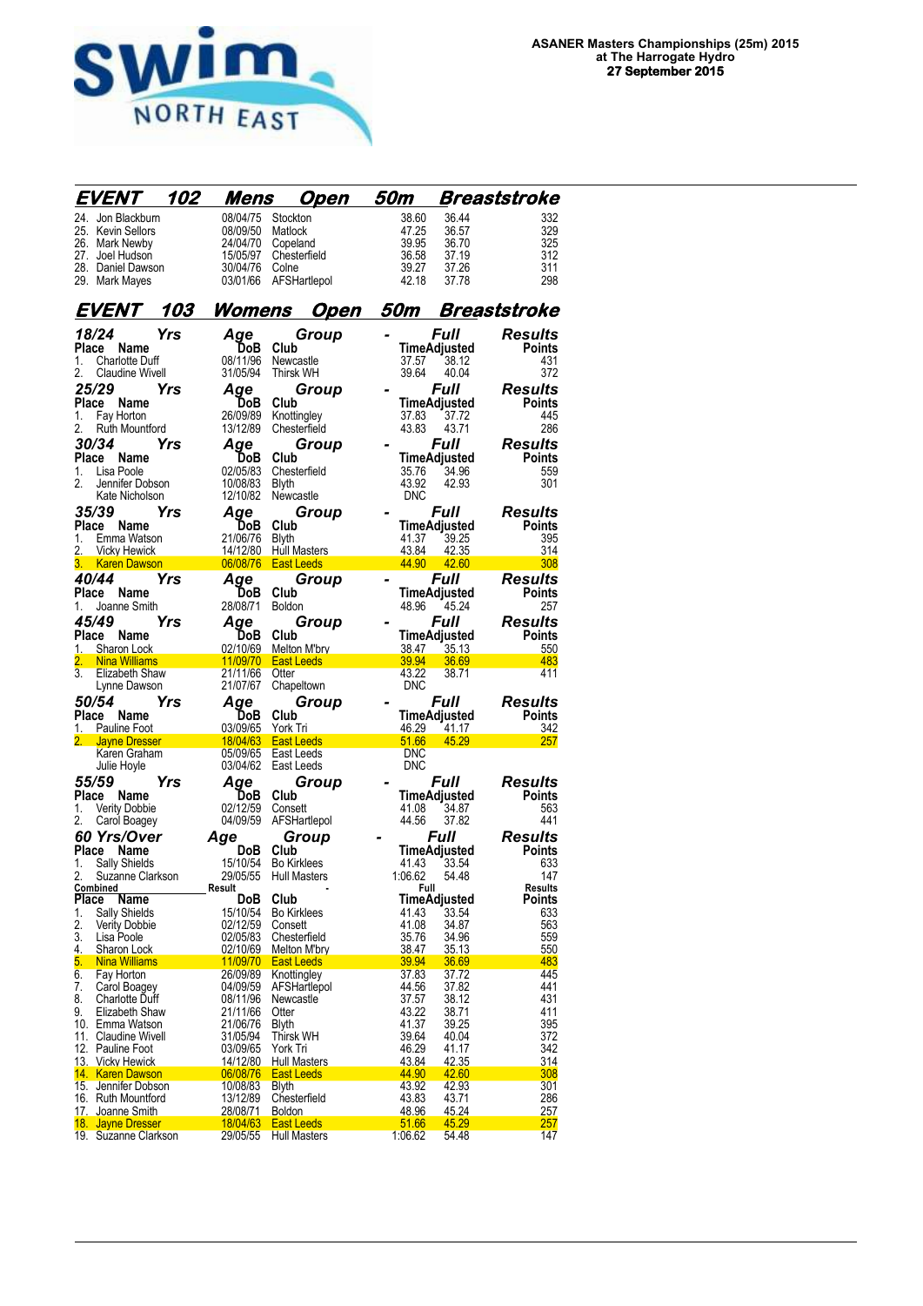

|                     | EVENT                                  | 102 | Mens                 | <u>Open</u>                | 50m            |                     | Breaststroke        |
|---------------------|----------------------------------------|-----|----------------------|----------------------------|----------------|---------------------|---------------------|
|                     | 24. Jon Blackburn                      |     | 08/04/75             | Stockton                   | 38.60          | 36.44               | 332                 |
|                     | 25. Kevin Sellors                      |     | 08/09/50             | Matlock                    | 47.25          | 36.57               | 329                 |
|                     | 26. Mark Newby                         |     | 24/04/70             | Copeland                   | 39.95          | 36.70               | 325                 |
|                     | 27. Joel Hudson                        |     | 15/05/97             | Chesterfield               | 36.58          | 37.19               | 312                 |
|                     | 28. Daniel Dawson                      |     | 30/04/76             | Colne                      | 39.27          | 37.26               | 311                 |
|                     | 29. Mark Mayes                         |     | 03/01/66             | AFSHartlepol               | 42.18          | 37.78               | 298                 |
|                     | <i>EVENT</i>                           | 103 | <u>Womens</u>        | <u>Open</u>                | 50m            |                     | <b>Breaststroke</b> |
| 18/24               |                                        | Yrs | Aqe                  | Group                      | -              | Full                | Results             |
|                     | Place Name                             |     | DoB                  | Club                       |                | TimeAdjusted        | <b>Points</b>       |
| 1.                  | <b>Charlotte Duff</b>                  |     | 08/11/96             | Newcastle                  | 37.57          | 38.12               | 431                 |
| 2.                  | <b>Claudine Wivell</b>                 |     | 31/05/94             | <b>Thirsk WH</b>           | 39.64          | 40.04               | 372                 |
| 25/29               |                                        | Yrs | Aqe                  | Group                      |                | Full                | <b>Results</b>      |
|                     | Place Name                             |     | DoB                  | Club                       |                | TimeAdjusted        | <b>Points</b>       |
| 1.                  | Fay Horton                             |     | 26/09/89             | Knottingley                | 37.83          | 37.72               | 445                 |
| 2.                  | Ruth Mountford                         |     | 13/12/89             | Chesterfield               | 43.83          | 43.71               | 286                 |
| 30/34               |                                        | Yrs | Aqe                  | Group                      |                | Full                | <b>Results</b>      |
|                     | Place Name                             |     | DoB.                 | Club                       |                | TimeAdjusted        | Points              |
| 1.                  | Lisa Poole                             |     | 02/05/83             | Chesterfield               | 35.76          | 34.96               | 559                 |
| 2.                  | Jennifer Dobson                        |     | 10/08/83             | <b>Blyth</b>               | 43.92          | 42.93               | 301                 |
|                     | Kate Nicholson                         |     | 12/10/82             | Newcastle                  | <b>DNC</b>     |                     |                     |
| 35/39               |                                        | Yrs | Age                  | Group                      |                | <i><b>Full</b></i>  | Results             |
| Place               | <b>Name</b>                            |     | DoB                  | Club                       |                | TimeAdjusted        | Points              |
| 1.                  | Emma Watson                            |     | 21/06/76             | <b>Blyth</b>               | 41.37          | 39.25               | 395                 |
| 2.                  | <b>Vicky Hewick</b>                    |     | 14/12/80             | <b>Hull Masters</b>        | 43.84          | 42.35               | 314                 |
|                     | <b>Karen Dawson</b>                    |     | 06/08/76             | <b>East Leeds</b>          | 44.90          | 42.60               | 308                 |
| 40/44               |                                        | Yrs | Age                  | Group                      |                | Full                | <b>Results</b>      |
| Place               | Name                                   |     | <b>DoB</b>           | Club                       |                | TimeAdjusted        | Points              |
| 1.                  | Joanne Smith                           |     | 28/08/71             | <b>Boldon</b>              | 48.96          | 45.24               | 257                 |
| 45/49               |                                        | Yrs | Aqe                  | Group                      |                | Full                | <b>Results</b>      |
|                     | Place Name                             |     | DoB                  | Club                       |                | TimeAdjusted        | <b>Points</b>       |
| 1.                  | Sharon Lock                            |     | 02/10/69             | Melton M'bry               | 38.47          | 35.13               | 550                 |
| 2.<br>3.            | <b>Nina Williams</b><br>Elizabeth Shaw |     | 11/09/70<br>21/11/66 | <b>East Leeds</b><br>Otter | 39.94<br>43.22 | 36.69<br>38.71      | 483<br>411          |
|                     | Lynne Dawson                           |     | 21/07/67             | Chapeltown                 | <b>DNC</b>     |                     |                     |
| <i><b>50/54</b></i> |                                        | Yrs | Aqe                  |                            |                | <i><b>Full</b></i>  | Results             |
| Place               | Name                                   |     | DoB                  | Group<br>Club              |                | TimeAdjusted        | Points              |
| 1.                  | Pauline Foot                           |     | 03/09/65             | York Tri                   | 46.29          | 41.17               | 342                 |
|                     | 2. Jayne Dresser                       |     | 18/04/63             | <b>East Leeds</b>          | 51.66          | 45.29               | 257                 |
|                     | Karen Graham                           |     | 05/09/65             | East Leeds                 | DNC            |                     |                     |
|                     | Julie Hoyle                            |     | 03/04/62             | East Leeds                 | <b>DNC</b>     |                     |                     |
| 55/59               |                                        | Yrs | Aqe                  | Group                      |                | <i><b>Full</b></i>  | Results             |
| Place               | Name                                   |     | DoB                  | Club                       |                | TimeAdjusted        | Points              |
| 1.                  | <b>Verity Dobbie</b>                   |     | 02/12/59             | Consett                    | 41.08          | 34.87               | 563                 |
| 2.                  | Carol Boagey                           |     | 04/09/59             | AFSHartlepol               | 44.56          | 37.82               | 441                 |
|                     | 60 Yrs/Over                            |     | Age                  | Group                      |                | Full                | <b>Results</b>      |
| Place               | Name                                   |     | <b>DoB</b>           | Club                       |                | <b>TimeAdiusted</b> | <b>Points</b>       |
| 1.                  | Sally Shields                          |     | 15/10/54             | <b>Bo Kirklees</b>         | 41.43          | 33.54               | 633                 |
| 2.                  | Suzanne Clarkson                       |     | 29/05/55             | <b>Hull Masters</b>        | 1:06.62        | 54.48               | 147                 |
| <b>Place</b>        | <u>Combined</u><br><b>Name</b>         |     | Result<br>DoB        | Club                       | Full           | TimeAdjusted        | Results             |
| 1.                  | Sally Shields                          |     | 15/10/54             | <b>Bo Kirklees</b>         | 41.43          | 33.54               | Points<br>633       |
| 2.                  | <b>Verity Dobbie</b>                   |     | 02/12/59             | Consett                    | 41.08          | 34.87               | 563                 |
| 3.                  | Lisa Poole                             |     | 02/05/83             | Chesterfield               | 35.76          | 34.96               | 559                 |
| 4.                  | Sharon Lock                            |     | 02/10/69             | Melton M'bry               | 38.47          | 35.13               | 550                 |
| 5.                  | <b>Nina Williams</b>                   |     | 11/09/70             | <b>East Leeds</b>          | 39.94          | 36.69               | 483                 |
| 6.                  | Fay Horton                             |     | 26/09/89             | Knottingley                | 37.83          | 37.72               | 445                 |
| 7.                  | Carol Boagey                           |     | 04/09/59             | AFSHartlepol               | 44.56          | 37.82               | 441                 |
| 8.                  | <b>Charlotte Duff</b>                  |     | 08/11/96             | Newcastle                  | 37.57          | 38.12               | 431                 |
| 9.                  | Elizabeth Shaw                         |     | 21/11/66             | Otter                      | 43.22          | 38.71               | 411                 |
|                     | 10. Emma Watson<br>11. Claudine Wivell |     | 21/06/76<br>31/05/94 | <b>Blyth</b><br>Thirsk WH  | 41.37<br>39.64 | 39.25<br>40.04      | 395<br>372          |
|                     | 12. Pauline Foot                       |     | 03/09/65             | York Tri                   | 46.29          | 41.17               | 342                 |
|                     | 13. Vicky Hewick                       |     | 14/12/80             | Hull Masters               | 43.84          | 42.35               | 314                 |
|                     | 14. Karen Dawson                       |     | 06/08/76             | <b>East Leeds</b>          | 44.90          | 42.60               | 308                 |
|                     | 15. Jennifer Dobson                    |     | 10/08/83             | <b>Blyth</b>               | 43.92          | 42.93               | 301                 |
|                     | 16. Ruth Mountford                     |     | 13/12/89             | Chesterfield               | 43.83          | 43.71               | 286                 |
|                     | 17. Joanne Smith                       |     | <u>28/08/71</u>      | <b>Boldon</b>              | 48.96          | 45.24               | 257                 |
|                     | 18. Jayne Dresser                      |     | 18/04/63             | East Leeds                 | 51.66          | 45.29               | <b>257</b>          |
|                     | 19. Suzanne Clarkson                   |     | 29/05/55             | Hull Masters               | 1:06.62        | 54.48               | 147                 |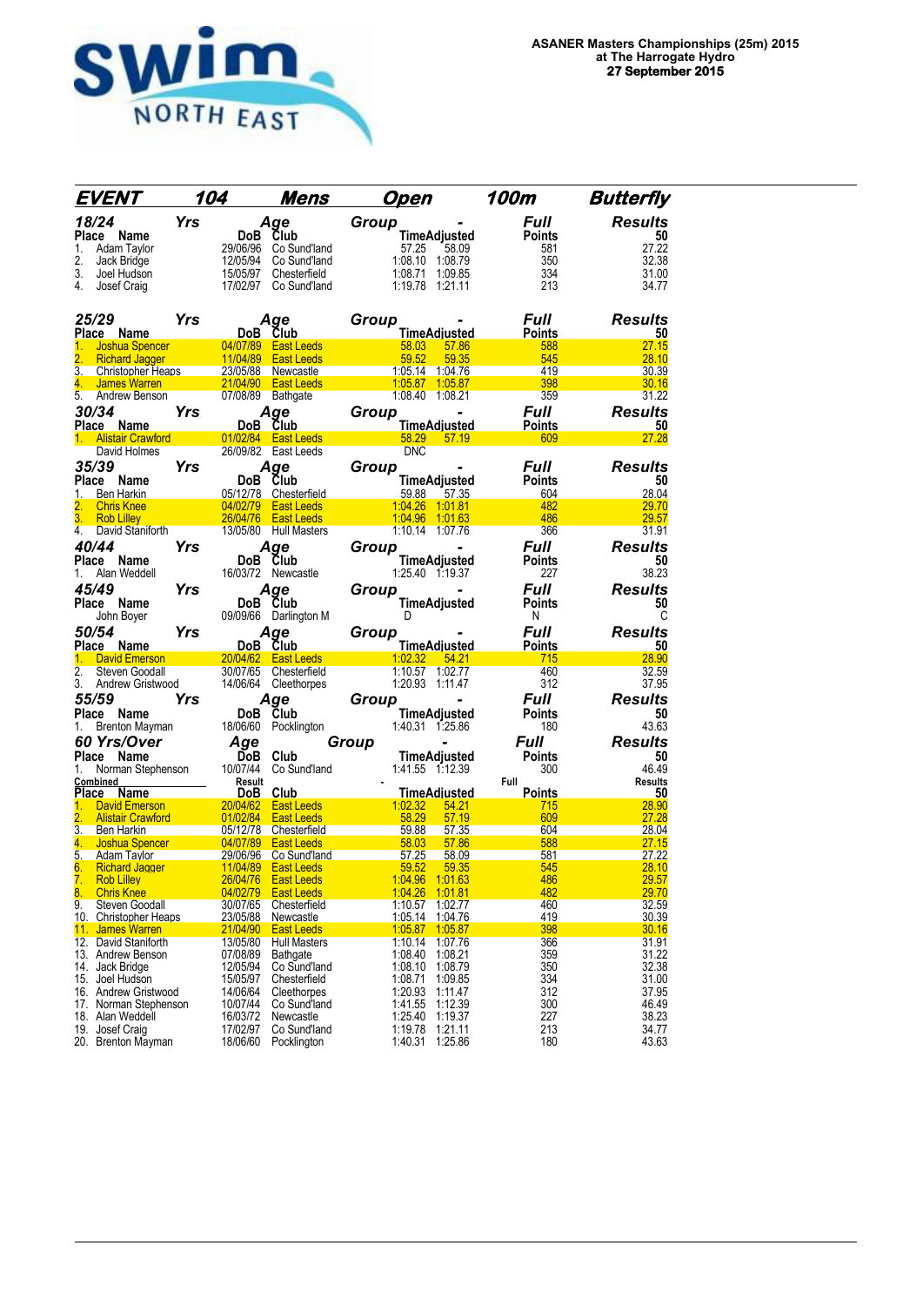

| EVENT                                                             | 104                    |                      | Mens                                         | <u>Open</u>                        |                                    | 100m                 | <b>Butterfly</b>     |
|-------------------------------------------------------------------|------------------------|----------------------|----------------------------------------------|------------------------------------|------------------------------------|----------------------|----------------------|
| 18/24                                                             | $Yrs$ Dobe Club        |                      | Age                                          | Group                              |                                    | Full                 | <b>Results</b>       |
| Place<br>Name                                                     |                        |                      |                                              |                                    | <b>TimeAdjusted</b>                | <b>Points</b>        | 50                   |
| 1.<br>Adam Taylor                                                 |                        | 29/06/96             | Co Sund'land                                 | 57.25                              | 58.09                              | 581                  | 27.22                |
| 2.<br>Jack Bridge                                                 |                        | 12/05/94             | Co Sund'land                                 | 1:08.10 1:08.79                    |                                    | 350                  | 32.38                |
| 3.<br>Joel Hudson<br>4.<br>Josef Craig                            |                        | 15/05/97             | Chesterfield<br>17/02/97 Co Sund'land        | 1.08.71 1:09.85<br>1:19.78 1:21.11 |                                    | 334<br>213           | 31.00<br>34.77       |
|                                                                   |                        |                      |                                              |                                    |                                    |                      |                      |
| 25/29                                                             | Yrs                    | Age                  |                                              | Group                              |                                    | <b>Full</b>          | <b>Results</b>       |
| Place Name                                                        |                        | DoB Club             |                                              |                                    | <b>TimeAdjusted</b>                | <b>Points</b>        | 50                   |
| 1.<br>Joshua Spencer<br>$\overline{2}$ .<br><b>Richard Jagger</b> |                        |                      | 04/07/89 East Leeds<br>11/04/89  East Leeds  | 58.03<br>59.52                     | 57.86<br>59.35                     | 588<br>545           | 27.15<br>28.10       |
| 3.<br>Christopher Heaps                                           |                        |                      | 23/05/88 Newcastle                           | 1:05.14 1:04.76                    |                                    | 419                  | 30.39                |
| 4. James Warren                                                   |                        |                      | <b>Example 21/04/90 East Leeds</b>           |                                    | 1.05.87  1.05.87                   | 398                  | 30.16                |
| 5.<br>Andrew Benson                                               |                        | 07/08/89 Bathgate    |                                              | 1:08.40 1:08.21                    |                                    | 359                  | 31.22                |
| 30/34                                                             | Yrs                    | Age                  |                                              | Group                              |                                    | <b>Full</b>          | <b>Results</b>       |
| Place Name<br>1. Alistair Crawford <b>Alistair</b>                |                        | DoB Club             | 01/02/84 East Leeds                          |                                    | <b>TimeAdjusted</b><br>58.29 57.19 | <b>Points</b><br>609 | 50<br>27.28          |
| David Holmes                                                      |                        |                      | 26/09/82 East Leeds                          | <b>DNC</b>                         |                                    |                      |                      |
| 35/39                                                             | <b>Yrs</b>             | Age                  |                                              | Group                              |                                    | Full                 | <b>Results</b>       |
| Place Name                                                        |                        | DoB Club             |                                              |                                    | TimeAdjusted                       | <b>Points</b>        | 50                   |
| 1.<br>Ben Harkin                                                  |                        |                      | 05/12/78 Chesterfield                        | 59.88                              | 57.35                              | 604                  | 28.04                |
| 2.<br><b>Chris Knee</b>                                           |                        |                      | 04/02/79   East Leeds                        | 1:04.26 1:01.81                    |                                    | 482                  | 29.70                |
| 3.<br>Rob Lilley<br>4.<br>David Staniforth                        |                        |                      | 26/04/76 East Leeds<br>13/05/80 Hull Masters | 1.04.96 1.01.63<br>1:10.14 1:07.76 |                                    | 486<br>366           | 29.57<br>31.91       |
| 40/44                                                             | Yrs                    |                      |                                              |                                    | $\blacksquare$                     | <b>Full</b>          | <b>Results</b>       |
| Place<br>Name                                                     |                        | Aqe<br>DoB Club      |                                              | Group                              | <b>TimeAdjusted</b>                | <b>Points</b>        | 50                   |
| Alan Weddell<br>1.                                                |                        |                      | 16/03/72 Newcastle                           | 1:25.40 1:19.37                    |                                    | 227                  | 38.23                |
| 45/49                                                             | Yrs                    | Age                  |                                              | Group                              |                                    | <b>Full</b>          | <b>Results</b>       |
| Place Name                                                        |                        | DoB Club             |                                              |                                    | <b>TimeAdjusted</b>                | Points               | 50                   |
| John Boyer                                                        |                        |                      | 09/09/66 Darlington M                        | D                                  |                                    | N                    | C                    |
| 50/54                                                             | Yrs                    |                      | Age                                          | Group                              |                                    | Full                 | <b>Results</b>       |
| Place Name                                                        |                        | DoB Club             |                                              |                                    | <b>TimeAdjusted</b>                |                      | 50                   |
|                                                                   |                        |                      |                                              |                                    |                                    | <b>Points</b>        |                      |
| 1. David Emerson                                                  |                        |                      | 20/04/62 East Leeds                          | 1:02.32 54.21                      |                                    | 715                  | 28.90                |
| 2.<br>Steven Goodall<br>3.                                        |                        |                      | 30/07/65 Chesterfield                        | 1:10.57 1:02.77<br>1:20.93 1:11.47 |                                    | 460<br>312           | 32.59<br>37.95       |
| Andrew Gristwood<br>55/59                                         | Yrs                    |                      | 14/06/64 Cleethorpes                         |                                    |                                    | <b>Full</b>          |                      |
| Place Name                                                        |                        | Age<br>DoB Club      |                                              | Group                              | TimeAdjusted                       | <b>Points</b>        | <b>Results</b><br>50 |
| 1.<br>Brenton Mayman                                              |                        |                      | 18/06/60 Pocklington                         | 1:40.31 1:25.86                    |                                    | 180                  | 43.63                |
| 60 Yrs/Over                                                       |                        | Age                  |                                              | Group                              |                                    | <b>Full</b>          | <b>Results</b>       |
| Place Name                                                        |                        | DoB Club             |                                              | TimeAdjusted                       |                                    | <b>Points</b>        | 50                   |
| Norman Stephenson<br>1.                                           |                        | 10/07/44             | Co Sund'land                                 | 1:41.55 1:12.39                    |                                    | 300                  | 46.49                |
| Combined                                                          |                        | Result               |                                              |                                    |                                    | Full                 | <b>Results</b>       |
| Place Name<br>David Emerson<br>1.                                 |                        | DoB Club             | 20/04/62 East Leeds                          | 1:02.32                            | <b>TimeAdjusted</b><br>54.21       | <b>Points</b><br>715 | 50<br>28.90          |
| 2.<br><b>Alistair Crawford</b>                                    |                        | 01/02/84             | <b>East Leeds</b>                            | 58.29                              | 57.19                              | 609                  | 27.28                |
| 3.<br>Ben Harkin                                                  |                        |                      | 05/12/78 Chesterfield                        | 59.88                              | 57.35                              | 604                  | 28.04                |
| 4.<br>Joshua Spencer<br>5.                                        | $\sim$ 04/07/89 $\sim$ |                      | <b>East Leeds</b>                            | $-58.03$<br>57.25                  | 57.86<br>58.09                     | 588<br>581           | 27.15<br>27.22       |
| Adam Taylor<br>6.<br><b>Richard Jagger</b>                        |                        | 11/04/89             | 29/06/96 Co Sund'land<br><b>East Leeds</b>   | 59.52                              | 59.35                              | 545                  | 28.10                |
| 7. Rob Lillev                                                     |                        |                      | 26/04/76 East Leeds                          | 1:04.96 1:01.63                    |                                    | 486                  | 29.57                |
| 8.<br><b>Chris Knee</b>                                           |                        | 04/02/79             | <b>East Leeds</b>                            | 1:04.26                            | 1.01.81                            | 482                  | 29.70                |
| 9.<br>Steven Goodall<br>10. Christopher Heaps                     |                        | 30/07/65             | Chesterfield<br>Newcastle                    | 1:10.57<br>1:05.14                 | 1:02.77                            | 460<br>419           | 32.59<br>30.39       |
| 11. James Warren                                                  |                        | 23/05/88<br>21/04/90 | <b>East Leeds</b>                            | 1:05.87                            | 1:04.76<br>1:05.87                 | 398                  | 30.16                |
| 12. David Staniforth                                              |                        | 13/05/80             | <b>Hull Masters</b>                          | 1:10.14                            | 1:07.76                            | 366                  | 31.91                |
| 13. Andrew Benson                                                 |                        | 07/08/89             | Bathgate                                     | 1:08.40                            | 1:08.21                            | 359                  | 31.22                |
| 14. Jack Bridge<br>15. Joel Hudson                                |                        | 12/05/94             | Co Sund'land<br>Chesterfield                 | 1:08.10                            | 1:08.79                            | 350                  | 32.38<br>31.00       |
| 16. Andrew Gristwood                                              |                        | 15/05/97<br>14/06/64 | Cleethorpes                                  | 1:08.71<br>1:20.93                 | 1:09.85<br>1:11.47                 | 334<br>312           | 37.95                |
| 17. Norman Stephenson                                             |                        | 10/07/44             | Co Sund'land                                 | 1:41.55                            | 1:12.39                            | 300                  | 46.49                |
| 18. Alan Weddell<br>19. Josef Craig                               |                        | 16/03/72<br>17/02/97 | Newcastle<br>Co Sund'land                    | 1:25.40<br>1:19.78                 | 1:19.37<br>1:21.11                 | 227<br>213           | 38.23<br>34.77       |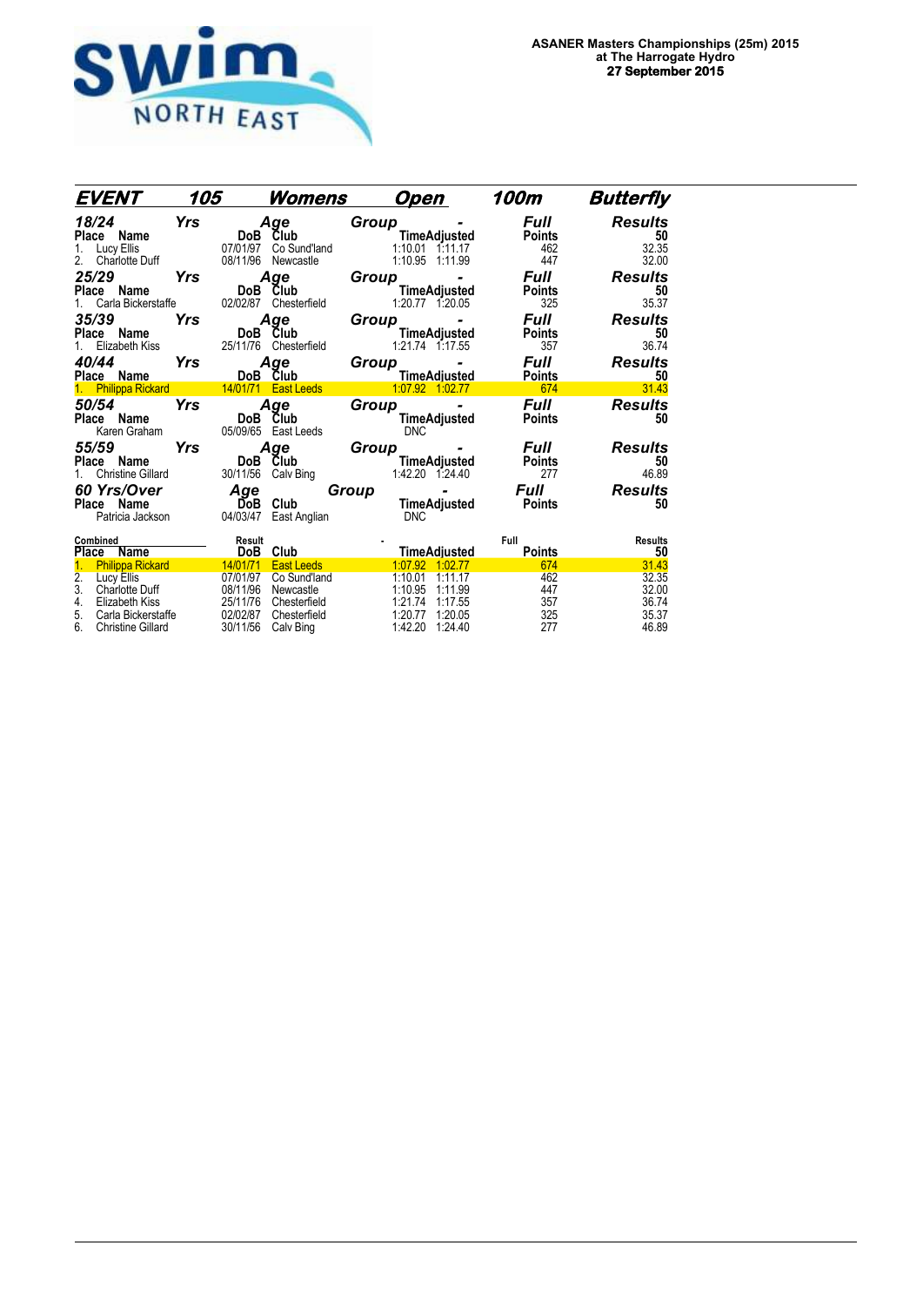

| EVENT                                                                                                                                                                          | 105        |                                                                      | <u>Womens</u>                                                                               | <u>Open</u>                                                                                                                   | 100m                                             | <b>Butterfly</b>                                   |
|--------------------------------------------------------------------------------------------------------------------------------------------------------------------------------|------------|----------------------------------------------------------------------|---------------------------------------------------------------------------------------------|-------------------------------------------------------------------------------------------------------------------------------|--------------------------------------------------|----------------------------------------------------|
| 18/24<br>Place Name<br>Lucy Ellis<br>1.<br><b>Charlotte Duff</b><br>2.                                                                                                         | Yrs        | DoB<br>07/01/97<br>08/11/96                                          | Age<br>Club<br>Co Sund'land<br>Newcastle                                                    | $Group_{\_ \_\_ \_\_ \_\_ \_\_ \}}$<br><b>TimeAdjusted</b><br>$1:10.01$ $1:11.17$<br>1:10.95 1:11.99                          | Full<br><b>Points</b><br>462<br>447              | <b>Results</b><br>50<br>32.35<br>32.00             |
| 25/29<br>Place Name<br>Carla Bickerstaffe<br>1.                                                                                                                                | Yrs        | 02/02/87                                                             | Age<br>DoB Club<br>Chesterfield                                                             | Group<br>$\sim$<br>TimeAdjusted<br>1:20.77 1.20.05                                                                            | <b>Full</b><br><b>Points</b><br>325              | <b>Results</b><br>50<br>35.37                      |
| 35/39<br>Place Name<br>1. Elizabeth Kiss                                                                                                                                       | Yrs        | DoB Club                                                             | Age<br>25/11/76 Chesterfield                                                                | $Group_{\_ \_\_ \_\_ \_\_ \}}$<br>$\sim$<br>TimeAdjusted<br>1:21.74 1:17.55                                                   | <b>Full</b><br><b>Points</b><br>357              | <b>Results</b><br>50<br>36.74                      |
| 40/44<br>Place Name<br>1. Philippa Rickard 14/01/71 East Leeds                                                                                                                 | <b>Yrs</b> |                                                                      | Age<br>DoB Club                                                                             | $Group_{\_ \_\_ \,\_ \,\dots}$<br>$\sim$<br>TimeAdjusted<br>1.07.92 1:02.77                                                   | <b>Full</b><br><b>Points</b><br>$\overline{674}$ | <b>Results</b><br>50<br>31.43                      |
| 50/54<br>Place Name<br>Karen Graham                                                                                                                                            | Yrs        | DoB                                                                  | Age<br>Club<br>05/09/65    East Leeds                                                       | Group_<br>$\sim$<br>TimeAdjusted<br><b>DNC</b>                                                                                | <b>Full</b><br><b>Points</b>                     | <b>Results</b><br>50                               |
| 55/59<br>Place<br>Name<br><b>Christine Gillard</b>                                                                                                                             | Yrs        | DoB<br>30/11/56                                                      | Age<br>Club<br>Calv Bing                                                                    | Group<br><b>TimeAdjusted</b><br>1:42.20 1:24.40                                                                               | <b>Full</b><br><b>Points</b><br>277              | <b>Results</b><br>50<br>46.89                      |
| <b>60 Yrs/Over</b><br>Place Name<br>Patricia Jackson                                                                                                                           |            | Age<br>DoB<br>04/03/47                                               | Club<br>East Anglian                                                                        | Group<br>TimeAdjusted Points<br><b>DNC</b>                                                                                    |                                                  | <b>Results</b><br>50                               |
| Combined<br>Place<br>Name                                                                                                                                                      |            | Result<br>DoB                                                        | Club                                                                                        | <b>TimeAdjusted</b>                                                                                                           | Full<br><b>Points</b>                            | <b>Results</b><br>50                               |
| <b>Philippa Rickard</b><br>$\overline{2}$ .<br>Lucy Ellis<br>3.<br><b>Charlotte Duff</b><br>4.<br>Elizabeth Kiss<br>5.<br>Carla Bickerstaffe<br>6.<br><b>Christine Gillard</b> |            | 14/01/71<br>07/01/97<br>08/11/96<br>25/11/76<br>02/02/87<br>30/11/56 | <b>East Leeds</b><br>Co Sund'land<br>Newcastle<br>Chesterfield<br>Chesterfield<br>Calv Bing | 1:07.92 1:02.77<br>1:10.01<br>1:11.17<br>1:10.95<br>1:11.99<br>1:21.74<br>1:17.55<br>1:20.77<br>1:20.05<br>1:42.20<br>1.24.40 | 674<br>462<br>447<br>357<br>325<br>277           | 31.43<br>32.35<br>32.00<br>36.74<br>35.37<br>46.89 |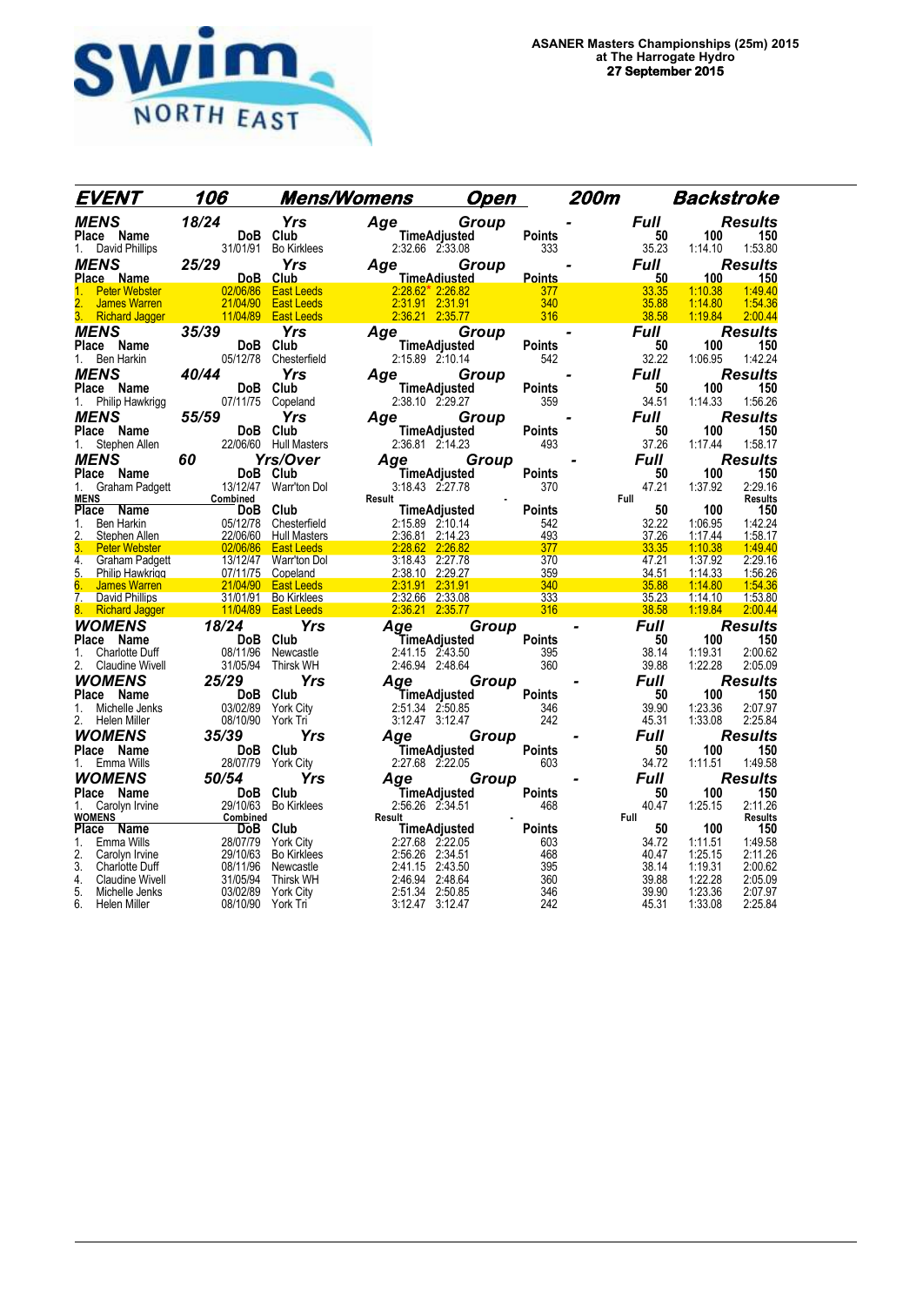

| EVENT                 | 106                                                                    |            | Mens/Womens Open                                                                                                                                                                                                                                                  |       |                | <b>200m</b>                      |                | Backstroke         |                           |
|-----------------------|------------------------------------------------------------------------|------------|-------------------------------------------------------------------------------------------------------------------------------------------------------------------------------------------------------------------------------------------------------------------|-------|----------------|----------------------------------|----------------|--------------------|---------------------------|
|                       |                                                                        |            | MENS 18/24 Yrs Age Group F<br>1. David Phillips 31/01/91 Bo Kirklees 2:32.66 2:33.08 333<br>Place Name DoB Club<br>Place Name DoB Club<br>Place Name DoB Club<br>1. Peter Webster 02/06/86 East Leeds 2:28.62 2:32.68<br>2. James Warren 2                        |       |                |                                  | <b>Full</b>    |                    | Results                   |
|                       |                                                                        |            |                                                                                                                                                                                                                                                                   |       |                |                                  | 50             | 100                | 150                       |
|                       |                                                                        |            |                                                                                                                                                                                                                                                                   |       |                |                                  | 35.23          |                    | 1:14.10  1:53.80          |
|                       |                                                                        |            |                                                                                                                                                                                                                                                                   |       |                |                                  | <b>Full</b>    |                    | <b>Results</b>            |
|                       |                                                                        |            |                                                                                                                                                                                                                                                                   |       |                |                                  | $-50$          |                    | 100 150                   |
|                       |                                                                        |            |                                                                                                                                                                                                                                                                   |       |                |                                  | 33.35<br>35.88 | 1:10.38<br>1:14.80 | 1:49.40<br>1:54.36        |
|                       |                                                                        |            |                                                                                                                                                                                                                                                                   |       |                |                                  | 38.58          | 1:19.84            | 2:00.44                   |
|                       |                                                                        |            |                                                                                                                                                                                                                                                                   |       |                |                                  | <b>Full</b>    |                    | <b>Results</b>            |
|                       |                                                                        |            |                                                                                                                                                                                                                                                                   |       |                |                                  | 50             | 100                | 150                       |
|                       |                                                                        |            |                                                                                                                                                                                                                                                                   |       |                |                                  | 32.22          | 1:06.95            | 1:42.24                   |
| MENS                  | 40/44                                                                  | <b>Yrs</b> | Age                                                                                                                                                                                                                                                               | Group |                |                                  | <b>Full</b>    |                    | <b>Results</b>            |
| Place Name            |                                                                        |            | TimeAdjusted                                                                                                                                                                                                                                                      |       | Points         |                                  | 50             | 100                | 150                       |
| Philip Hawkrigg<br>1. | DoB Club<br>07/11/75 Copeland                                          |            | 2:38.10 2:29.27                                                                                                                                                                                                                                                   |       | ىس 1011<br>359 |                                  | 34.51          | 1:14.33            | 1:56.26                   |
| MENS                  | $\frac{3}{55/59}$ $\frac{55}{59}$ $\frac{1}{100}$ $\frac{1}{100}$      | Yrs        | Age Group                                                                                                                                                                                                                                                         |       |                |                                  | <b>Full</b>    |                    | Results                   |
|                       |                                                                        |            |                                                                                                                                                                                                                                                                   |       |                |                                  | 50             | 100 <sub>1</sub>   | 150                       |
|                       |                                                                        |            |                                                                                                                                                                                                                                                                   |       |                |                                  | 37.26          | 1:17.44            | 1:58.17                   |
|                       |                                                                        |            | <b>MENS</b><br>19<br>Place Name 19<br>1. Stephen Allen 220660 Hull Masters<br>1. Stephen Allen 220660 Hull Masters<br>1. Stephen Allen 220660 Hull Masters<br>Place Name 19<br>Place Name 19<br>19<br>Place Name 19<br>19<br>19<br>Place Name 19<br>19<br>19<br>1 |       |                | $493$<br>Points<br>$370$<br>ints | <b>Full</b>    |                    | <b>Results</b>            |
|                       |                                                                        |            |                                                                                                                                                                                                                                                                   |       |                |                                  | 50             | 100                | 150                       |
|                       |                                                                        |            |                                                                                                                                                                                                                                                                   |       |                |                                  | 47.21          | 1:37.92            | 2:29.16                   |
|                       |                                                                        |            |                                                                                                                                                                                                                                                                   |       |                | Full                             | $50\,$         | 100                | <b>Results</b><br>150     |
|                       |                                                                        |            |                                                                                                                                                                                                                                                                   |       |                |                                  | 32.22          | 1:06.95            | 1:42.24                   |
|                       |                                                                        |            |                                                                                                                                                                                                                                                                   |       |                |                                  | 37.26          | 1:17.44            | 1:58.17                   |
|                       |                                                                        |            |                                                                                                                                                                                                                                                                   |       |                | a barangan                       | 33.35          | 1:10.38            | 1.49.40                   |
|                       |                                                                        |            |                                                                                                                                                                                                                                                                   |       |                |                                  | 47.21          | 1:37.92            | 2:29.16                   |
|                       |                                                                        |            |                                                                                                                                                                                                                                                                   |       |                |                                  | 34.51          | 1:14.33            | 1:56.26                   |
|                       |                                                                        |            |                                                                                                                                                                                                                                                                   |       |                |                                  | 35.88<br>35.23 | 1:14.80<br>1:14.10 | 1.54.36<br>1:53.80        |
|                       |                                                                        |            |                                                                                                                                                                                                                                                                   |       |                |                                  | 38.58          | 1:19.84            | 2:00.44                   |
|                       |                                                                        |            |                                                                                                                                                                                                                                                                   |       |                | $\blacksquare$                   | <b>Full</b>    |                    | <b>Results</b>            |
|                       |                                                                        |            |                                                                                                                                                                                                                                                                   |       |                |                                  | 50             | 100                | 150                       |
|                       |                                                                        |            |                                                                                                                                                                                                                                                                   |       |                |                                  | 38.14          | 1:19.31            | 2:00.62                   |
|                       |                                                                        |            |                                                                                                                                                                                                                                                                   |       |                |                                  | 39.88          | 1:22.28            | 2:05.09                   |
| WOMENS                | 25/29                                                                  |            | k WH<br><b>Yrs Age Group</b><br><b>S</b><br>City 2.51.34 2.50.85 346<br>T <sub>r</sub> 3.12.47 3.12.47 242                                                                                                                                                        |       |                |                                  | <b>Full</b>    |                    | <b>Results</b>            |
|                       |                                                                        |            |                                                                                                                                                                                                                                                                   |       |                |                                  | 50             | 100                | 150                       |
|                       |                                                                        |            |                                                                                                                                                                                                                                                                   |       |                |                                  | 39.90          | 1:23.36            | 2:07.97                   |
| 2. Helen Miller       | 08/10/90 York Tri                                                      |            |                                                                                                                                                                                                                                                                   |       |                |                                  | 45.31          | 1:33.08            | 2:25.84                   |
| <b>WOMENS</b>         | 35/39<br>ح <b>ت <i>5</i>30 DoB</b> Club<br>DoB Club<br>28/07/79 York C |            | <b>Yrs Age Group</b><br>TimeAdjusted Points<br>City 2:27.68 2:22.05 603                                                                                                                                                                                           |       |                |                                  | Full           |                    | <b>Results</b>            |
| Place Name            |                                                                        |            |                                                                                                                                                                                                                                                                   |       |                |                                  | 50             | 100                | 150                       |
| 1. Emma Wills         | 28/07/79 York City                                                     |            |                                                                                                                                                                                                                                                                   |       |                |                                  | 34.72          | 1:11.51            | 1:49.58                   |
|                       |                                                                        |            |                                                                                                                                                                                                                                                                   |       |                |                                  | <b>Full</b>    |                    | <b>Results</b>            |
|                       |                                                                        |            |                                                                                                                                                                                                                                                                   |       | Points         |                                  | 50             | 100                | 150                       |
|                       |                                                                        |            |                                                                                                                                                                                                                                                                   |       |                |                                  | 40.47          | 1:25.15            | 2:11.26<br><b>Results</b> |
|                       |                                                                        |            |                                                                                                                                                                                                                                                                   |       |                | Full                             | 50             | 100                | 150                       |
|                       |                                                                        |            |                                                                                                                                                                                                                                                                   |       |                |                                  | 34.72          | 1:11.51            | 1:49.58                   |
|                       |                                                                        |            |                                                                                                                                                                                                                                                                   |       |                |                                  | 40.47          | 1:25.15            | 2:11.26                   |
|                       |                                                                        |            |                                                                                                                                                                                                                                                                   |       |                |                                  | 38.14          | 1:19.31            | 2:00.62                   |
|                       |                                                                        |            |                                                                                                                                                                                                                                                                   |       |                |                                  | 39.88          | 1:22.28<br>1:23.36 | 2:05.09                   |
|                       |                                                                        |            | 1. Emma Wills 28/07/79 York City<br><b>WOMENS</b> 50/54 Yrs Age Group<br>22/1.68 2:22.05 603<br>22/1.68 2:22.05 608<br>22/1.68 2:22.05 608<br>22/1.68 2:22.05 608<br>22/1.68 2:22.05 608<br>23/07/19 York City<br>23/07/19 York City<br>23/07/19 York             |       |                |                                  | 39.90<br>45.31 | 1:33.08            | 2:07.97<br>2:25.84        |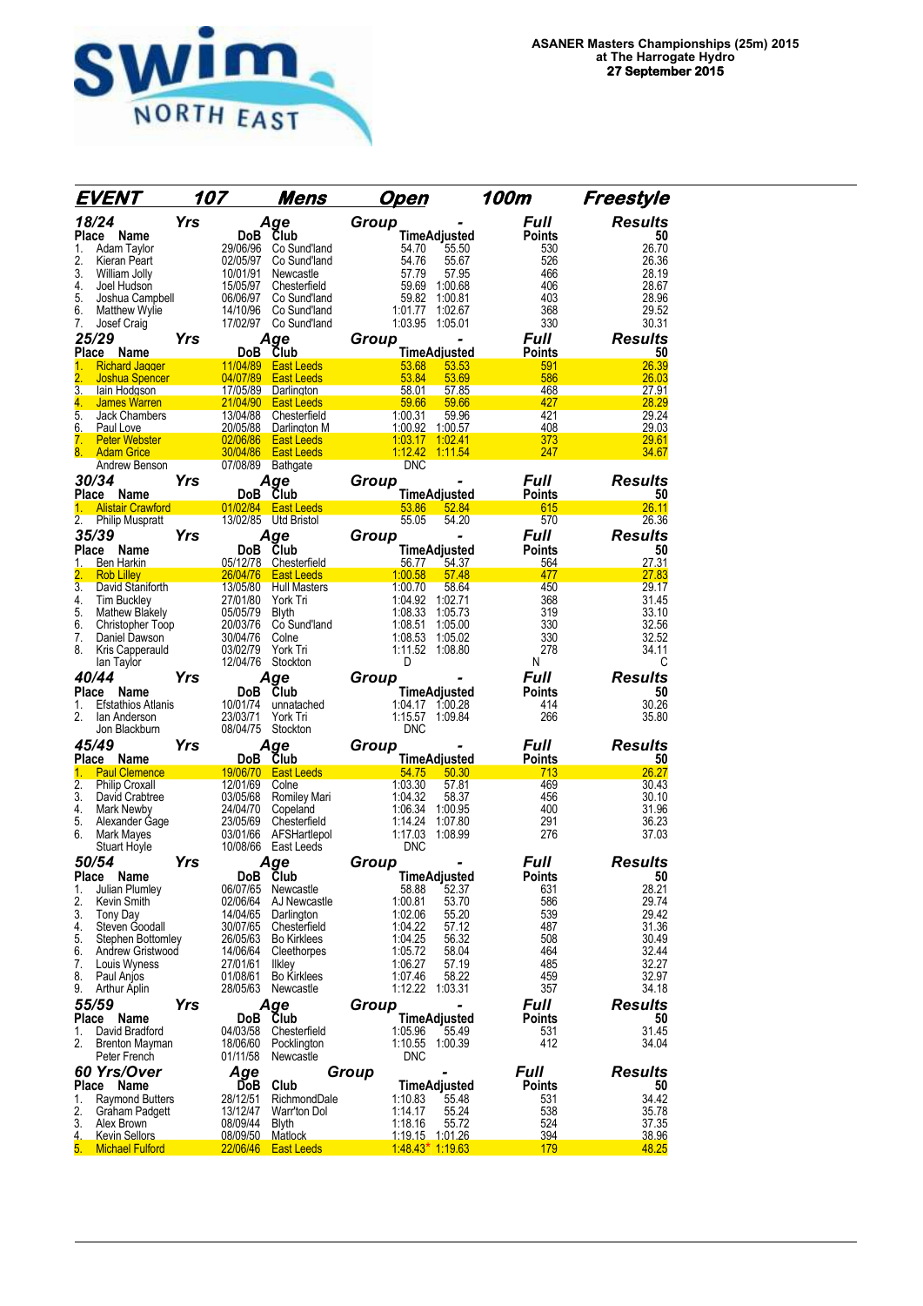

| EVENT                                               | 107                  | Mens                                       | Open                                     | 100m                 | Freestyle      |
|-----------------------------------------------------|----------------------|--------------------------------------------|------------------------------------------|----------------------|----------------|
| 18/24                                               | <b>Yrs</b>           | Age                                        | Group                                    | Full                 | <b>Results</b> |
| Place<br>Name                                       |                      | Club<br>DoB                                | <b>TimeAdjusted</b>                      | <b>Points</b>        | 50             |
| 1.<br>Adam Taylor                                   | 29/06/96             | Co Sund'land                               | 55.50<br>54.70                           | 530                  | 26.70          |
| 2.<br>Kieran Peart                                  | 02/05/97             | Co Sund'land                               | 54.76<br>55.67                           | 526                  | 26.36          |
| 3.<br>William Jolly<br>4.<br>Joel Hudson            | 10/01/91<br>15/05/97 | Newcastle<br>Chesterfield                  | 57.79<br>57.95<br>59.69<br>1:00.68       | 466<br>406           | 28.19<br>28.67 |
| 5.<br>Joshua Campbell                               | 06/06/97             | Co Sund'land                               | 59.82<br>1:00.81                         | 403                  | 28.96          |
| 6.<br><b>Matthew Wylie</b>                          | 14/10/96             | Co Sund'land                               | 1:01.77<br>1:02.67                       | 368                  | 29.52          |
| 7.<br>Josef Craig                                   |                      | 17/02/97 Co Sund'land                      | 1:03.95<br>1:05.01                       | 330                  | 30.31          |
| 25/29                                               | Yrs                  | Aae                                        | Group                                    | <b>Full</b>          | <b>Results</b> |
| Place<br>Name                                       |                      | Club<br>DoB                                | TimeAdjusted                             | <b>Points</b>        | 50             |
| <b>Richard Jagger</b><br>1.<br>2.<br>Joshua Spencer |                      | 11/04/89 East Leeds<br>04/07/89 East Leeds | 53.53<br>53.68<br>53.84<br>53.69         | 591<br>586           | 26.39<br>26.03 |
| 3.<br>lain Hodgson                                  |                      | 17/05/89 Darlington                        | 58.01<br>57.85                           | 468                  | 27.91          |
| 4.<br>James Warren                                  |                      | 21/04/90 East Leeds                        | 59.66<br>59.66                           | 427                  | 28.29          |
| 5.<br>Jack Chambers                                 | 13/04/88             | Chesterfield                               | 1:00.31<br>59.96                         | 421                  | 29.24          |
| 6.<br>Paul Love<br>7.<br><b>Peter Webster</b>       | 02/06/86             | 20/05/88 Darlington M<br><b>East Leeds</b> | 1:00.92 1:00.57<br>1:03.17<br>1:02.41    | 408<br>373           | 29.03<br>29.61 |
| 8. Adam Grice                                       | 30/04/86             | <b>East Leeds</b>                          | 1:12.42<br>1:11.54                       | 247                  | 34.67          |
| Andrew Benson                                       |                      | 07/08/89<br>Bathgate                       | <b>DNC</b>                               |                      |                |
| 30/34                                               | Yrs                  | Aqe                                        | Group                                    | <i><b>Full</b></i>   | Results        |
| Place Name                                          |                      | Club<br>DoB                                | TimeAdjusted                             | <b>Points</b>        | 50             |
| <b>Alistair Crawford</b>                            |                      | 01/02/84 East Leeds                        | 53.86<br>52.84                           | 615                  | 26.11          |
| 2.<br>Philip Muspratt                               |                      | 13/02/85 Utd Bristol                       | 55.05<br>54.20                           | 570                  | 26.36          |
| 35/39                                               | Yrs                  | Age                                        | Group                                    | <b>Full</b>          | <b>Results</b> |
| Place<br>Name<br>Ben Harkin<br>1.                   |                      | DoB Club<br>05/12/78 Chesterfield          | <b>TimeAdjusted</b><br>56.77<br>54.37    | <b>Points</b><br>564 | 50<br>27.31    |
| 2.<br><b>Rob Lilley</b>                             |                      | 26/04/76 East Leeds                        | 1:00.58<br>57.48                         | 477                  | 27.83          |
| $\overline{3}$ .<br>David Staniforth                | 13/05/80             | <b>Hull Masters</b>                        | 1:00.70<br>58.64                         | 450                  | 29.17          |
| 4.<br><b>Tim Buckley</b>                            | 27/01/80             | York Tri                                   | 1:04.92<br>1:02.71                       | 368                  | 31.45          |
| 5.<br><b>Mathew Blakely</b><br>6.                   | 05/05/79<br>20/03/76 | <b>Blyth</b><br>Co Sund'land               | 1:08.33<br>1:05.73<br>1:08.51<br>1:05.00 | 319<br>330           | 33.10<br>32.56 |
| Christopher Toop<br>7.<br>Daniel Dawson             | 30/04/76             | Colne                                      | 1:08.53<br>1:05.02                       | 330                  | 32.52          |
| 8.<br>Kris Capperauld                               | 03/02/79             | York Tri                                   | 1:11.52<br>1:08.80                       | 278                  | 34.11          |
| lan Taylor                                          | 12/04/76             | Stockton                                   | D                                        | N                    | С              |
| 40/44                                               | Yrs                  | Age                                        | Group                                    | <b>Full</b>          | <b>Results</b> |
| <b>Place</b><br>Name                                |                      | Club<br>DoB.                               | <b>TimeAdjusted</b>                      | Points               | 50             |
| 1.<br><b>Efstathios Atlanis</b>                     | 10/01/74             | unnatached                                 | 1:04.17 1:00.28                          | 414                  | 30.26          |
| 2.<br>lan Anderson<br>Jon Blackburn                 | 23/03/71<br>08/04/75 | York Tri<br>Stockton                       | 1:15.57 1:09.84<br><b>DNC</b>            | 266                  | 35.80          |
| 45/49                                               | Yrs                  | Age                                        | Group                                    | <i><b>Full</b></i>   | <b>Results</b> |
| Place Name                                          |                      | DoB Club                                   | TimeAdjusted                             | <b>Points</b>        | 50             |
| 1.<br><b>Paul Clemence</b>                          |                      | 19/06/70 East Leeds                        | 54.75<br>50.30                           | 713                  | 26.27          |
| $\overline{2}$ .<br><b>Philip Croxall</b>           | 12/01/69             | Colne                                      | 1:03.30<br>57.81                         | 469                  | 30.43          |
| 3.<br>David Crabtree<br>4.                          | 03/05/68<br>24/04/70 | Romiley Mari<br>Copeland                   | 1:04.32<br>58.37<br>1:06.34<br>1:00.95   | 456<br>400           | 30.10<br>31.96 |
| Mark Newby<br>5.<br>Alexander Gage                  | 23/05/69             | Chesterfield                               | 1:14.24<br>1:07.80                       | 291                  | 36.23          |
| 6.<br>Mark Mayes                                    | 03/01/66             | AFSHartlepol                               | 1:17.03<br>1:08.99                       | 276                  | 37.03          |
| <b>Stuart Hoyle</b>                                 |                      | 10/08/66 East Leeds                        | <b>DNC</b>                               |                      |                |
| 50/54                                               | Yrs                  | Age                                        | Group                                    | Full                 | <b>Results</b> |
| Place<br>Name                                       |                      | Club<br><b>DoB</b>                         | TimeAdjusted                             | <b>Points</b>        | 50             |
| 1.<br>Julian Plumley<br>2.<br>Kevin Smith           | 06/07/65             | Newcastle                                  | 52.37<br>58.88                           | 631                  | 28.21<br>29.74 |
| 3.<br><b>Tony Day</b>                               | 02/06/64<br>14/04/65 | AJ Newcastle<br>Darlington                 | 1:00.81<br>53.70<br>1:02.06<br>55.20     | 586<br>539           | 29.42          |
| 4.<br>Steven Goodall                                | 30/07/65             | Chesterfield                               | 1:04.22<br>57.12                         | 487                  | 31.36          |
| 5.<br>Stephen Bottomley                             | 26/05/63             | <b>Bo Kirklees</b>                         | 1:04.25<br>56.32                         | 508                  | 30.49          |
| 6.<br>Andrew Gristwood                              | 14/06/64             | Cleethorpes                                | 1:05.72<br>58.04                         | 464                  | 32.44          |
| 7.<br>Louis Wyness<br>8.<br>Paul Anjos              | 27/01/61<br>01/08/61 | <b>Ilkley</b><br><b>Bo Kirklees</b>        | 57.19<br>1:06.27<br>1:07.46<br>58.22     | 485<br>459           | 32.27<br>32.97 |
| 9.<br>Arthur Aplin                                  | 28/05/63             | Newcastle                                  | 1:12.22<br>1:03.31                       | 357                  | 34.18          |
| 55/59                                               | Yrs                  | Age                                        | Group                                    | <i><b>Full</b></i>   | <b>Results</b> |
| Place<br>Name                                       |                      | Club<br>DoB                                | <b>TimeAdjusted</b>                      | Points               | 50             |
| 1.<br>David Bradford                                | 04/03/58             | Chesterfield                               | 1:05.96<br>55.49                         | 531                  | 31.45          |
| 2.<br><b>Brenton Mayman</b>                         | 18/06/60             | Pocklington                                | 1:10.55<br>1:00.39                       | 412                  | 34.04          |
| Peter French                                        | 01/11/58             | Newcastle                                  | <b>DNC</b>                               |                      |                |
| 60 Yrs/Over                                         |                      | Age                                        | Group                                    | <b>Full</b>          | <b>Results</b> |
| Place Name<br>1.                                    | 28/12/51             | DoB<br>Club<br>RichmondDale                | TimeAdjusted<br>1:10.83<br>55.48         | Points<br>531        | 50<br>34.42    |
| Raymond Butters<br>2.<br>Graham Padgett             | 13/12/47             | Warr'ton Dol                               | 1:14.17<br>55.24                         | 538                  | 35.78          |
| 3.<br>Alex Brown                                    | 08/09/44             | Blyth                                      | 1:18.16<br>55.72                         | 524                  | 37.35          |
| 4.<br><b>Kevin Sellors</b>                          |                      | <u>08/09/50 __</u><br><b>Matlock</b>       |                                          | 394                  | <u>38.96</u>   |
| 5.<br><b>Michael Fulford</b>                        |                      | 22/06/46 East Leeds                        | $1.4843*1.1963$                          | 179                  | 48.25          |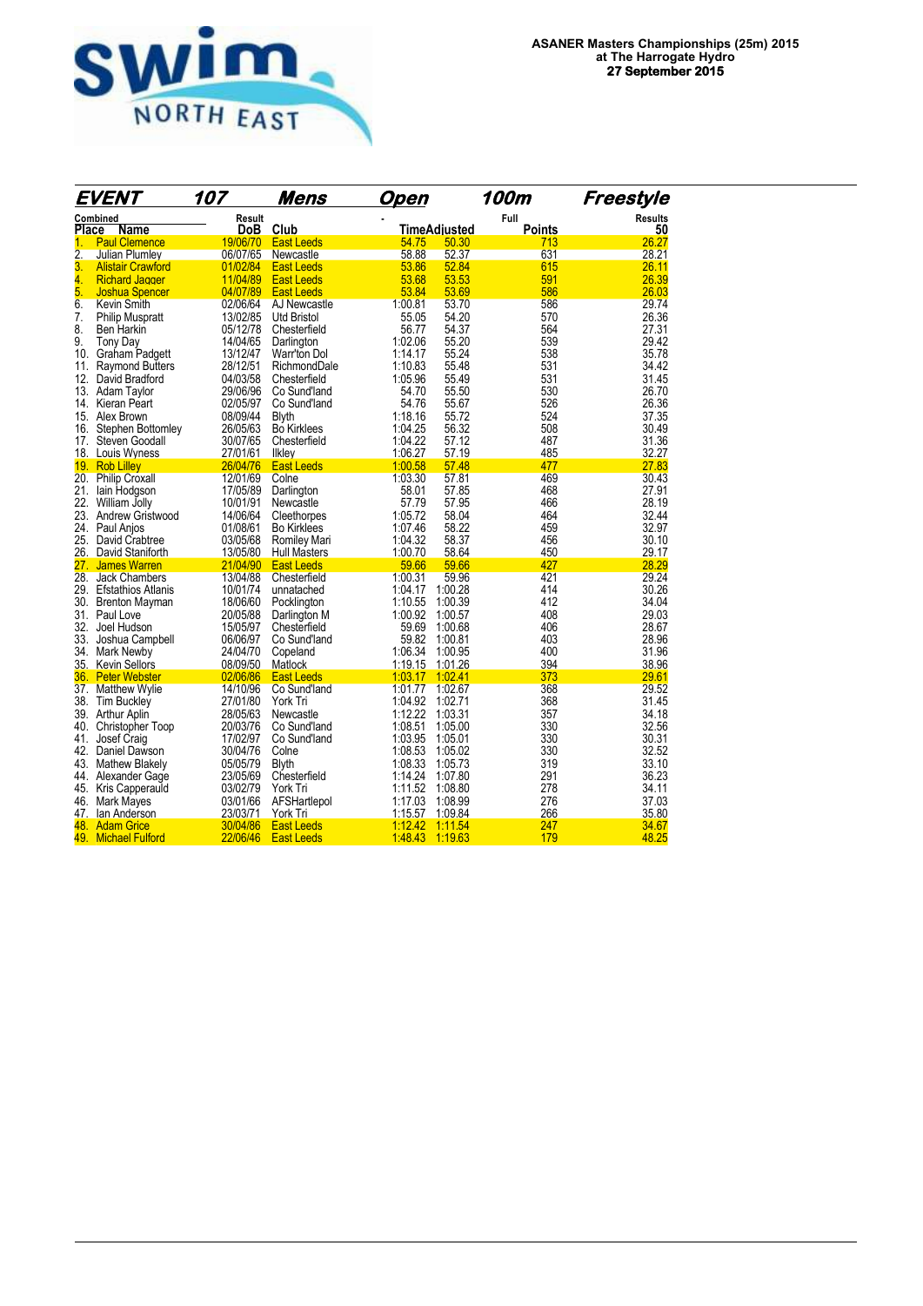

|                  | EVENT                     | 107      | Mens                | Open            |                     | 100m   | Freestyle      |
|------------------|---------------------------|----------|---------------------|-----------------|---------------------|--------|----------------|
|                  | Combined                  | Result   |                     |                 |                     | Full   | <b>Results</b> |
| Place            | Name                      | DoB.     | Club                |                 | <b>TimeAdiusted</b> | Points | 50             |
| 1.               | <b>Paul Clemence</b>      | 19/06/70 | <b>East Leeds</b>   | 54.75           | 50.30               | 713    | 26.27          |
| $\overline{2}$ . | Julian Plumley            | 06/07/65 | Newcastle           | 58.88           | 52.37               | 631    | 28.21          |
| 3.               | <b>Alistair Crawford</b>  | 01/02/84 | <b>East Leeds</b>   | 53.86           | 52.84               | 615    | 26.11          |
| 4.               | <b>Richard Jagger</b>     | 11/04/89 | <b>East Leeds</b>   | 53.68           | 53.53               | 591    | 26.39          |
| 5.               | <b>Joshua Spencer</b>     | 04/07/89 | <b>East Leeds</b>   | 53.84           | 53.69               | 586    | 26.03          |
| 6.               | Kevin Smith               | 02/06/64 | AJ Newcastle        | 1:00.81         | 53.70               | 586    | 29.74          |
| 7.               | <b>Philip Muspratt</b>    | 13/02/85 | <b>Utd Bristol</b>  | 55.05           | 54.20               | 570    | 26.36          |
| 8.               | Ben Harkin                | 05/12/78 | Chesterfield        | 56.77           | 54.37               | 564    | 27.31          |
| 9.               | <b>Tony Day</b>           | 14/04/65 | Darlington          | 1:02.06         | 55.20               | 539    | 29.42          |
| 10.              | Graham Padgett            | 13/12/47 | Warr'ton Dol        | 1:14.17         | 55.24               | 538    | 35.78          |
| 11.              | <b>Raymond Butters</b>    | 28/12/51 | RichmondDale        | 1:10.83         | 55.48               | 531    | 34.42          |
| 12.              | David Bradford            | 04/03/58 | Chesterfield        | 1:05.96         | 55.49               | 531    | 31.45          |
|                  | 13. Adam Taylor           | 29/06/96 | Co Sund'land        | 54.70           | 55.50               | 530    | 26.70          |
| 14.              | Kieran Peart              | 02/05/97 | Co Sund'land        | 54.76           | 55.67               | 526    | 26.36          |
|                  | 15. Alex Brown            | 08/09/44 | <b>Blyth</b>        | 1:18.16         | 55.72               | 524    | 37.35          |
| 16.              | Stephen Bottomley         | 26/05/63 | <b>Bo Kirklees</b>  | 1:04.25         | 56.32               | 508    | 30.49          |
| 17.              | Steven Goodall            | 30/07/65 | Chesterfield        | 1:04.22         | 57.12               | 487    | 31.36          |
|                  | 18. Louis Wyness          | 27/01/61 | Ilkley              | 1:06.27         | 57.19               | 485    | 32.27          |
|                  | 19. Rob Lilley            | 26/04/76 | <b>East Leeds</b>   | 1:00.58         | 57.48               | 477    | 27.83          |
| 20.              | <b>Philip Croxall</b>     | 12/01/69 | Colne               | 1:03.30         | 57.81               | 469    | 30.43          |
| 21.              | lain Hodgson              | 17/05/89 | Darlington          | 58.01           | 57.85               | 468    | 27.91          |
| 22.              | William Jolly             | 10/01/91 | Newcastle           | 57.79           | 57.95               | 466    | 28.19          |
| 23.              | Andrew Gristwood          | 14/06/64 | Cleethorpes         | 1:05.72         | 58.04               | 464    | 32.44          |
| 24.              | Paul Anjos                | 01/08/61 | <b>Bo Kirklees</b>  | 1:07.46         | 58.22               | 459    | 32.97          |
| 25.              | David Crabtree            | 03/05/68 | Romiley Mari        | 1:04.32         | 58.37               | 456    | 30.10          |
| 26.              | David Staniforth          | 13/05/80 | <b>Hull Masters</b> | 1:00.70         | 58.64               | 450    | 29.17          |
| 27.              | <b>James Warren</b>       | 21/04/90 | <b>East Leeds</b>   | 59.66           | 59.66               | 427    | 28.29          |
| 28.              | <b>Jack Chambers</b>      | 13/04/88 | Chesterfield        | 1:00.31         | 59.96               | 421    | 29.24          |
| 29.              | <b>Efstathios Atlanis</b> | 10/01/74 | unnatached          | 1:04.17         | 1:00.28             | 414    | 30.26          |
|                  | 30. Brenton Mayman        | 18/06/60 | Pocklington         | 1:10.55         | 1:00.39             | 412    | 34.04          |
|                  | 31. Paul Love             | 20/05/88 | Darlington M        | 1:00.92         | 1:00.57             | 408    | 29.03          |
|                  | 32. Joel Hudson           | 15/05/97 | Chesterfield        | 59.69           | 1:00.68             | 406    | 28.67          |
| 33.              | Joshua Campbell           | 06/06/97 | Co Sund'land        | 59.82           | 1:00.81             | 403    | 28.96          |
| 34.              | Mark Newby                | 24/04/70 | Copeland            | 1:06.34         | 1:00.95             | 400    | 31.96          |
|                  | 35. Kevin Sellors         | 08/09/50 | Matlock             | 1:19.15         | 1:01.26             | 394    | 38.96          |
| 36.              | <b>Peter Webster</b>      | 02/06/86 | <b>East Leeds</b>   | 1:03.17         | 1:02.41             | 373    | 29.61          |
|                  | 37. Matthew Wylie         | 14/10/96 | Co Sund'land        | 1:01.77         | 1:02.67             | 368    | 29.52          |
|                  | 38. Tim Buckley           | 27/01/80 |                     | 1:04.92         | 1:02.71             | 368    | 31.45          |
|                  |                           |          | York Tri            | 1:12.22         |                     | 357    | 34.18          |
|                  | 39. Arthur Aplin          | 28/05/63 | Newcastle           |                 | 1:03.31             |        |                |
| 40.              | <b>Christopher Toop</b>   | 20/03/76 | Co Sund'land        | 1:08.51         | 1:05.00             | 330    | 32.56          |
| 41.              | Josef Craig               | 17/02/97 | Co Sund'land        | 1:03.95         | 1:05.01             | 330    | 30.31          |
|                  | 42. Daniel Dawson         | 30/04/76 | Colne               | 1:08.53         | 1:05.02             | 330    | 32.52          |
| 43.              | <b>Mathew Blakely</b>     | 05/05/79 | <b>Blyth</b>        | 1:08.33         | 1:05.73             | 319    | 33.10          |
| 44.              | Alexander Gage            | 23/05/69 | Chesterfield        | 1:14.24         | 1:07.80             | 291    | 36.23          |
| 45.              | Kris Capperauld           | 03/02/79 | York Tri            | 1:11.52         | 1:08.80             | 278    | 34.11          |
| 46.              | Mark Mayes                | 03/01/66 | AFSHartlepol        | 1:17.03         | 1:08.99             | 276    | 37.03          |
|                  | 47. Ian Anderson          | 23/03/71 | York Tri            | 1:15.57         | 1:09.84             | 266    | 35.80          |
| 48.              | <b>Adam Grice</b>         | 30/04/86 | <b>East Leeds</b>   | 1:12.42         | 1:11.54             | 247    | 34.67          |
|                  | 49. Michael Fulford       | 22/06/46 | <b>East Leeds</b>   | 1.48.43 1:19.63 |                     | 179    | 48.25          |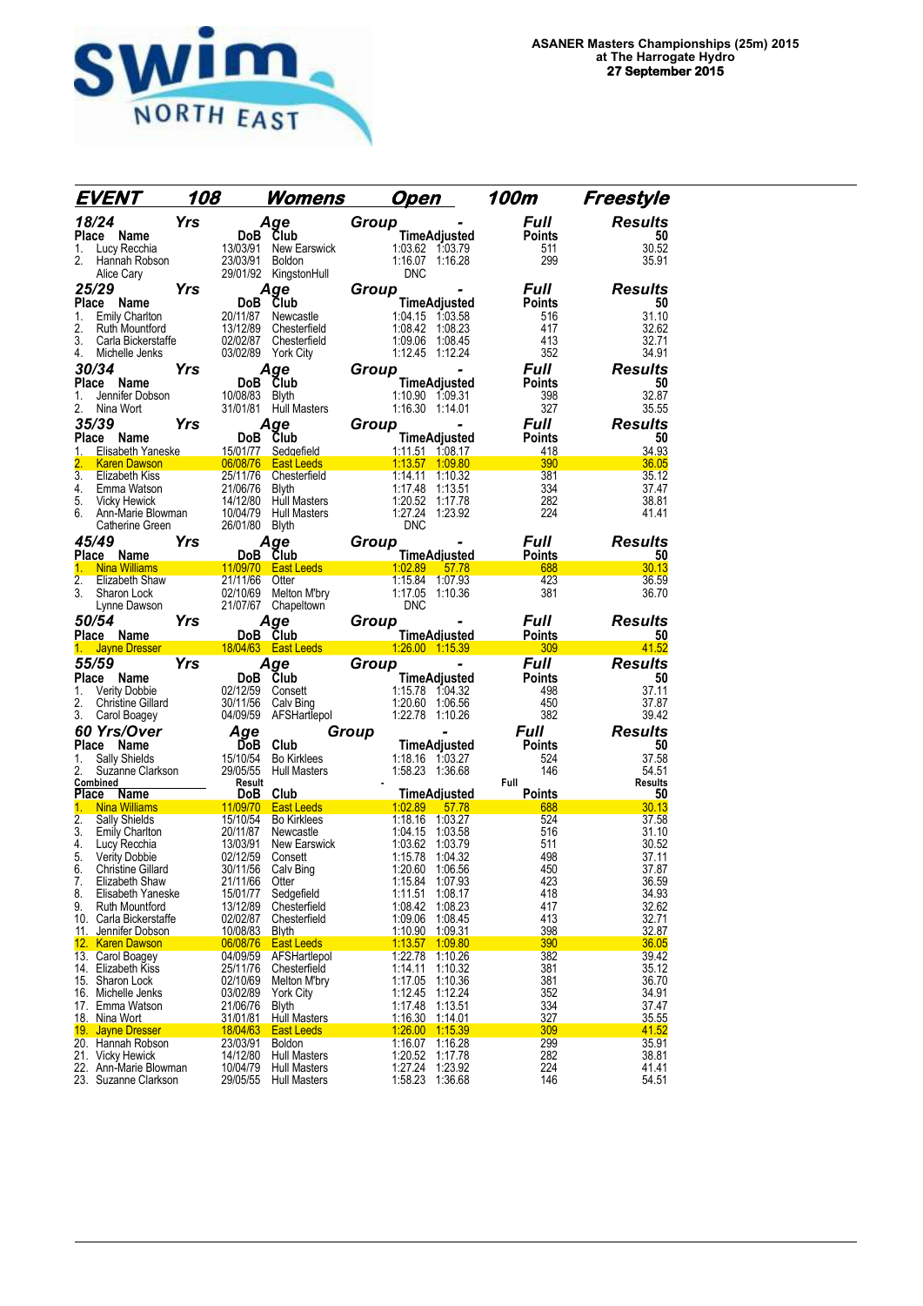

| EVENT                                                                       | 108                              | <u>Womens</u>                                                     | <u>Open</u>                                                    | 100m                 | Freestyle               |
|-----------------------------------------------------------------------------|----------------------------------|-------------------------------------------------------------------|----------------------------------------------------------------|----------------------|-------------------------|
| 18/24                                                                       | <b>Yrs</b>                       | Age                                                               | Group                                                          | <b>Full</b>          | <b>Results</b>          |
| Place Name                                                                  |                                  | DoB Club                                                          | <b>TimeAdjusted</b>                                            | <b>Points</b>        | 50                      |
| 1.<br>Lucy Recchia<br>2.<br>Hannah Robson                                   | 13/03/91<br>23/03/91             | New Earswick<br>Boldon                                            | 1:03.62 1:03.79<br>1:16.07 1:16.28                             | 511<br>299           | 30.52<br>35.91          |
| Alice Cary                                                                  |                                  | 29/01/92 KingstonHull                                             | <b>DNC</b>                                                     |                      |                         |
| 25/29                                                                       | Yrs                              | Aqe                                                               | Group                                                          | <b>Full</b>          | <b>Results</b>          |
| Place<br>Name                                                               |                                  | DoB Club                                                          | TimeAdjusted                                                   | <b>Points</b>        | 50                      |
| <b>Emily Charlton</b><br>1.                                                 | 20/11/87                         | Newcastle                                                         | 1:04.15 1:03.58                                                | 516                  | 31.10                   |
| 2.<br>Ruth Mountford<br>3.<br>Carla Bickerstaffe                            |                                  | 13/12/89 Chesterfield<br>02/02/87 Chesterfield                    | 1:08.42 1:08.23<br>1:09.06 1:08.45                             | 417<br>413           | 32.62<br>32.71          |
| 4.<br>Michelle Jenks                                                        |                                  | 03/02/89 York City                                                | 1:12.45 1:12.24                                                | 352                  | 34.91                   |
| 30/34                                                                       | <b>Yrs</b>                       | Age                                                               | Group                                                          | <b>Full</b>          | <b>Results</b>          |
| Place Name                                                                  |                                  | DoB Club                                                          | <b>TimeAdjusted</b>                                            | <b>Points</b>        | 50                      |
| 1.<br>Jennifer Dobson<br>2.<br>Nina Wort                                    | 10/08/83 Blvth                   | 31/01/81 Hull Masters                                             | 1:10.90 1:09.31<br>1:16.30 1:14.01                             | 398<br>327           | 32.87<br>35.55          |
| 35/39                                                                       | Yrs                              | Age                                                               | Group                                                          | <b>Full</b>          | <b>Results</b>          |
| Place Name                                                                  |                                  | DoB Club                                                          | TimeAdjusted                                                   | <b>Points</b>        | 50                      |
| 1.<br>Elisabeth Yaneske                                                     |                                  | 15/01/77 Sedgefield                                               | 1:11.51 1:08.17                                                | 418                  | 34.93                   |
| <b>Karen Dawson</b><br>$\overline{3}$ .                                     |                                  | 06/08/76 East Leeds                                               | 1:13.57 1:09.80<br>1:14.11<br>1:10.32                          | 390                  | 36.05<br>35.12          |
| Elizabeth Kiss<br>4.<br>Emma Watson                                         | 21/06/76                         | 25/11/76 Chesterfield<br><b>Blyth</b>                             | 1:17.48<br>1:13.51                                             | 381<br>334           | 37.47                   |
| 5.<br>Vicky Hewick                                                          |                                  | 14/12/80 Hull Masters                                             | 1:20.52 1:17.78                                                | 282                  | 38.81                   |
| 6.<br>Ann-Marie Blowman                                                     |                                  | 10/04/79 Hull Masters                                             | 1:27.24 1:23.92                                                | 224                  | 41.41                   |
| Catherine Green<br>45/49                                                    | 26/01/80<br>Yrs                  | Blyth<br>Age                                                      | <b>DNC</b><br>Group                                            | Full                 | <b>Results</b>          |
| Place Name                                                                  |                                  | DoB Club                                                          | <b>TimeAdjusted</b>                                            | <b>Points</b>        | 50                      |
| <b>Nina Williams</b><br>1.                                                  |                                  |                                                                   | 11/09/70 East Leeds 1:02.89<br>57.78                           | 688                  | 30.13                   |
| $\overline{2}$ .<br>Elizabeth Shaw<br>3.                                    | 21/11/66                         | Otter                                                             | 1:15.84 1:07.93                                                | 423                  | 36.59                   |
| Sharon Lock<br>Lynne Dawson                                                 | 02/10/69                         | Melton M'bry<br>21/07/67 Chapeltown                               | 1:17.05 1:10.36<br>DNC                                         | 381                  | 36.70                   |
| 50/54                                                                       | Yrs                              | Age                                                               | Group                                                          | Full                 | <b>Results</b>          |
|                                                                             |                                  |                                                                   |                                                                |                      |                         |
| Place Name                                                                  |                                  | DoB Club                                                          | <b>TimeAdjusted</b>                                            | <b>Points</b>        | 50                      |
| 1.<br><b>Jayne Dresser</b>                                                  |                                  | 18/04/63 East Leeds                                               | 1.26.00 1:15.39                                                | 309                  | 41.52                   |
| 55/59                                                                       | Yrs                              | Age                                                               | Group                                                          | <b>Full</b>          | <b>Results</b>          |
| Place Name<br>1.                                                            |                                  | DoB Club<br>02/12/59 Consett                                      | <b>TimeAdjusted</b><br>1:15.78 1:04.32                         | <b>Points</b><br>498 | 50<br>37.11             |
| <b>Verity Dobbie</b><br>2.<br><b>Christine Gillard</b>                      |                                  | 30/11/56 Calv Bing                                                | 1:20.60 1:06.56                                                | 450                  | 37.87                   |
| 3.<br>Carol Boagey                                                          | 04/09/59                         | AFSHartlepol                                                      | 1:22.78 1:10.26                                                | 382                  | 39.42                   |
| 60 Yrs/Over                                                                 | Age                              |                                                                   | Group                                                          | <b>Full</b>          | <b>Results</b>          |
| Place Name                                                                  | ĎоВ                              | Club                                                              | <b>TimeAdjusted</b>                                            | <b>Points</b>        | 50                      |
| 1.<br>Sally Shields<br>2.<br>Suzanne Clarkson                               | 15/10/54<br>29/05/55             | <b>Bo Kirklees</b><br><b>Hull Masters</b>                         | 1:18.16 1:03.27<br>1:58.23 1:36.68                             | 524<br>146           | 37.58<br>54.51          |
| Combined                                                                    | Result                           |                                                                   |                                                                | Full                 | Results                 |
| Place Name<br>1.<br><b>Nina Williams</b>                                    |                                  | DoB Club                                                          | <b>TimeAdiusted</b>                                            | <b>Points</b>        | 50                      |
| $\overline{2}$ .<br><b>Sally Shields</b>                                    | 11/09/70<br>15/10/54             | <b>East Leeds</b><br><b>Bo Kirklees</b>                           | 1:02.89<br>57.78<br>1:18.16 1:03.27                            | 688<br>524           | 30.13<br>37.58          |
| 3.<br>Emily Charlton                                                        | 20/11/87                         | Newcastle                                                         | 1:04.15<br>1:03.58                                             | 516                  | 31.10                   |
| 4.<br>Lucy Recchia                                                          | 13/03/91                         | New Earswick                                                      | 1:03.62 1:03.79<br>1:04.32                                     | 511                  | 30.52                   |
| 5.<br>Verity Dobbie<br>6.<br><b>Christine Gillard</b>                       | 02/12/59<br>30/11/56             | Consett<br>Calv Bing                                              | 1:15.78<br>1:20.60<br>1:06.56                                  | 498<br>450           | 37.11<br>37.87          |
| 7.<br>Elizabeth Shaw                                                        | 21/11/66                         | Otter                                                             | 1:15.84 1:07.93                                                | 423                  | 36.59                   |
| 8.<br>Elisabeth Yaneske                                                     | 15/01/77                         | Sedgefield                                                        | 1:08.17<br>1:11.51                                             | 418                  | 34.93                   |
| 9.<br>Ruth Mountford<br>10. Carla Bickerstaffe                              | 13/12/89<br>02/02/87             | Chesterfield<br>Chesterfield                                      | 1:08.23<br>1:08.42<br>1:09.06<br>1:08.45                       | 417<br>413           | 32.62<br>32.71          |
| 11. Jennifer Dobson                                                         | 10/08/83                         | <b>Blyth</b>                                                      | 1:10.90<br>1.09.31                                             | 398                  | 32.87                   |
| 12. Karen Dawson                                                            | 06/08/76                         | <b>East Leeds</b>                                                 | 1:13.57<br>1:09.80                                             | 390                  | 36.05                   |
| 13. Carol Boagev<br>14. Elizabeth Kiss                                      | 04/09/59<br>25/11/76             | AFSHartlepol<br>Chesterfield                                      | 1:22.78<br>1:10.26<br>1:14.11<br>1:10.32                       | 382<br>381           | 39.42<br>35.12          |
| 15. Sharon Lock                                                             | 02/10/69                         | Melton M'bry                                                      | 1:17.05<br>1:10.36                                             | 381                  | 36.70                   |
| 16. Michelle Jenks                                                          | 03/02/89                         | York City                                                         | 1:12.45<br>1:12.24                                             | 352                  | 34.91                   |
| 17. Emma Watson<br><u>18. Nina Wort</u>                                     | 21/06/76<br><u>31/01/81</u>      | <b>Blyth</b><br><b>Hull Masters</b>                               | 1:17.48<br>1:13.51<br>1:16.30<br>1.14.01                       | 334<br>327           | 37.47<br>35.55          |
| 19. Jayne Dresser                                                           | 18/04/63                         | <b>East Leeds</b>                                                 | 1:26.00<br>1:15.39                                             | 309                  | 41.52                   |
| 20. Hannah Robson                                                           | 23/03/91                         | <b>Boldon</b>                                                     | 1:16.07<br>1:16.28                                             | <b>299</b>           | 35.91                   |
| 21.<br><b>Vicky Hewick</b><br>22. Ann-Marie Blowman<br>23. Suzanne Clarkson | 14/12/80<br>10/04/79<br>29/05/55 | <b>Hull Masters</b><br><b>Hull Masters</b><br><b>Hull Masters</b> | 1:20.52<br>1:17.78<br>1:27.24<br>1:23.92<br>1:58.23<br>1:36.68 | 282<br>224<br>146    | 38.81<br>41.41<br>54.51 |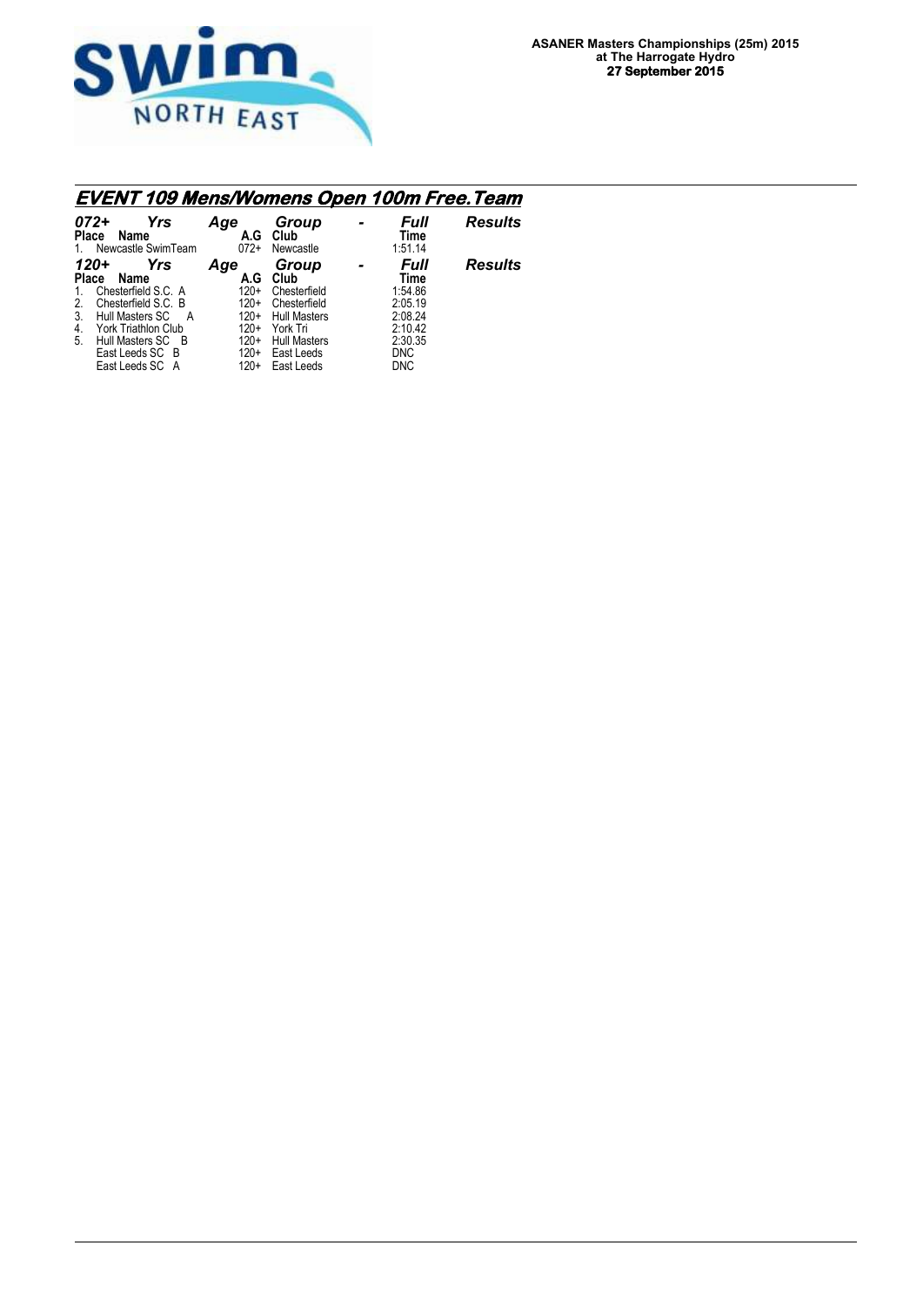

## **EVENT 109 Mens/Womens Open 100m Free.Team**

| $072+$<br>Yrs<br><b>Place</b><br>Name<br>Newcastle SwimTeam<br>$1_{-}$                                                                                                                                                                   | Age<br>A.G<br>$072+$                                                             | Group<br>Club<br>Newcastle                                                                                                          | Full<br>Time<br>1:51.14                                                                         | <b>Results</b> |
|------------------------------------------------------------------------------------------------------------------------------------------------------------------------------------------------------------------------------------------|----------------------------------------------------------------------------------|-------------------------------------------------------------------------------------------------------------------------------------|-------------------------------------------------------------------------------------------------|----------------|
| Yrs<br>120+<br>Place<br>Name<br>Chesterfield S.C. A<br>$\mathbf{1}$ .<br>Chesterfield S.C. B<br>2.<br>3.<br>Hull Masters SC<br>A<br>4.<br><b>York Triathlon Club</b><br>5.<br>Hull Masters SC B<br>East Leeds SC B<br>East Leeds SC<br>A | Age<br>A.G<br>$120+$<br>$120+$<br>$120+$<br>$120+$<br>$120+$<br>$120+$<br>$120+$ | Group<br>Club<br>Chesterfield<br>Chesterfield<br><b>Hull Masters</b><br>York Tri<br><b>Hull Masters</b><br>East Leeds<br>East Leeds | Full<br>Time<br>1:54.86<br>2:05.19<br>2:08.24<br>2:10.42<br>2:30.35<br><b>DNC</b><br><b>DNC</b> | <b>Results</b> |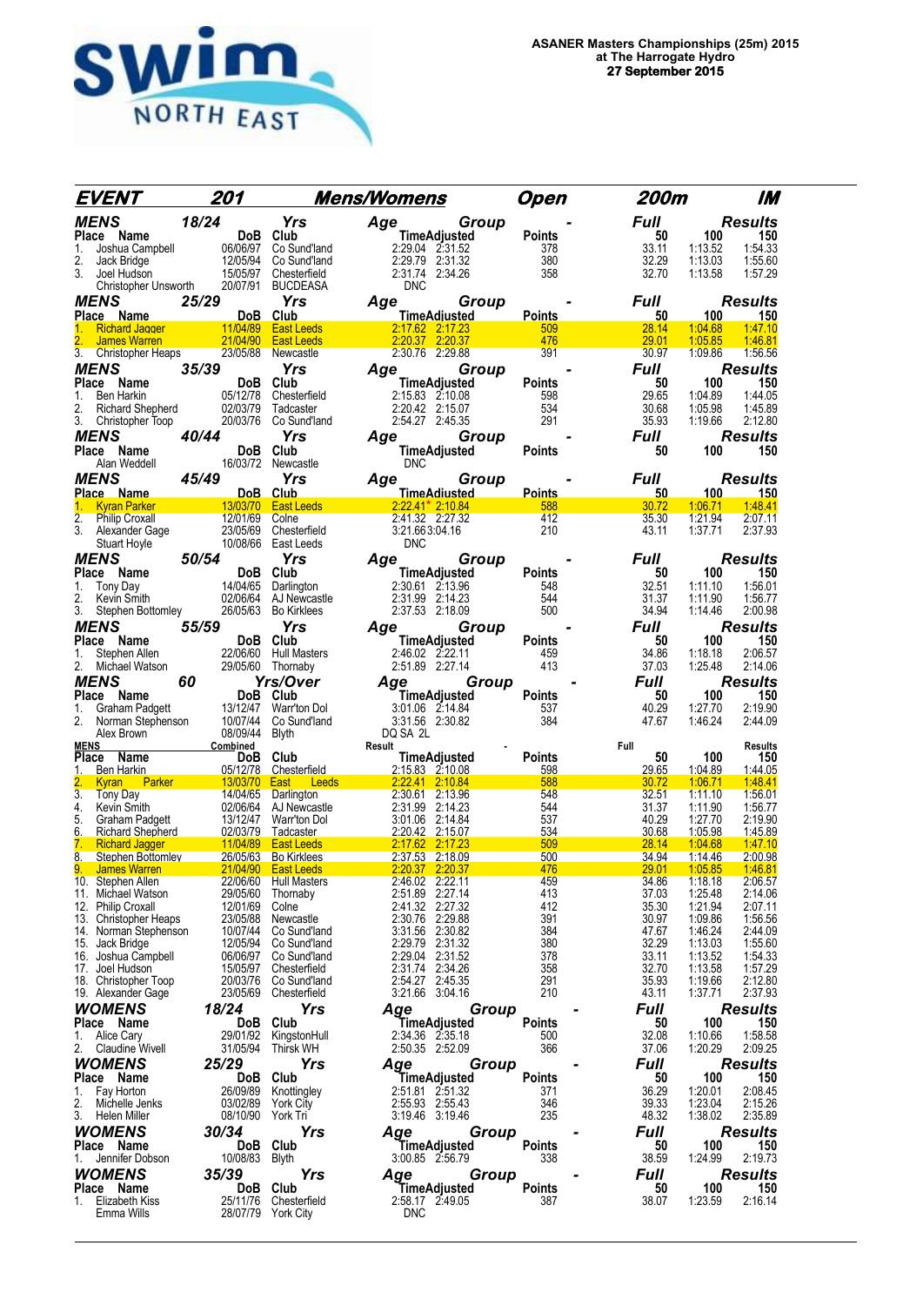

|                                          |                                |                                                | <u>EVENT 201 Mens/Womens</u><br>$\begin{tabular}{l c c c c c} \hline \textbf{EVENT} & \textbf{201} & \textbf{Mens/Womens} & \textbf{Open} & \textbf{201} & \textbf{202} & \textbf{203} & \textbf{204} & \textbf{205} & \textbf{208} & \textbf{209} & \textbf{201} & \textbf{201} & \textbf{201} & \textbf{201} & \textbf{202} & \textbf{201} & \textbf{201} & \textbf{202} & \textbf{203} & \textbf{203} & \textbf{204} & \$ | Open                 | 200m            | IM                                       |
|------------------------------------------|--------------------------------|------------------------------------------------|------------------------------------------------------------------------------------------------------------------------------------------------------------------------------------------------------------------------------------------------------------------------------------------------------------------------------------------------------------------------------------------------------------------------------|----------------------|-----------------|------------------------------------------|
|                                          |                                |                                                |                                                                                                                                                                                                                                                                                                                                                                                                                              |                      | Full            | <b>Results</b>                           |
|                                          |                                |                                                |                                                                                                                                                                                                                                                                                                                                                                                                                              |                      | 50              | 100<br>150                               |
|                                          |                                |                                                |                                                                                                                                                                                                                                                                                                                                                                                                                              |                      | 33.11           | 1:54.33<br>1:13.52                       |
|                                          |                                |                                                |                                                                                                                                                                                                                                                                                                                                                                                                                              |                      | 32.29<br>32.70  | 1:13.03<br>1:55.60                       |
|                                          |                                |                                                |                                                                                                                                                                                                                                                                                                                                                                                                                              |                      |                 | 1:13.58<br>1:57.29                       |
|                                          |                                |                                                |                                                                                                                                                                                                                                                                                                                                                                                                                              |                      | Full            | Results                                  |
|                                          |                                |                                                |                                                                                                                                                                                                                                                                                                                                                                                                                              |                      | 50              | 100<br>150                               |
|                                          |                                |                                                |                                                                                                                                                                                                                                                                                                                                                                                                                              |                      | 28.14           | 1:04.68<br>1:47.10                       |
|                                          |                                |                                                |                                                                                                                                                                                                                                                                                                                                                                                                                              |                      | 29.01           | 1:05.85<br>1:46.81                       |
|                                          |                                |                                                |                                                                                                                                                                                                                                                                                                                                                                                                                              |                      | 30.97           | 1:09.86<br>1:56.56                       |
|                                          |                                |                                                |                                                                                                                                                                                                                                                                                                                                                                                                                              |                      | Full            | <b>Results</b>                           |
|                                          |                                |                                                |                                                                                                                                                                                                                                                                                                                                                                                                                              |                      | 50<br>29.65     | 150<br>100<br>1:44.05<br>1:04.89         |
|                                          |                                |                                                |                                                                                                                                                                                                                                                                                                                                                                                                                              |                      | 30.68           | 1:05.98<br>1:45.89                       |
|                                          |                                |                                                |                                                                                                                                                                                                                                                                                                                                                                                                                              |                      | 35.93           | 1:19.66<br>2:12.80                       |
|                                          |                                |                                                |                                                                                                                                                                                                                                                                                                                                                                                                                              |                      | Full            | <b>Results</b>                           |
|                                          |                                |                                                |                                                                                                                                                                                                                                                                                                                                                                                                                              |                      | 50              | 150<br>100                               |
|                                          |                                |                                                |                                                                                                                                                                                                                                                                                                                                                                                                                              |                      |                 |                                          |
|                                          |                                |                                                |                                                                                                                                                                                                                                                                                                                                                                                                                              |                      | <b>Full</b>     | <b>Results</b>                           |
|                                          |                                |                                                |                                                                                                                                                                                                                                                                                                                                                                                                                              |                      | 50 <sub>2</sub> | 100<br>$-150$                            |
|                                          |                                |                                                |                                                                                                                                                                                                                                                                                                                                                                                                                              |                      | 30.72<br>35.30  | 148.41<br>1:06.71<br>1:21.94<br>2:07.11  |
|                                          |                                |                                                |                                                                                                                                                                                                                                                                                                                                                                                                                              |                      | 43.11           | 1:37.71<br>2:37.93                       |
|                                          |                                |                                                |                                                                                                                                                                                                                                                                                                                                                                                                                              |                      |                 |                                          |
|                                          |                                |                                                |                                                                                                                                                                                                                                                                                                                                                                                                                              |                      | Full            | <b>Results</b>                           |
|                                          |                                |                                                |                                                                                                                                                                                                                                                                                                                                                                                                                              |                      | 50              | 100<br>150                               |
|                                          |                                |                                                |                                                                                                                                                                                                                                                                                                                                                                                                                              |                      | 32.51           | 1:11.10<br>1:56.01                       |
|                                          |                                |                                                |                                                                                                                                                                                                                                                                                                                                                                                                                              |                      | 31.37<br>34.94  | 1:11.90<br>1:56.77<br>1:14.46<br>2:00.98 |
|                                          |                                |                                                |                                                                                                                                                                                                                                                                                                                                                                                                                              |                      | <b>Full</b>     | <b>Results</b>                           |
|                                          |                                |                                                |                                                                                                                                                                                                                                                                                                                                                                                                                              |                      | 50              | 100<br>150                               |
|                                          |                                |                                                |                                                                                                                                                                                                                                                                                                                                                                                                                              |                      | 34.86           | 2:06.57<br>1:18.18                       |
|                                          |                                |                                                |                                                                                                                                                                                                                                                                                                                                                                                                                              |                      | 37.03           | 1:25.48<br>2:14.06                       |
|                                          |                                |                                                |                                                                                                                                                                                                                                                                                                                                                                                                                              |                      | <b>Full</b>     | <b>Results</b>                           |
|                                          |                                |                                                |                                                                                                                                                                                                                                                                                                                                                                                                                              |                      | 50              | 100<br>150                               |
|                                          |                                |                                                |                                                                                                                                                                                                                                                                                                                                                                                                                              |                      | 40.29<br>47.67  | 2:19.90<br>1:27.70<br>2:44.09            |
|                                          |                                |                                                |                                                                                                                                                                                                                                                                                                                                                                                                                              |                      |                 | 1.46.24                                  |
|                                          |                                |                                                |                                                                                                                                                                                                                                                                                                                                                                                                                              |                      |                 | Results                                  |
|                                          |                                |                                                |                                                                                                                                                                                                                                                                                                                                                                                                                              |                      | 50              | 100<br>150                               |
|                                          |                                |                                                |                                                                                                                                                                                                                                                                                                                                                                                                                              |                      | 29.65<br>30.72  | 1:04.89<br>1:44.05<br>1:06.71<br>1.48.41 |
|                                          |                                |                                                |                                                                                                                                                                                                                                                                                                                                                                                                                              |                      | 32.51           | 1:11.10<br>1:56.01                       |
|                                          |                                |                                                |                                                                                                                                                                                                                                                                                                                                                                                                                              |                      | 31.37           | 1:11.90<br>1:56.77                       |
|                                          |                                |                                                |                                                                                                                                                                                                                                                                                                                                                                                                                              |                      | 40.29           | 1:27.70<br>2:19.90                       |
|                                          |                                |                                                |                                                                                                                                                                                                                                                                                                                                                                                                                              |                      | 30.68<br>28.14  | 1:45.89<br>1:05.98<br>1:04.68<br>1:47.10 |
|                                          |                                |                                                |                                                                                                                                                                                                                                                                                                                                                                                                                              |                      | 34.94           | 1:14.46<br>2:00.98                       |
|                                          |                                |                                                | $2:37.53$ $2:18.09$<br>$2:20.37$ $2:20.37$                                                                                                                                                                                                                                                                                                                                                                                   | 476                  | 29.01           | 1:46.81<br>1:05.85                       |
| 10. Stephen Allen                        | 22/06/60                       | <b>Hull Masters</b>                            | 2:46.02 2:22.11                                                                                                                                                                                                                                                                                                                                                                                                              | 459                  | 34.86           | 1:18.18<br>2:06.57                       |
| 11. Michael Watson<br>12. Philip Croxall | 29/05/60<br>12/01/69           | Thornaby<br>Colne                              | 2:51.89 2:27.14<br>2:41.32 2:27.32                                                                                                                                                                                                                                                                                                                                                                                           | 413<br>412           | 37.03<br>35.30  | 1:25.48<br>2:14.06<br>1:21.94<br>2:07.11 |
| 13. Christopher Heaps                    | 23/05/88                       | Newcastle                                      | 2:30.76 2:29.88                                                                                                                                                                                                                                                                                                                                                                                                              | 391                  | 30.97           | 1:09.86<br>1:56.56                       |
| 14. Norman Stephenson                    | 10/07/44                       | Co Sund'land                                   | 3:31.56 2:30.82                                                                                                                                                                                                                                                                                                                                                                                                              | 384                  | 47.67           | 1:46.24<br>2:44.09                       |
| 15. Jack Bridge                          | 12/05/94                       | Co Sund'land                                   | 2:29.79 2:31.32                                                                                                                                                                                                                                                                                                                                                                                                              | 380                  | 32.29           | 1:55.60<br>1:13.03                       |
| 16. Joshua Campbell                      |                                | 06/06/97 Co Sund'land<br>15/05/97 Chesterfield | 2:29.04 2:31.52<br>2:31.74 2:34.26                                                                                                                                                                                                                                                                                                                                                                                           | 378                  | 33.11<br>32.70  | 1:13.52<br>1:54.33<br>1:57.29            |
| 17. Joel Hudson<br>18. Christopher Toop  | 20/03/76                       | Co Sund'Iand                                   | 2:54.27 2:45.35                                                                                                                                                                                                                                                                                                                                                                                                              | 358<br>291           | 35.93           | 1:13.58<br>2:12.80<br>1:19.66            |
| 19. Alexander Gage                       | 23/05/69                       | Chesterfield                                   | 3:21.66 3:04.16                                                                                                                                                                                                                                                                                                                                                                                                              | 210                  | 43.11           | 2:37.93<br>1:37.71                       |
| <b>WOMENS</b>                            | 18/24                          | Yrs                                            | Age<br>Group                                                                                                                                                                                                                                                                                                                                                                                                                 |                      | Full            | <b>Results</b>                           |
| Place Name                               | DoB.                           | Club                                           | TimeAdjusted                                                                                                                                                                                                                                                                                                                                                                                                                 | Points               | 50              | 100<br>150                               |
| <b>Alice Cary</b><br>1.                  | 29/01/92                       | KingstonHull                                   | 2:34.36 2:35.18                                                                                                                                                                                                                                                                                                                                                                                                              | 500                  | 32.08           | 1:58.58<br>1:10.66                       |
| 2.<br><b>Claudine Wivell</b>             | 31/05/94                       | <b>Thirsk WH</b>                               | 2:50.35 2:52.09                                                                                                                                                                                                                                                                                                                                                                                                              | 366                  | 37.06           | 1:20.29<br>2:09.25                       |
| WOMENS                                   | 25/29                          | Yrs                                            | Age<br>Group                                                                                                                                                                                                                                                                                                                                                                                                                 |                      | Full            | <b>Results</b>                           |
| Place Name<br>1. Fay Horton              | DoB<br>26/09/89                | Club<br>Knottingley                            | TimeAdjusted<br>2:51.81 2:51.32                                                                                                                                                                                                                                                                                                                                                                                              | <b>Points</b><br>371 | 50<br>36.29     | 100<br>150<br>1:20.01<br>2:08.45         |
| 2.<br>Michelle Jenks                     | 03/02/89                       | <b>York City</b>                               | 2:55.93 2:55.43                                                                                                                                                                                                                                                                                                                                                                                                              | 346                  | 39.33           | 2:15.26<br>1:23.04                       |
| 3.<br>Helen Miller                       | 08/10/90                       | York Tri                                       | 3:19.46 3:19.46                                                                                                                                                                                                                                                                                                                                                                                                              | 235                  | 48.32           | 1:38.02<br>2:35.89                       |
| WOMENS                                   | 30/34                          | Yrs                                            | Group<br>Aqe                                                                                                                                                                                                                                                                                                                                                                                                                 |                      | Full            | <b>Results</b>                           |
| Place Name                               | DoB                            | Club                                           | TimeAdjusted                                                                                                                                                                                                                                                                                                                                                                                                                 | Points               | 50              | 100<br>150                               |
| 1.<br>Jennifer Dobson                    | 10/08/83                       | Blyth                                          | 3:00.85 2:56.79                                                                                                                                                                                                                                                                                                                                                                                                              | 338                  | 38.59           | 1:24.99<br>2:19.73                       |
| WOMENS                                   | 35/39                          | Yrs                                            | Age<br>Group                                                                                                                                                                                                                                                                                                                                                                                                                 |                      | <b>Full</b>     | <b>Results</b>                           |
| Place Name                               | DoB.                           | Club                                           | TimeAdjusted                                                                                                                                                                                                                                                                                                                                                                                                                 | Points               | 50              | 100<br>150                               |
| Elizabeth Kiss<br>1.<br>Emma Wills       | 25/11/76<br>28/07/79 York City | Chesterfield                                   | 2:58.17 2:49.05<br><b>DNC</b>                                                                                                                                                                                                                                                                                                                                                                                                | 387                  | 38.07           | 1:23.59<br>2:16.14                       |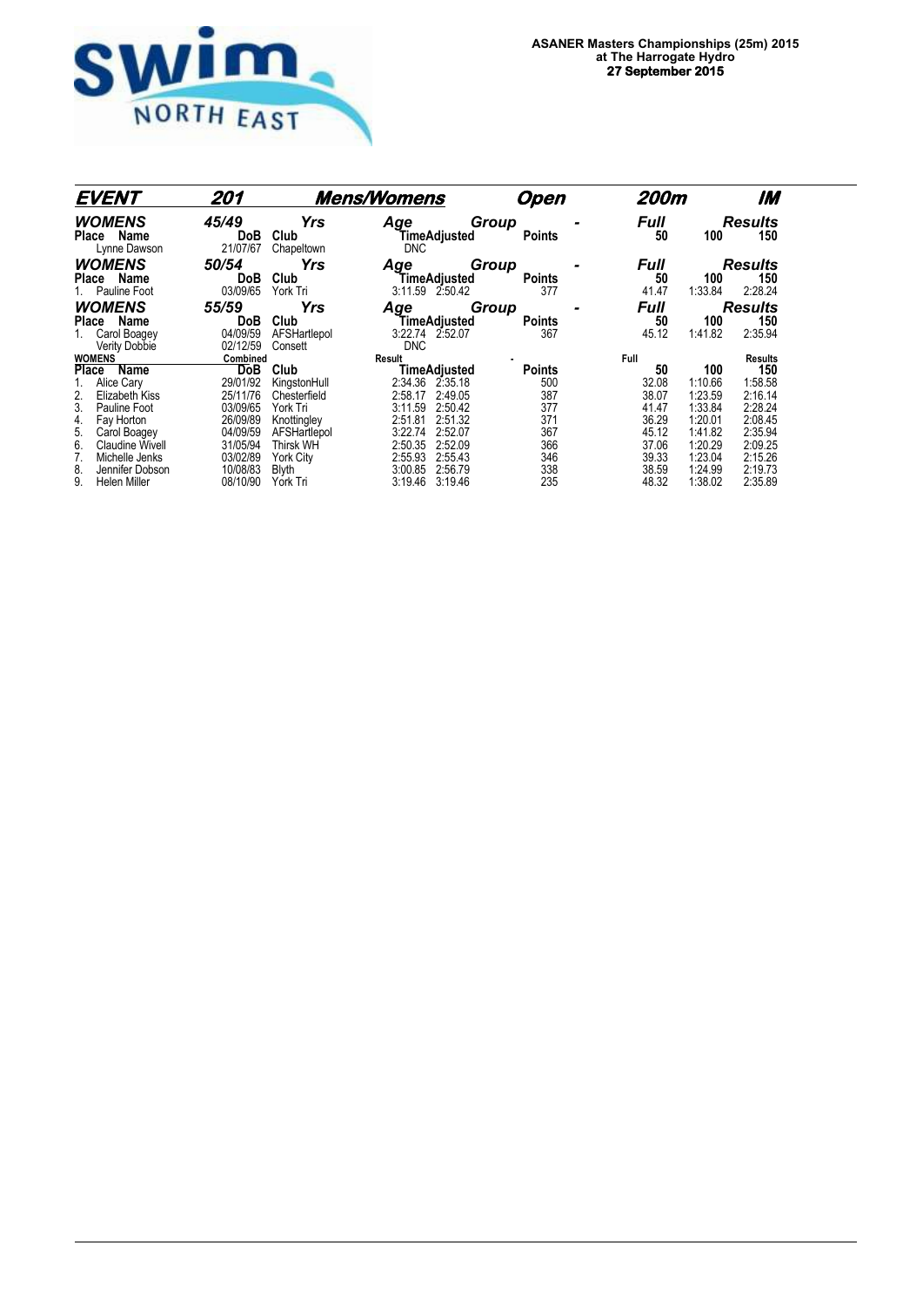

| <b>EVENT</b>                                                         | 201                                |                                               | <b>Mens/Womens</b>                                             | Open                          | 200m                       |                               | IM                               |
|----------------------------------------------------------------------|------------------------------------|-----------------------------------------------|----------------------------------------------------------------|-------------------------------|----------------------------|-------------------------------|----------------------------------|
| <b>WOMENS</b><br>Name<br><b>Place</b><br>Lynne Dawson                | 45/49<br><b>DoB</b><br>21/07/67    | <b>Yrs</b><br>Club<br>Chapeltown              | Age<br>TimeAdjusted<br><b>DNC</b>                              | Group<br><b>Points</b>        | <b>Full</b><br>50          | 100                           | <b>Results</b><br>150            |
| <b>WOMENS</b><br><b>Place</b><br>Name<br>Pauline Foot                | 50/54<br><b>DoB</b><br>03/09/65    | <b>Yrs</b><br>Club<br>York Tri                | Age<br>TimeAdjusted<br>3:11.59 2:50.42                         | Group<br><b>Points</b><br>377 | <b>Full</b><br>50<br>41.47 | 100<br>1:33.84                | <b>Results</b><br>150<br>2:28.24 |
| <b>WOMENS</b>                                                        | 55/59                              | Yrs                                           | Age                                                            | Group                         | <b>Full</b>                |                               | <b>Results</b>                   |
| Name<br>Place<br>Carol Boagey<br>Verity Dobbie                       | <b>DoB</b><br>04/09/59<br>02/12/59 | Club<br>AFSHartlepol<br>Consett               | TimeAdiusted<br>3:22.74 2:52.07<br><b>DNC</b>                  | <b>Points</b><br>367          | 50<br>45.12                | 100<br>1:41.82                | 150<br>2:35.94                   |
| <b>WOMENS</b>                                                        | Combined                           |                                               | Result                                                         |                               | <b>Full</b>                |                               | <b>Results</b>                   |
| Place<br>Name<br>Alice Cary<br>Elizabeth Kiss                        | <b>DoB</b><br>29/01/92<br>25/11/76 | Club<br>KingstonHull<br>Chesterfield          | TimeAdjusted<br>2:34.36 2:35.18<br>2:58.17<br>2:49.05          | <b>Points</b><br>500<br>387   | 50<br>32.08<br>38.07       | 100<br>1:10.66<br>1:23.59     | 150<br>1:58.58<br>2:16.14        |
| 3.<br>Pauline Foot<br>Fay Horton<br>4.                               | 03/09/65<br>26/09/89               | York Tri<br>Knottingley                       | 2:50.42<br>3:11.59<br>2:51.81<br>2:51.32                       | 377<br>371<br>367             | 41.47<br>36.29             | 1:33.84<br>1:20.01            | 2:28.24<br>2:08.45               |
| 5.<br>Carol Boagey<br><b>Claudine Wivell</b><br>6.<br>Michelle Jenks | 04/09/59<br>31/05/94<br>03/02/89   | AFSHartlepol<br><b>Thirsk WH</b><br>York City | 3:22.74<br>2:52.07<br>2:50.35<br>2:52.09<br>2:55.93<br>2:55.43 | 366<br>346                    | 45.12<br>37.06<br>39.33    | 1:41.82<br>1:20.29<br>1:23.04 | 2:35.94<br>2:09.25<br>2:15.26    |
| Jennifer Dobson<br>8.<br>9.<br>Helen Miller                          | 10/08/83<br>08/10/90               | <b>Blyth</b><br>York Tri                      | 3:00.85<br>2:56.79<br>3:19.46<br>3:19.46                       | 338<br>235                    | 38.59<br>48.32             | 1:24.99<br>1:38.02            | 2:19.73<br>2:35.89               |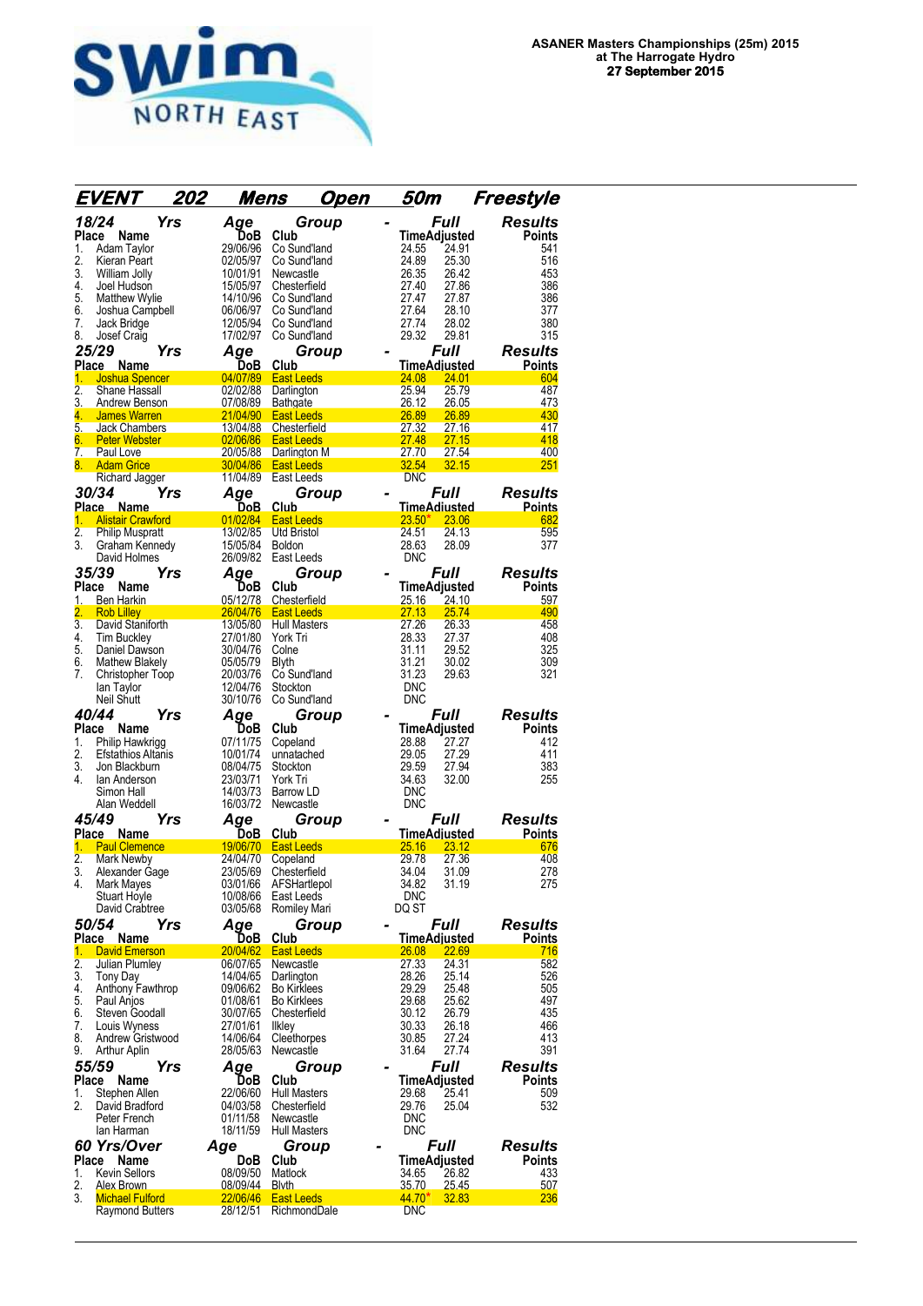

|                    | <i>EVENT</i>                              | 202 | Mens                 |                                   | Open                     | 50m                                | Freestyle                |
|--------------------|-------------------------------------------|-----|----------------------|-----------------------------------|--------------------------|------------------------------------|--------------------------|
|                    | 18/24                                     | Yrs | Age                  | Group                             |                          | <b>Full</b>                        | <b>Results</b>           |
| Place              | Name                                      |     | DoB                  | Club                              |                          | <b>TimeAdjusted</b>                | Points                   |
| 1.                 | Adam Taylor                               |     | 29/06/96             | Co Sund'land                      | 24.55                    | 24.91                              | 541                      |
| 2.<br>3.           | Kieran Peart<br>William Jolly             |     | 02/05/97<br>10/01/91 | Co Sund'land<br>Newcastle         | 24.89<br>26.35           | 25.30<br>26.42                     | 516<br>453               |
| 4.                 | Joel Hudson                               |     | 15/05/97             | Chesterfield                      | 27.40                    | 27.86                              | 386                      |
| 5.                 | <b>Matthew Wylie</b>                      |     | 14/10/96             | Co Sund'land                      | 27.47                    | 27.87                              | 386                      |
| 6.                 | Joshua Campbell                           |     | 06/06/97             | Co Sund'land                      | 27.64                    | 28.10                              | 377                      |
| 7.<br>8.           | Jack Bridge<br>Josef Craig                |     | 12/05/94<br>17/02/97 | Co Sund'land<br>Co Sund'land      | 27.74<br>29.32           | 28.02<br>29.81                     | 380<br>315               |
|                    | 25/29                                     | Yrs | Aqe                  | Group                             |                          | <b>Full</b>                        | <b>Results</b>           |
|                    | Place<br><b>Name</b>                      |     | DoB                  | Club                              |                          | TimeAdjusted                       | Points                   |
| 1.                 | <b>Joshua Spencer</b>                     |     | 04/07/89             | <b>East Leeds</b>                 | 24.08                    | 24.01                              | 604                      |
| 2.                 | Shane Hassall                             |     | 02/02/88             | Darlington                        | 25.94                    | 25.79                              | 487                      |
| 3.                 | <b>Andrew Benson</b>                      |     | 07/08/89             | <b>Bathgate</b>                   | 26.12<br>26.89           | 26.05                              | 473<br>430               |
| 4.<br>5.           | <b>James Warren</b><br>Jack Chambers      |     | 21/04/90<br>13/04/88 | <b>East Leeds</b><br>Chesterfield | 27.32                    | 26.89<br>27.16                     | 417                      |
| 6.                 | <b>Peter Webster</b>                      |     | 02/06/86             | <b>East Leeds</b>                 | 27.48                    | 27.15                              | 418                      |
| 7.                 | Paul Love                                 |     | 20/05/88             | Darlington M                      | 27.70                    | 27.54                              | 400                      |
| 8.                 | <b>Adam Grice</b>                         |     | 30/04/86<br>11/04/89 | <b>East Leeds</b><br>East Leeds   | 32.54<br>DNC             | 32.15                              | 251                      |
|                    | Richard Jagger<br><i><b>30/34</b></i>     | Yrs | Aqe                  | Group                             |                          | <i><b>Full</b></i>                 | Results                  |
|                    | Place Name                                |     | <u>DoB</u>           | Club                              |                          | <u>TimeAdiusted</u>                | <b>Points</b>            |
| 1.                 | <b>Alistair Crawford</b>                  |     | 01/02/84             | <b>East Leeds</b>                 | 23.50'                   | 23.06                              | 682                      |
| $\overline{2}$ .   | <b>Philip Muspratt</b>                    |     | 13/02/85             | Utd Bristol                       | 24.51                    | 24.13                              | 595                      |
| 3.                 | Graham Kennedy                            |     | 15/05/84             | Boldon                            | 28.63                    | 28.09                              | 377                      |
|                    | David Holmes                              |     | 26/09/82             | East Leeds                        | <b>DNC</b>               |                                    |                          |
| <b>Place</b>       | 35/39<br>Name                             | Yrs | Aqe<br>DoB           | Group<br>Club                     |                          | <i><b>Full</b></i><br>TimeAdjusted | <b>Results</b><br>Points |
| 1.                 | <b>Ben Harkin</b>                         |     | 05/12/78             | Chesterfield                      | <u> 25.16 </u>           | 24.10                              | 597                      |
| 2.                 | <b>Rob Lilley</b>                         |     | 26/04/76             | <b>East Leeds</b>                 | 27.13                    | 25.74                              | 490                      |
| $\overline{3}$ .   | David Staniforth                          |     | 13/05/80             | <b>Hull Masters</b>               | 27.26                    | 26.33                              | 458                      |
| 4.<br>5.           | <b>Tim Buckley</b>                        |     | 27/01/80<br>30/04/76 | York Tri                          | 28.33<br>31.11           | 27.37<br>29.52                     | 408<br>325               |
| 6.                 | Daniel Dawson<br><b>Mathew Blakely</b>    |     | 05/05/79             | Colne<br>Blyth                    | 31.21                    | 30.02                              | 309                      |
| 7.                 | Christopher Toop                          |     | 20/03/76             | Co Sund'land                      | 31.23                    | 29.63                              | 321                      |
|                    | lan Taylor                                |     | 12/04/76             | Stockton                          | <b>DNC</b>               |                                    |                          |
|                    | Neil Shutt                                |     | 30/10/76             | Co Sund'land                      | <b>DNC</b>               |                                    |                          |
|                    | 40/44                                     | Yrs | Age                  | Group                             |                          | <i><b>Full</b></i>                 | Results                  |
| <b>Place</b><br>1. | Name<br>Philip Hawkrigg                   |     | DoB<br>07/11/75      | Club<br>Copeland                  | 28.88                    | TimeAdjusted<br>27.27              | Points<br>412            |
| 2.                 | <b>Efstathios Altanis</b>                 |     | 10/01/74             | unnatached                        | 29.05                    | 27.29                              | 411                      |
| 3.                 | Jon Blackburn                             |     | 08/04/75             | Stockton                          | 29.59                    | 27.94                              | 383                      |
| 4.                 | lan Anderson                              |     | 23/03/71             | York Tri                          | 34.63                    | 32.00                              | 255                      |
|                    | Simon Hall<br>Alan Weddell                |     | 14/03/73<br>16/03/72 | <b>Barrow LD</b><br>Newcastle     | <b>DNC</b><br><b>DNC</b> |                                    |                          |
| 45/49              |                                           | Yrs | Aqe                  | Group                             |                          | <i><b>Full</b></i>                 | Results                  |
|                    | Place Name                                |     | DoB                  | Club                              |                          | TimeAdjusted                       | Points                   |
| 1.                 | <b>Paul Clemence</b>                      |     | 19/06/70             | <b>East Leeds</b>                 | 25.16                    | 23.12                              | 676                      |
| $\overline{2}$ .   | <b>Mark Newby</b>                         |     | 24/04/70             | Copeland                          | 29.78                    | 27.36                              | 408                      |
| 3.                 | Alexander Gage                            |     | 23/05/69             | Chesterfield                      | 34.04                    | 31.09                              | 278                      |
| 4.                 | Mark Mayes<br><b>Stuart Hoyle</b>         |     | 03/01/66<br>10/08/66 | AFSHartlepol<br>East Leeds        | 34.82<br><b>DNC</b>      | 31.19                              | 275                      |
|                    | David Crabtree                            |     | 03/05/68             | Romiley Mari                      | DQ ST                    |                                    |                          |
|                    | 50/54                                     | Yrs | Age                  | Group                             |                          | <i><b>Full</b></i>                 | Results                  |
|                    | Place<br>Name                             |     | DoB                  | <b>Club</b>                       |                          | <b>TimeAdjusted</b>                | <b>Points</b>            |
| 1.<br>2.           | <b>David Emerson</b>                      |     | 20/04/62             | <b>East Leeds</b>                 | 26.08<br>27.33           | 22.69                              | 716<br>582               |
| 3.                 | Julian Plumley<br>Tony Day                |     | 06/07/65<br>14/04/65 | Newcastle<br>Darlington           | 28.26                    | 24.31<br>25.14                     | 526                      |
| 4.                 | Anthony Fawthrop                          |     | 09/06/62             | <b>Bo Kirklees</b>                | 29.29                    | 25.48                              | 505                      |
| 5.                 | Paul Anjos                                |     | 01/08/61             | <b>Bo Kirklees</b>                | 29.68                    | 25.62                              | 497                      |
| 6.                 | Steven Goodall                            |     | 30/07/65             | Chesterfield                      | 30.12                    | 26.79                              | 435                      |
| 7.<br>8.           | Louis Wyness<br>Andrew Gristwood          |     | 27/01/61<br>14/06/64 | <b>Ilkley</b><br>Cleethorpes      | 30.33<br>30.85           | 26.18<br>27.24                     | 466<br>413               |
| 9.                 | Arthur Aplin                              |     | 28/05/63             | Newcastle                         | 31.64                    | 27.74                              | 391                      |
|                    | 55/59                                     | Yrs | Aqe                  | Group                             |                          | <b>Full</b>                        | Results                  |
| Place              | Name                                      |     | DoB                  | Club                              |                          | TimeAdjusted                       | Points                   |
| 1.                 | Stephen Allen                             |     | 22/06/60             | <b>Hull Masters</b>               | 29.68                    | 25.41                              | 509                      |
| 2.                 | David Bradford                            |     | 04/03/58             | Chesterfield                      | 29.76                    | 25.04                              | 532                      |
|                    | Peter French<br>lan Harman                |     | 01/11/58<br>18/11/59 | Newcastle<br>Hull Masters         | <b>DNC</b><br><b>DNC</b> |                                    |                          |
|                    | 60 Yrs/Over                               |     | Age                  | Group                             |                          | Full                               | Results                  |
| Place              | Name                                      |     | DoB                  | Club                              |                          | TimeAdjusted                       | Points                   |
| 1.                 | <b>Kevin Sellors</b>                      |     | 08/09/50             | Matlock                           | 34.65                    | 26.82                              | 433                      |
| 2.                 | Alex Brown                                |     | 08/09/44             | <b>Blyth</b>                      | 35.70                    | 25.45                              | 507                      |
| 3.                 | <b>Michael Fulford</b><br>Raymond Butters |     | 22/06/46<br>28/12/51 | <b>East Leeds</b><br>RichmondDale | $44.70*$<br><b>DNC</b>   | 32.83                              | 236                      |
|                    |                                           |     |                      |                                   |                          |                                    |                          |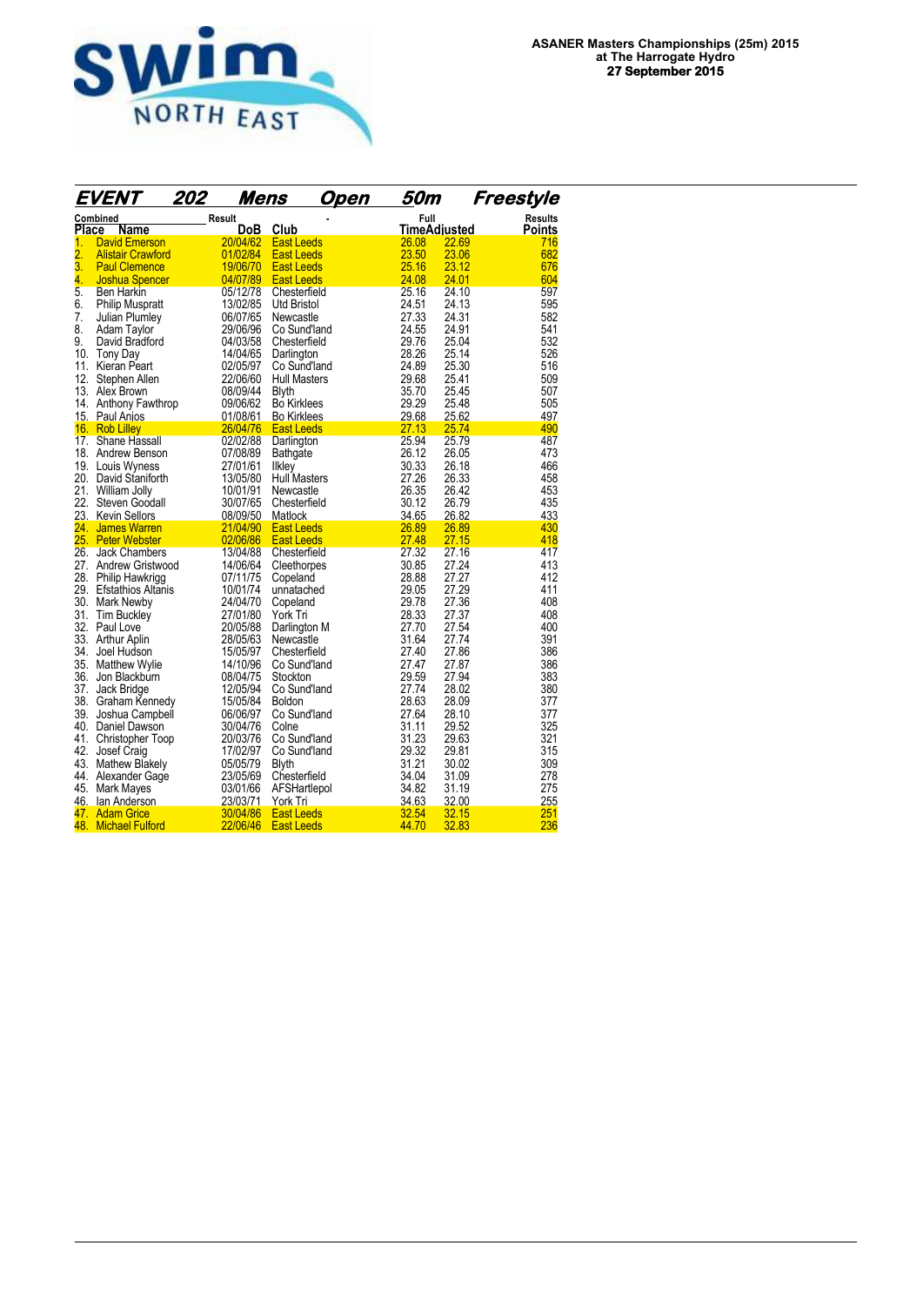

|                  | EVENT                         | 202    | <u>Mens</u>          |                                     | <u>Open</u> | 50m            |                | Freestyle      |
|------------------|-------------------------------|--------|----------------------|-------------------------------------|-------------|----------------|----------------|----------------|
|                  | Combined                      | Result |                      |                                     |             | Full           |                | <b>Results</b> |
| Place            | Name                          |        | <b>DoB</b>           | Club                                |             |                | TimeAdiusted   | Points         |
| 1.               | <b>David Emerson</b>          |        | 20/04/62             | <b>East Leeds</b>                   |             | 26.08          | 22.69          | 716            |
| $\overline{2}$ . | <b>Alistair Crawford</b>      |        | 01/02/84             | East Leeds                          |             | 23.50          | 23.06          | 682            |
| 3.               | <b>Paul Clemence</b>          |        | 19/06/70             | <b>East Leeds</b>                   |             | 25.16          | 23.12          | 676            |
| 4.               | <b>Joshua Spencer</b>         |        | 04/07/89             | <b>East Leeds</b>                   |             | 24.08          | 24.01          | 604            |
| 5.               | <b>Ben Harkin</b>             |        | 05/12/78             | Chesterfield                        |             | 25.16          | 24.10          | 597            |
| 6.               | <b>Philip Muspratt</b>        |        | 13/02/85             | Utd Bristol                         |             | 24.51          | 24.13          | 595            |
| 7.               | Julian Plumley                |        | 06/07/65             | Newcastle                           |             | 27.33          | 24.31          | 582            |
| 8.<br>9.         | Adam Taylor                   |        | 29/06/96             | Co Sund'land                        |             | 24.55          | 24.91          | 541            |
|                  | David Bradford                |        | 04/03/58             | Chesterfield                        |             | 29.76<br>28.26 | 25.04          | 532            |
| 10.              | Tony Day                      |        | 14/04/65<br>02/05/97 | Darlington                          |             | 24.89          | 25.14<br>25.30 | 526<br>516     |
| 11.<br>12.       | Kieran Peart<br>Stephen Allen |        | 22/06/60             | Co Sund'land<br><b>Hull Masters</b> |             | 29.68          | 25.41          | 509            |
|                  | 13. Alex Brown                |        | 08/09/44             | <b>Blyth</b>                        |             | 35.70          | 25.45          | 507            |
| 14.              | Anthony Fawthrop              |        | 09/06/62             | <b>Bo Kirklees</b>                  |             | 29.29          | 25.48          | 505            |
|                  | 15. Paul Anjos                |        | 01/08/61             | <b>Bo Kirklees</b>                  |             | 29.68          | 25.62          | 497            |
|                  | 16. Rob Lilley                |        | 26/04/76             | <b>East Leeds</b>                   |             | 27.13          | 25.74          | 490            |
|                  | 17. Shane Hassall             |        | 02/02/88             | Darlington                          |             | 25.94          | 25.79          | 487            |
|                  | 18. Andrew Benson             |        | 07/08/89             | <b>Bathgate</b>                     |             | 26.12          | 26.05          | 473            |
|                  | 19. Louis Wyness              |        | 27/01/61             | Ilkley                              |             | 30.33          | 26.18          | 466            |
|                  | 20. David Staniforth          |        | 13/05/80             | <b>Hull Masters</b>                 |             | 27.26          | 26.33          | 458            |
| 21.              | William Jolly                 |        | 10/01/91             | Newcastle                           |             | 26.35          | 26.42          | 453            |
| 22.              | Steven Goodall                |        | 30/07/65             | Chesterfield                        |             | 30.12          | 26.79          | 435            |
|                  | 23. Kevin Sellors             |        | 08/09/50             | Matlock                             |             | 34.65          | 26.82          | 433            |
| 24.              | <b>James Warren</b>           |        | 21/04/90             | <b>East Leeds</b>                   |             | 26.89          | 26.89          | 430            |
|                  | 25. Peter Webster             |        | 02/06/86             | <b>East Leeds</b>                   |             | 27.48          | 27.15          | 418            |
| 26.              | <b>Jack Chambers</b>          |        | 13/04/88             | Chesterfield                        |             | 27.32          | 27.16          | 417            |
|                  | 27. Andrew Gristwood          |        | 14/06/64             | Cleethorpes                         |             | 30.85          | 27.24          | 413            |
| 28.              | Philip Hawkrigg               |        | 07/11/75             | Copeland                            |             | 28.88          | 27.27          | 412            |
| 29.              | <b>Efstathios Altanis</b>     |        | 10/01/74             | unnatached                          |             | 29.05          | 27.29          | 411            |
| 30.              | Mark Newby                    |        | 24/04/70             | Copeland                            |             | 29.78          | 27.36          | 408            |
| 31.              | <b>Tim Buckley</b>            |        | 27/01/80             | York Tri                            |             | 28.33          | 27.37          | 408            |
| 32.              | Paul Love                     |        | 20/05/88             | Darlington M                        |             | 27.70          | 27.54          | 400            |
|                  | 33. Arthur Aplin              |        | 28/05/63             | Newcastle                           |             | 31.64          | 27.74          | 391            |
| 34.              | Joel Hudson                   |        | 15/05/97             | Chesterfield                        |             | 27.40          | 27.86          | 386            |
| 35.              | Matthew Wylie                 |        | 14/10/96             | Co Sund'land                        |             | 27.47          | 27.87          | 386            |
| 36.              | Jon Blackburn                 |        | 08/04/75             | Stockton                            |             | 29.59          | 27.94          | 383            |
| 37.              | Jack Bridge                   |        | 12/05/94             | Co Sund'land                        |             | 27.74          | 28.02          | 380            |
|                  | 38. Graham Kennedy            |        | 15/05/84             | <b>Boldon</b>                       |             | 28.63          | 28.09          | 377            |
| 39.              | Joshua Campbell               |        | 06/06/97             | Co Sund'land                        |             | 27.64          | 28.10          | 377            |
|                  | 40. Daniel Dawson             |        | 30/04/76             | Colne                               |             | 31.11          | 29.52          | 325            |
| 41.              | Christopher Toop              |        | 20/03/76             | Co Sund'land                        |             | 31.23          | 29.63          | 321            |
| 42.              | Josef Craig                   |        | 17/02/97             | Co Sund'land                        |             | 29.32          | 29.81          | 315            |
|                  | 43. Mathew Blakely            |        | 05/05/79             | <b>Blyth</b>                        |             | 31.21          | 30.02          | 309            |
| 44.              | Alexander Gage                |        | 23/05/69             | Chesterfield                        |             | 34.04          | 31.09          | 278            |
| 45.              | Mark Mayes                    |        | 03/01/66             | AFSHartlepol                        |             | 34.82          | 31.19          | 275            |
| 46.              | lan Anderson                  |        | 23/03/71             | York Tri                            |             | 34.63          | 32.00          | 255            |
|                  | 47. Adam Grice                |        | 30/04/86             | <b>East Leeds</b>                   |             | 32.54          | 32.15          | 251            |
| 48.              | <b>Michael Fulford</b>        |        | 22/06/46             | <b>East Leeds</b>                   |             | 44.70          | 32.83          | 236            |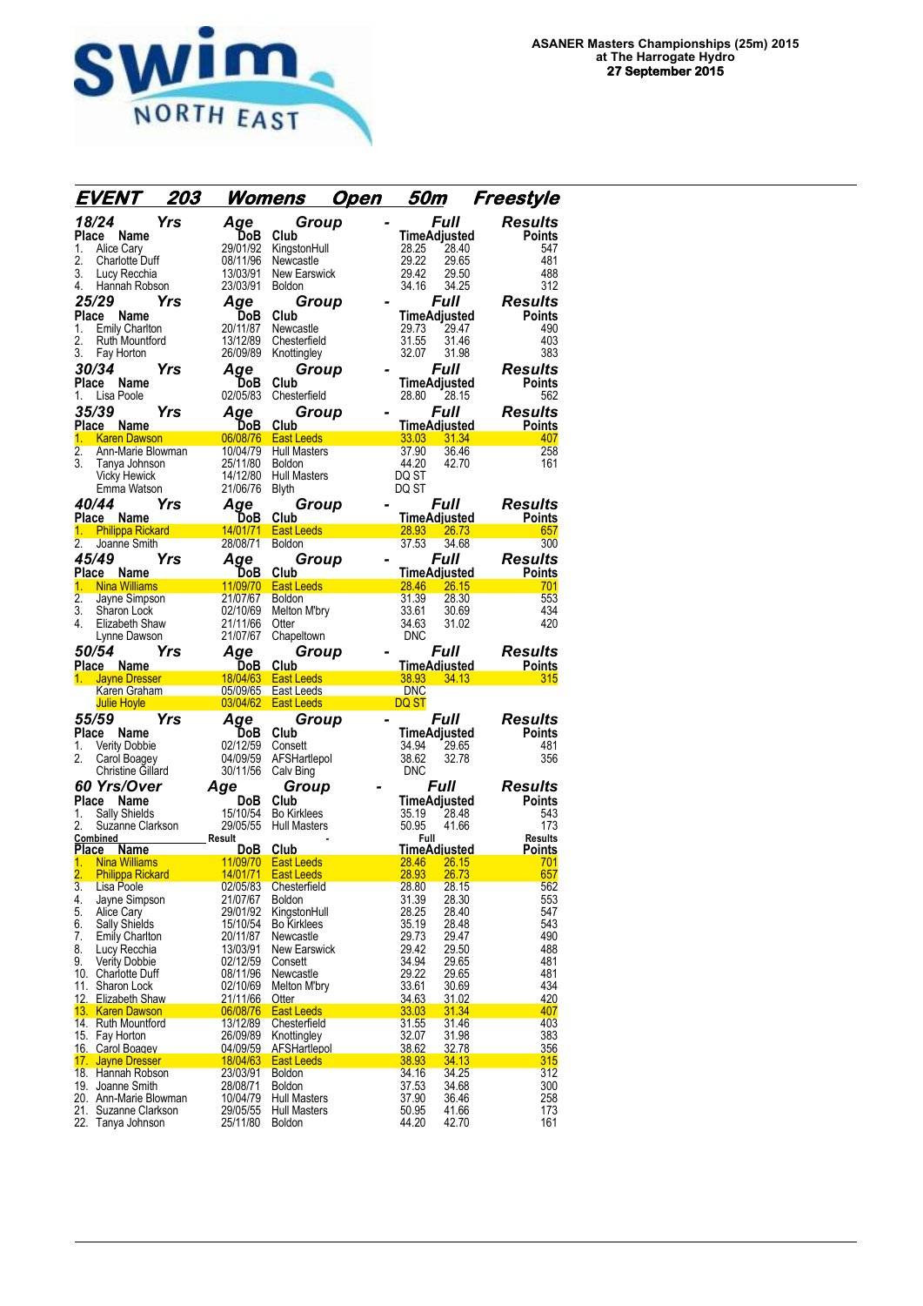

| EVENT                                                    | 203                  | <u>Womens</u>                            | <u>50m</u><br><u>Open</u> | Freestyle                                            |
|----------------------------------------------------------|----------------------|------------------------------------------|---------------------------|------------------------------------------------------|
| 18/24                                                    | Yrs<br>Age           | Group                                    |                           | <b>Full</b><br><b>Results</b>                        |
| Place Name                                               |                      | DoB<br>Club                              |                           | <b>TimeAdjusted</b><br><b>Points</b>                 |
| Alice Cary<br>1.                                         | 29/01/92             | KingstonHull                             | 28.25                     | 547<br>28.40                                         |
| 2.<br>Charlotte Duff                                     | 08/11/96             | Newcastle                                | 29.22                     | 29.65<br>481                                         |
| Lucy Recchia<br>3.                                       | 13/03/91             | <b>New Earswick</b>                      | 29.42                     | 29.50<br>488                                         |
| 4.<br>Hannah Robson                                      | 23/03/91             | <b>Boldon</b>                            | 34.16                     | 312<br>34.25                                         |
| 25/29                                                    | Yrs<br>Aqe           | Group                                    |                           | Full<br><b>Results</b>                               |
| Place<br>Name                                            |                      | DoB<br>Club                              |                           | TimeAdjusted<br>Points                               |
| 1.<br><b>Emily Charlton</b>                              | 20/11/87             | Newcastle                                | 29.73                     | 29.47<br>490                                         |
| 2.<br>Ruth Mountford                                     | 13/12/89             | Chesterfield                             | 31.55                     | 403<br>31.46                                         |
| 3.<br>Fay Horton                                         | 26/09/89             | Knottingley                              | 32.07                     | 31.98<br>383                                         |
| 30/34                                                    | Age<br>Yrs           | Group                                    |                           | Full<br><b>Results</b>                               |
| Place Name                                               |                      | DoB<br>Club                              |                           | Points<br>TimeAdjusted                               |
| Lisa Poole<br>1.                                         | 02/05/83             | Chesterfield                             | 28.80                     | 562<br>28.15                                         |
| 35/39                                                    | Yrs<br>Age           | Group                                    |                           | Full<br><b>Results</b>                               |
| Place Name                                               |                      | DoB<br>Club                              |                           | TimeAdjusted<br>Points                               |
| 1. Karen Dawson<br>$\overline{2}$ .<br>Ann-Marie Blowman | 06/08/76<br>10/04/79 | <b>East Leeds</b><br><b>Hull Masters</b> | 33.03<br>37.90            | 31.34<br>407<br>258<br>36.46                         |
| 3.<br>Tanya Johnson                                      | 25/11/80             | <b>Boldon</b>                            | 44.20                     | 42.70<br>161                                         |
| <b>Vicky Hewick</b>                                      | 14/12/80             | <b>Hull Masters</b>                      | DQ ST                     |                                                      |
| Emma Watson                                              | 21/06/76             | <b>Blyth</b>                             | DQ ST                     |                                                      |
| 40/44                                                    | Yrs<br>Aqe           | Group                                    |                           | Full<br><b>Results</b>                               |
| Place Name                                               |                      | DoB<br>Club                              |                           | <b>TimeAdjusted</b><br><b>Points</b>                 |
| <b>Philippa Rickard</b><br>1.                            | 14/01/71             | <b>East Leeds</b>                        | 28.93                     | 26.73<br>657                                         |
| 2.<br>Joanne Smith                                       | 28/08/71             | <b>Boldon</b>                            | 37.53                     | 300<br>34.68                                         |
| 45/49                                                    | Yrs<br>Age           | Group                                    |                           | <b>Results</b><br>Full                               |
| Place Name                                               |                      | DoB<br>Club                              |                           | <b>TimeAdjusted</b><br>Points                        |
| <b>Nina Williams</b><br>1.                               | 11/09/70             | <b>East Leeds</b>                        | 28.46                     | 26.15<br>701                                         |
| 2.<br>Jayne Simpson                                      | 21/07/67             | <b>Boldon</b>                            | 31.39                     | 28.30<br>553                                         |
| 3.<br>Sharon Lock                                        | 02/10/69             | Melton M'bry                             | 33.61                     | 434<br>30.69                                         |
| 4.<br>Elizabeth Shaw                                     | 21/11/66             | Otter                                    | 34.63                     | 420<br>31.02                                         |
| Lynne Dawson                                             | 21/07/67             | Chapeltown                               | <b>DNC</b>                |                                                      |
| 50/54                                                    | Yrs<br>Age           | Group                                    |                           | Full<br><b>Results</b>                               |
| Place Name                                               | 18/04/63             | DoB<br>Club<br><b>East Leeds</b>         | 38.93                     | <b>TimeAdjusted</b><br><b>Points</b><br>34.13<br>315 |
| <b>Jayne Dresser</b><br>Karen Graham                     | 05/09/65             | East Leeds                               | <b>DNC</b>                |                                                      |
| <b>Julie Hoyle</b>                                       | 03/04/62             | <b>East Leeds</b>                        | <u>DQ ST</u>              |                                                      |
| 55/59                                                    | Yrs<br>Age           | Group                                    |                           | <i><b>Full</b></i><br><b>Results</b>                 |
| Place<br>Name                                            |                      | <b>DoB</b><br>Club                       |                           | <b>Points</b><br>TimeAdjusted                        |
| 1.<br><b>Verity Dobbie</b>                               | 02/12/59             | Consett                                  | 34.94                     | 29.65<br>481                                         |
| 2.<br>Carol Boagey                                       | 04/09/59             | AFSHartlepol                             | 38.62                     | 356<br>32.78                                         |
| Christine Gillard                                        | 30/11/56             | Calv Bing                                | <b>DNC</b>                |                                                      |
| 60 Yrs/Over                                              | Age                  | Group                                    |                           | <i><b>Full</b></i><br>Results                        |
| Place<br>Name                                            |                      | DoB<br>Club                              |                           | <b>TimeAdjusted</b><br>Points                        |
| Sally Shields<br>1.                                      | 15/10/54             | <b>Bo Kirklees</b>                       | 35.19                     | 28.48<br>543                                         |
| 2.<br>Suzanne Clarkson                                   | 29/05/55             | <b>Hull Masters</b>                      | 50.95                     | 173<br>41.66                                         |
| Combined<br>Place Name                                   | Result               | <b>DoB</b><br>Club                       | Full                      | <b>Results</b><br>TimeAdjusted<br><b>Points</b>      |
| <b>Nina Williams</b><br>1.                               | 11/09/70             | <b>East Leeds</b>                        | 28.46                     | 26.15<br>701                                         |
| <b>Philippa Rickard</b>                                  | <u>14/01/71</u>      | <b>East Leeds</b>                        | 28.93                     | 26.73<br>657                                         |
| Lisa Poole<br>3.                                         | 02/05/83             | Chesterfield                             | 28.80                     | 28.15<br>562                                         |
| 4.<br>Jayne Simpson                                      | 21/07/67             | <b>Boldon</b>                            | 31.39                     | 28.30<br>553                                         |
| 5.<br>Alice Cary                                         | 29/01/92             | KingstonHull                             | 28.25                     | 28.40<br>547                                         |
| Sally Shields<br>6.                                      | 15/10/54             | <b>Bo Kirklees</b>                       | 35.19                     | 543<br>28.48                                         |
| 7.<br><b>Emily Charlton</b>                              | 20/11/87             | Newcastle                                | 29.73                     | 490<br>29.47                                         |
| 8.<br>Lucy Recchia<br>9.<br><b>Verity Dobbie</b>         | 13/03/91<br>02/12/59 | New Earswick<br>Consett                  | 29.42<br>34.94            | 29.50<br>488<br>481<br>29.65                         |
| 10. Charlotte Duff                                       | 08/11/96             | Newcastle                                | 29.22                     | 29.65<br>481                                         |
| 11. Sharon Lock                                          | 02/10/69             | Melton M'bry                             | 33.61                     | 434<br>30.69                                         |
| 12. Elizabeth Shaw                                       | 21/11/66             | Otter                                    | 34.63                     | 420<br>31.02                                         |
| 13. Karen Dawson                                         | 06/08/76             | <b>East Leeds</b>                        | <u>33.03</u>              | 407<br>31.34                                         |
| 14. Ruth Mountford                                       | 13/12/89             | Chesterfield                             | 31.55                     | 31.46<br>403                                         |
| 15. Fay Horton                                           |                      |                                          |                           |                                                      |
|                                                          | 26/09/89             | Knottingley                              | 32.07                     | 31.98<br>383                                         |
| 16. Carol Boagey                                         | 04/09/59             | AFSHartlepol                             | <u>38.62</u>              | <u>32.78</u><br>356                                  |
| 17. Jayne Dresser                                        | 18/04/63             | <b>East Leeds</b>                        | 38.93                     | <u>34.13</u><br>315                                  |
| 18. Hannah Robson<br>19. Joanne Smith                    | 23/03/91             | <b>Boldon</b><br><b>Boldon</b>           | 34.16                     | 34.25<br>312                                         |
| 20. Ann-Marie Blowman                                    | 28/08/71<br>10/04/79 | Hull Masters                             | 37.53<br>37.90            | 34.68<br>300<br>36.46<br>258                         |
| 21. Suzanne Clarkson<br>22. Tanya Johnson                | 29/05/55<br>25/11/80 | <b>Hull Masters</b><br><b>Boldon</b>     | 50.95<br>44.20            | 41.66<br>173<br>42.70<br>161                         |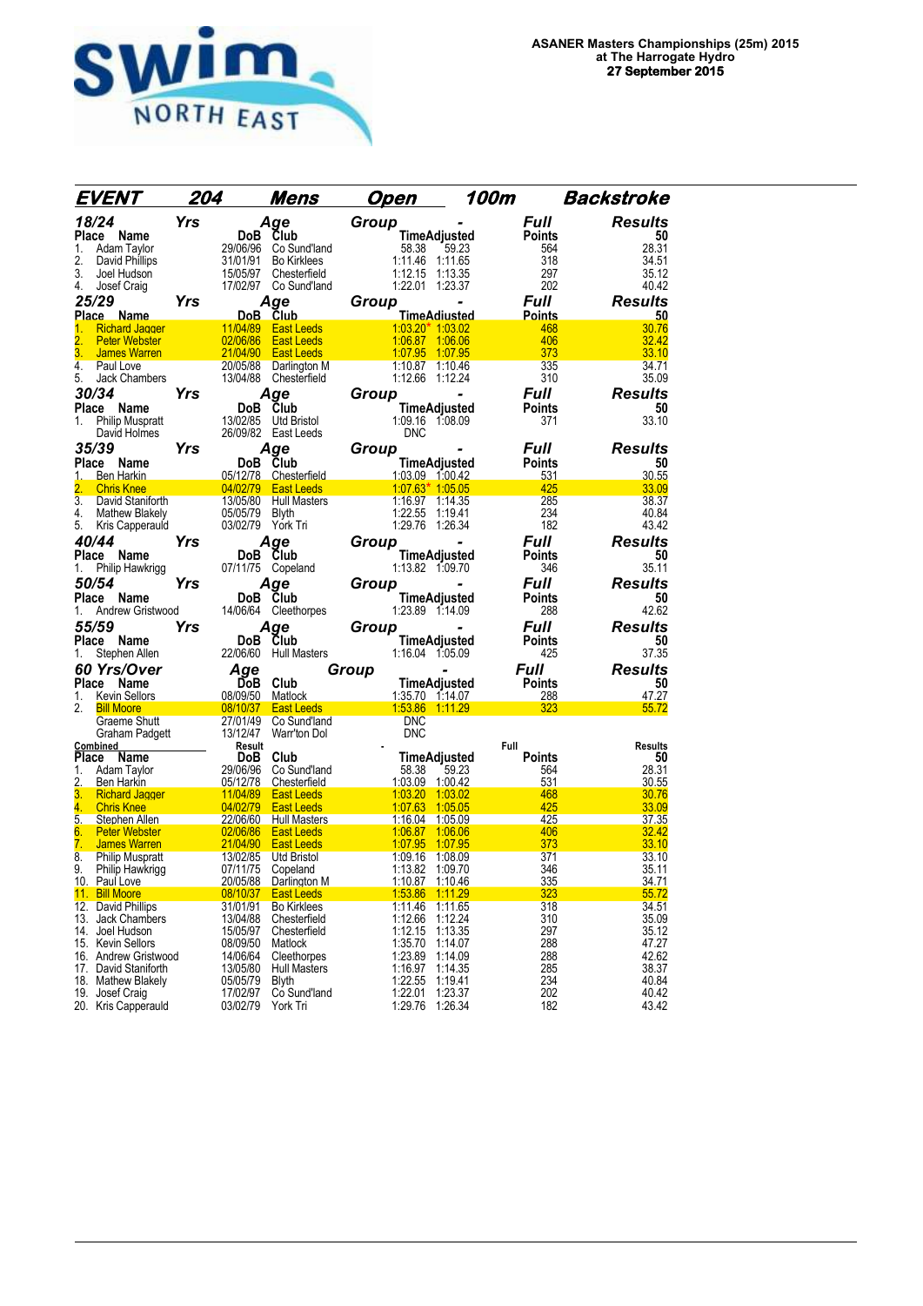

| EVENT                                                                   | 204        |                      | <u>Mens</u>                            | <u>Open</u>        |                                    | 100m                 | <b>Backstroke</b> |
|-------------------------------------------------------------------------|------------|----------------------|----------------------------------------|--------------------|------------------------------------|----------------------|-------------------|
| 18/24                                                                   | <b>Yrs</b> |                      | Age                                    | Group              |                                    | Full                 | <b>Results</b>    |
| Place Name                                                              |            | DoB                  | Club                                   |                    | <b>TimeAdjusted</b>                | <b>Points</b>        | 50                |
| Adam Taylor<br>1.                                                       |            |                      | 29/06/96 Co Sund'land                  | 58.38              | 59.23                              | 564                  | 28.31             |
| 2.<br>David Phillips                                                    |            | 31/01/91             | <b>Bo Kirklees</b>                     |                    | 1:11.46 1:11.65                    | 318                  | 34.51             |
| 3.<br>Joel Hudson                                                       |            | 15/05/97             | Chesterfield                           |                    | 1:12.15 1:13.35                    | 297                  | 35.12             |
| 4.<br>Josef Craig                                                       |            |                      | 17/02/97 Co Sund'land                  |                    | 1:22.01 1:23.37                    | 202                  | 40.42             |
| 25/29                                                                   | Yrs        |                      | Age                                    | Group              |                                    | <b>Full</b>          | <b>Results</b>    |
| Place Name                                                              |            | 11/04/89             | DoB Club<br><b>East Leeds</b>          |                    | <b>TimeAdiusted</b>                | <b>Points</b><br>468 | 50<br>30.76       |
| <b>Richard Jagger</b><br>1.<br>$\overline{2}$ .<br><b>Peter Webster</b> |            | 02/06/86             | <b>East Leeds</b>                      | 1:06.87            | $1.0320*10302$<br>1:06.06          | 406                  | 32.42             |
| 3.<br><b>James Warren</b>                                               |            | 21/04/90             | <b>East Leeds</b>                      | 1:07.95            | 1:07.95                            | 373                  | 33.10             |
| 4.<br>Paul Love                                                         |            | 20/05/88             | Darlington M                           |                    | 1:10.87 1:10.46                    | 335                  | 34.71             |
| 5.<br>Jack Chambers                                                     |            |                      | 13/04/88 Chesterfield                  |                    | 1:12.66 1:12.24                    | 310                  | 35.09             |
| 30/34                                                                   | Yrs        |                      | Age                                    | Group              |                                    | Full                 | <b>Results</b>    |
| Place Name                                                              |            | DoB Club             |                                        |                    | <b>TimeAdjusted</b>                | <b>Points</b>        | 50                |
| <b>Philip Muspratt</b><br>1.                                            |            |                      | 13/02/85 Utd Bristol                   |                    | 1:09.16 1:08.09                    | 371                  | 33.10             |
| David Holmes                                                            |            |                      | 26/09/82 East Leeds                    | <b>DNC</b>         |                                    |                      |                   |
| 35/39                                                                   | Yrs        |                      | Age                                    | Group              |                                    | <b>Full</b>          | <b>Results</b>    |
| Place Name                                                              |            | DoB Club             |                                        |                    | <b>TimeAdjusted</b>                | <b>Points</b>        | 50                |
| <b>Ben Harkin</b><br>1.                                                 |            |                      | 05/12/78 Chesterfield                  |                    | 1:03.09 1:00.42                    | 531                  | 30.55             |
| $\overline{2}$ .<br><b>Chris Knee</b>                                   |            |                      | 04/02/79 East Leeds                    |                    | $1:07.63*$ 1:05.05                 | 425                  | 33.09             |
| 3.<br>David Staniforth<br>4.<br><b>Mathew Blakely</b>                   |            | 05/05/79 Blyth       | 13/05/80 Hull Masters                  |                    | 1:16.97 1:14.35<br>1:22.55 1:19.41 | 285<br>234           | 38.37<br>40.84    |
| 5.<br>Kris Capperauld                                                   |            | 03/02/79 York Tri    |                                        |                    | 1:29.76 1:26.34                    | 182                  | 43.42             |
| 40/44                                                                   | Yrs        |                      | Aqe                                    | Group              |                                    | Full                 | <b>Results</b>    |
| Place Name                                                              |            | DoB Club             |                                        |                    | <b>TimeAdjusted</b>                | Points               | 50                |
| Philip Hawkrigg<br>1.                                                   |            |                      | 07/11/75 Copeland                      |                    | 1:13.82 1:09.70                    | 346                  | 35.11             |
| 50/54                                                                   | Yrs        |                      | Age                                    | Group              |                                    | Full                 | <b>Results</b>    |
| Place<br>Name                                                           |            | DoB Club             |                                        |                    | <b>TimeAdjusted</b>                | <b>Points</b>        | 50                |
| Andrew Gristwood<br>1.                                                  |            | 14/06/64             | Cleethorpes                            |                    | 1:23.89 1:14.09                    | 288                  | 42.62             |
| 55/59                                                                   | Yrs        |                      | Age                                    | Group              |                                    | <b>Full</b>          | <b>Results</b>    |
| Place Name                                                              |            | DoB Club             |                                        |                    | TimeAdjusted                       | <b>Points</b>        | 50                |
| Stephen Allen<br>1.                                                     |            |                      | 22/06/60 Hull Masters                  |                    | 1:16.04 1.05.09                    | 425                  | 37.35             |
| 60 Yrs/Over                                                             |            | Age                  |                                        | Group              |                                    | Full                 | <b>Results</b>    |
| Place Name                                                              |            | DoB Club             |                                        |                    | TimeAdjusted                       | <b>Points</b>        | 50                |
| 1.<br>Kevin Sellors                                                     |            | 08/09/50 Matlock     |                                        |                    | 1:35.70 1:14.07                    | 288                  | 47.27             |
| 2.<br><b>Bill Moore</b>                                                 |            | 08/10/37             | <b>East Leeds</b>                      |                    | 1:53.86 1:11.29                    | 323                  | 55.72             |
| Graeme Shutt<br>Graham Padgett                                          |            | 27/01/49<br>13/12/47 | Co Sund'land<br>Warr'ton Dol           | DNC<br><b>DNC</b>  |                                    |                      |                   |
| Combined                                                                |            | Result               |                                        |                    |                                    | Full                 | <b>Results</b>    |
| Place<br><b>Name</b>                                                    |            | DoB                  | Club                                   |                    | <b>TimeAdjusted</b>                | <b>Points</b>        | 50                |
| Adam Taylor<br>1.                                                       |            |                      | 29/06/96 Co Sund'land                  | 58.38              | 59.23                              | 564                  | 28.31             |
| 2.<br>Ben Harkin                                                        |            |                      | 05/12/78 Chesterfield                  |                    | 1:03.09 1:00.42                    | 531                  | 30.55             |
| 3.<br><b>Richard Jagger</b>                                             |            |                      | 11/04/89 East Leeds                    |                    | 1:03.20 1:03.02                    | 468                  | 30.76             |
| 4.<br><b>Chris Knee</b><br>5.<br>Stephen Allen                          |            | 04/02/79             | <b>East Leeds</b>                      | 1:07.63            | 1:05.05                            | 425                  | 33.09<br>37.35    |
|                                                                         |            |                      |                                        |                    |                                    |                      |                   |
|                                                                         |            | 22/06/60             | <b>Hull Masters</b>                    | <u>1:16.04</u>     | 1:05.09                            | 425                  |                   |
| <b>Peter Webster</b><br>6.                                              |            | 02/06/86             | <b>East Leeds</b><br><b>East Leeds</b> | 1:06.87            | 1:06.06                            | 406                  | <u>32.42</u>      |
| 7.<br><b>James Warren</b><br>8.<br><b>Philip Muspratt</b>               |            | 21/04/90<br>13/02/85 | Utd Bristol                            | 1:07.95<br>1:09.16 | 1:07.95<br>1:08.09                 | 373<br>371           | 33.10<br>33.10    |
| 9.<br>Philip Hawkrigg                                                   |            | 07/11/75             | Copeland                               |                    | 1:13.82 1:09.70                    | 346                  | 35.11             |
| 10. Paul Love                                                           |            |                      | 20/05/88 Darlington M                  |                    | 1:10.87 1:10.46                    | 335                  |                   |
| 11. Bill Moore                                                          |            | 08/10/37             | <b>East Leeds</b>                      |                    | 1:53.86 1:11.29                    | 323                  | 34.71<br>55.72    |
| 12. David Phillips                                                      |            | 31/01/91             | <b>Bo Kirklees</b>                     | 1:11.46            | 1:11.65                            | 318                  | 34.51             |
| 13. Jack Chambers<br>14. Joel Hudson                                    |            | 13/04/88<br>15/05/97 | Chesterfield                           | 1:12.66            | 1:12.24                            | 310                  | 35.09<br>35.12    |
| 15. Kevin Sellors                                                       |            | 08/09/50             | Chesterfield<br>Matlock                | 1:12.15<br>1:35.70 | 1:13.35<br>1:14.07                 | 297<br>288           | 47.27             |
| 16. Andrew Gristwood                                                    |            | 14/06/64             | Cleethorpes                            | 1:23.89            | 1:14.09                            | 288                  | 42.62             |
| 17. David Staniforth                                                    |            | 13/05/80             | <b>Hull Masters</b>                    | 1:16.97            | 1:14.35                            | 285                  | 38.37             |
| 18. Mathew Blakely                                                      |            | 05/05/79             | Blyth                                  | 1:22.55            | 1:19.41                            | 234                  | 40.84             |
| 19. Josef Craig<br>20. Kris Capperauld                                  |            | 17/02/97<br>03/02/79 | Co Sund'land<br>York Tri               | 1:22.01<br>1:29.76 | 1:23.37<br>1:26.34                 | 202<br>182           | 40.42<br>43.42    |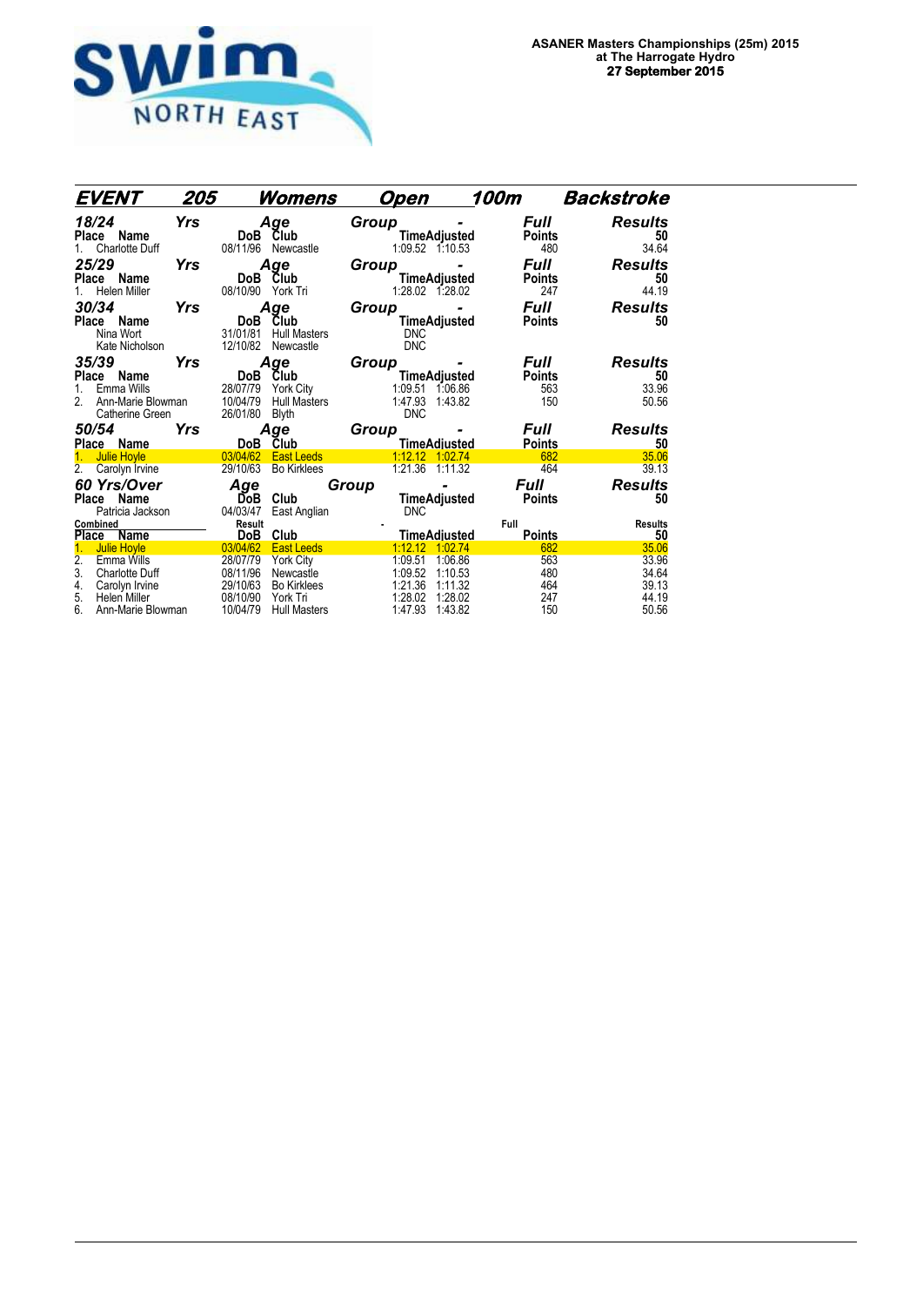

| EVENT                                                                                                                                                               | 205        |                                                                      | <u>Womens</u>                                                                                               |       | Open                                                           |                                                                | 100m                                   | Backstroke                                         |
|---------------------------------------------------------------------------------------------------------------------------------------------------------------------|------------|----------------------------------------------------------------------|-------------------------------------------------------------------------------------------------------------|-------|----------------------------------------------------------------|----------------------------------------------------------------|----------------------------------------|----------------------------------------------------|
| 18/24<br>Place Name<br><b>Charlotte Duff</b>                                                                                                                        | Yrs        | 08/11/96                                                             | Age<br>DoB Club<br>Newcastle                                                                                | Group |                                                                | TimeAdjusted<br>1:09.52 1:10.53                                | <b>Full</b><br><b>Points</b><br>480    | Results<br>50<br>34.64                             |
| 25/29<br>Place Name<br>Helen Miller<br>1.                                                                                                                           | Yrs        | <b>DoB</b><br>08/10/90                                               | Age<br>Club<br>York Tri                                                                                     | Group |                                                                | TimeAdjusted<br>1:28.02 1:28.02                                | Full<br><b>Points</b><br>247           | <b>Results</b><br>50<br>44.19                      |
| 30/34<br>Place Name<br>Nina Wort<br>Kate Nicholson                                                                                                                  | <b>Yrs</b> | DoB<br>31/01/81<br>12/10/82                                          | Age<br>Club<br><b>Hull Masters</b><br>Newcastle                                                             | Group | <b>DNC</b><br><b>DNC</b>                                       | ۰<br>TimeAdjusted                                              | Full<br><b>Points</b>                  | <b>Results</b><br>50                               |
| 35/39<br>Place Name<br>Emma Wills<br>1.<br>2.<br>Ann-Marie Blowman<br>Catherine Green                                                                               | Yrs        | DoB<br>28/07/79<br>10/04/79<br>26/01/80                              | Age<br><b>Club</b><br>York City<br><b>Hull Masters</b><br><b>Blyth</b>                                      | Group | 1:09.51<br>1:47.93<br><b>DNC</b>                               | TimeAdjusted<br>1:06.86<br>1:43.82                             | Full<br><b>Points</b><br>563<br>150    | <b>Results</b><br>50<br>33.96<br>50.56             |
| <i><b>50/54</b></i><br>Place Name                                                                                                                                   | Yrs        |                                                                      | Age<br>DoB Club                                                                                             | Group |                                                                | <b>TimeAdjusted</b>                                            | Full<br><b>Points</b>                  | <b>Results</b><br>50                               |
| <b>Julie Hoyle</b><br>$\overline{2}$ .<br>Carolyn Irvine                                                                                                            |            | 03/04/62<br>29/10/63                                                 | <b>East Leeds</b><br><b>Bo Kirklees</b>                                                                     |       |                                                                | 1:12.12 1:02.74<br>1:21.36 1:11.32                             | 682<br>464                             | 35.06<br>39.13                                     |
| <b>60 Yrs/Over</b><br>Place Name<br>Patricia Jackson                                                                                                                |            | Age<br>DoB<br>04/03/47                                               | Club<br>East Anglian                                                                                        | Group | <b>DNC</b>                                                     | TimeAdjusted                                                   | <b>Full</b><br><b>Points</b>           | <b>Results</b><br>50                               |
| Combined<br>Place Name                                                                                                                                              |            | Result<br><b>DoB</b>                                                 | Club                                                                                                        |       |                                                                | <b>TimeAdiusted</b>                                            | Full<br><b>Points</b>                  | <b>Results</b><br>50                               |
| <b>Julie Hoyle</b><br>$\overline{2}$ .<br><b>Emma Wills</b><br>3.<br><b>Charlotte Duff</b><br>4.<br>Carolyn Irvine<br>5.<br>Helen Miller<br>6.<br>Ann-Marie Blowman |            | 03/04/62<br>28/07/79<br>08/11/96<br>29/10/63<br>08/10/90<br>10/04/79 | <b>East Leeds</b><br><b>York City</b><br>Newcastle<br><b>Bo Kirklees</b><br>York Tri<br><b>Hull Masters</b> |       | 1:12.12<br>1:09.51<br>1:09.52<br>1:21.36<br>1:28.02<br>1:47.93 | 1:02.74<br>1:06.86<br>1:10.53<br>1:11.32<br>1:28.02<br>1:43.82 | 682<br>563<br>480<br>464<br>247<br>150 | 35.06<br>33.96<br>34.64<br>39.13<br>44.19<br>50.56 |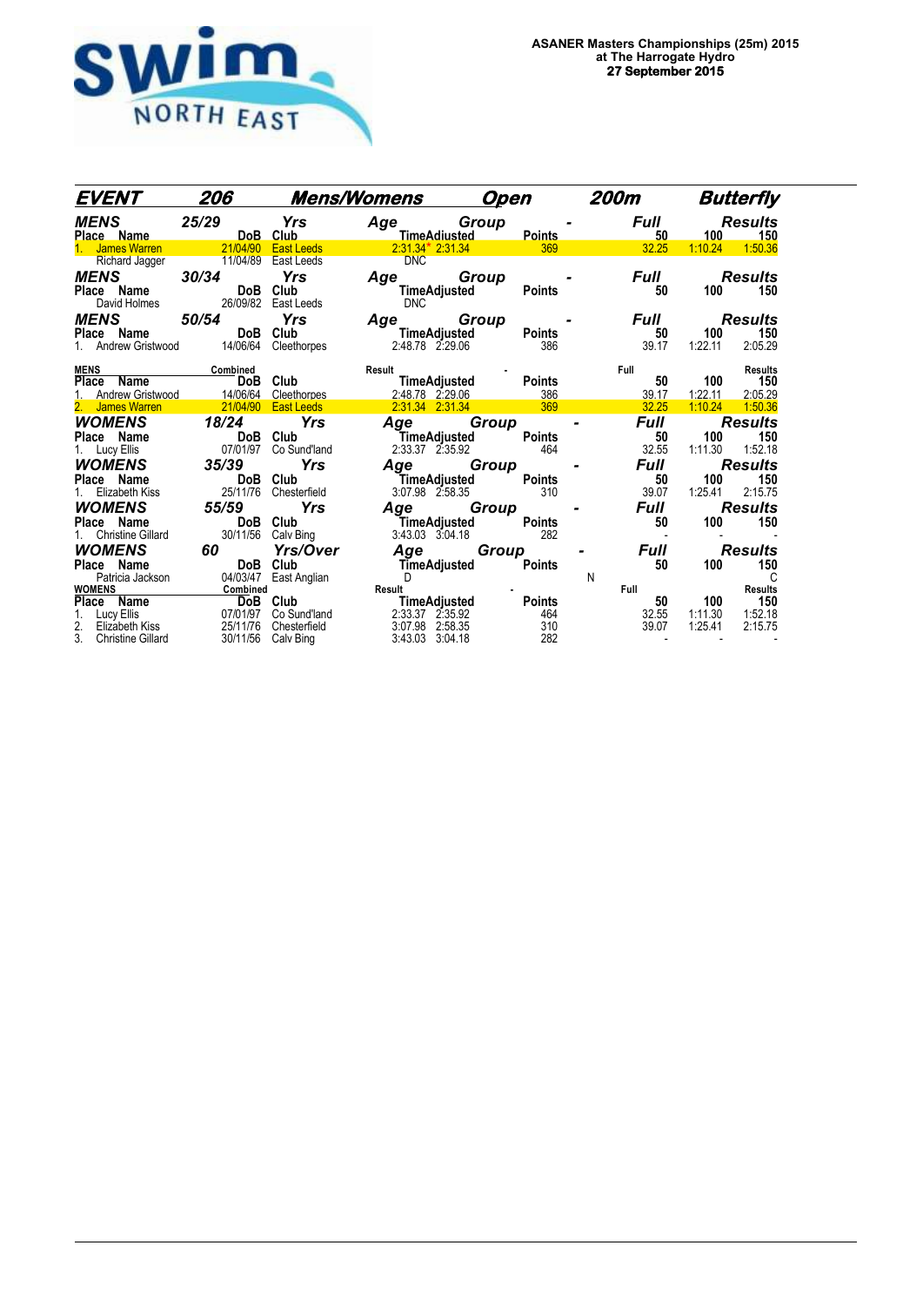

| EVENT                                          | 206                                       |                   | <b>Mens/Womens</b>  | <b>Open</b>                                |               | <b>200m</b> |             |         | <b>Butterfly</b>      |
|------------------------------------------------|-------------------------------------------|-------------------|---------------------|--------------------------------------------|---------------|-------------|-------------|---------|-----------------------|
| MENS                                           | 25/29                                     | Yrs               | Age Group           | TimeAdiusted Points                        |               | Full        | 50          | 100     | <b>Results</b><br>150 |
| Place Name<br>1. James Warren 21/04/90 East Le |                                           | <b>East Leeds</b> |                     | $2:31.34*2:31.34$ and $369$                |               |             | 32.25       | 1:10.24 | 1:50.36               |
| <b>Richard Jagger</b>                          | 11/04/89                                  | East Leeds        | <b>DNC</b>          |                                            |               |             |             |         |                       |
| <b>MENS</b>                                    | 30/34                                     | Yrs               | Age                 | Group                                      |               |             | <b>Full</b> |         | Results               |
| Place Name                                     | DoB                                       | Club              |                     | TimeAdjusted                               | <b>Points</b> |             | 50          | 100     | 150                   |
| David Holmes                                   | 26/09/82                                  | East Leeds        | <b>DNC</b>          |                                            |               |             |             |         |                       |
| <b>MENS</b>                                    | 50/54                                     | <b>Yrs</b>        | Age Group           |                                            |               |             | <b>Full</b> |         | <b>Results</b>        |
| Place Name DoB                                 |                                           | Club              |                     | <b>TimeAdjusted</b>                        | <b>Points</b> |             | 50          | 100     | 150                   |
|                                                | Andrew Gristwood 14/06/64                 | Cleethorpes       |                     | 2:48.78 2:29.06                            | 386           |             | 39.17       | 1:22.11 | 2:05.29               |
|                                                |                                           |                   |                     |                                            |               |             |             |         |                       |
| <b>MENS</b>                                    | <b>Combined</b><br>DoB Club               |                   | Result              | <sup>t</sup><br>TimeAdjusted Points        |               | Full        |             | 100     | <b>Results</b>        |
| Place Name<br>Andrew Gristwood                 |                                           | Cleethorpes       |                     |                                            |               |             | 50<br>39.17 | 1:22.11 | 150<br>2:05.29        |
| 2. James Warren                                | $\frac{14/06/64}{21/04/90}$               | <b>East Leeds</b> |                     | 2:48.78 2:29.06 386<br>2:31.34 2:31.34 369 |               |             | 32.25       | 1:10.24 | 1:50.36               |
| WOMENS                                         | 18/24                                     | Yrs               | Age                 | Group                                      |               |             | Full        |         | <b>Results</b>        |
| Place Name                                     |                                           | DoB Club          | TimeAdjusted        |                                            | Points        |             | 50          | 100     | 150                   |
| 1. Lucy Ellis                                  | 07/01/97                                  | Co Sund'land      | 2:33.37 2:35.92     |                                            | 464           |             | 32.55       | 1:11.30 | 1:52.18               |
| WOMENS                                         | 35/39                                     | <b>Yrs</b>        | Age                 | Group                                      |               |             | Full        |         | <b>Results</b>        |
| Place Name                                     | DoB Club                                  |                   | TimeAdjusted        |                                            | Points        |             | 50          | 100     | 150                   |
| Elizabeth Kiss                                 | 25/11/76                                  | Chesterfield      | 3:07.98 2:58.35     |                                            | 310           |             | 39.07       | 1:25.41 | 2:15.75               |
| WOMENS                                         | 55/59                                     | <b>Yrs</b>        | Age                 | Group                                      |               |             | Full        |         | <b>Results</b>        |
| Place Name                                     |                                           | DoB Club          | TimeAdjusted        |                                            | Points        |             | 50          | 100     | 150                   |
| <b>Christine Gillard</b>                       | 30/11/56                                  | Calv Bing         | $3:43.03$ $3:04.18$ |                                            | 282           |             |             |         |                       |
| <b>WOMENS</b>                                  | 60                                        | <b>Yrs/Over</b>   | Age                 | Group                                      |               |             | Full        |         | <b>Results</b>        |
| Place Name                                     |                                           | DoB Club          |                     | <b>TimeAdjusted</b>                        | <b>Points</b> |             | 50          | 100     | 150                   |
| Patricia Jackson                               | 04/03/47                                  | East Anglian      | D                   |                                            |               | N           |             |         | C                     |
| <b>WOMENS</b>                                  | Combined                                  |                   | Result              |                                            |               | Full        |             |         | <b>Results</b>        |
| <b>Place Name</b><br>1. Lucy Ellis             | $\frac{\text{compined}}{\text{DoB}}$ Club |                   | TimeAdjusted        |                                            | <b>Points</b> |             | 50          | 100     | 150                   |
| Lucy Ellis                                     | 07/01/97                                  | Co Sund'land      | 2:33.37 2:35.92     |                                            | 464           |             | 32.55       | 1:11.30 | 1:52.18               |
| 2.<br>Elizabeth Kiss                           | 25/11/76                                  | Chesterfield      | 3:07.98 2:58.35     |                                            | 310           |             | 39.07       | 1:25.41 | 2:15.75               |
| 3. Christine Gillard                           | 30/11/56                                  | Calv Bing         | 3:43.03 3:04.18     |                                            | 282           |             |             |         |                       |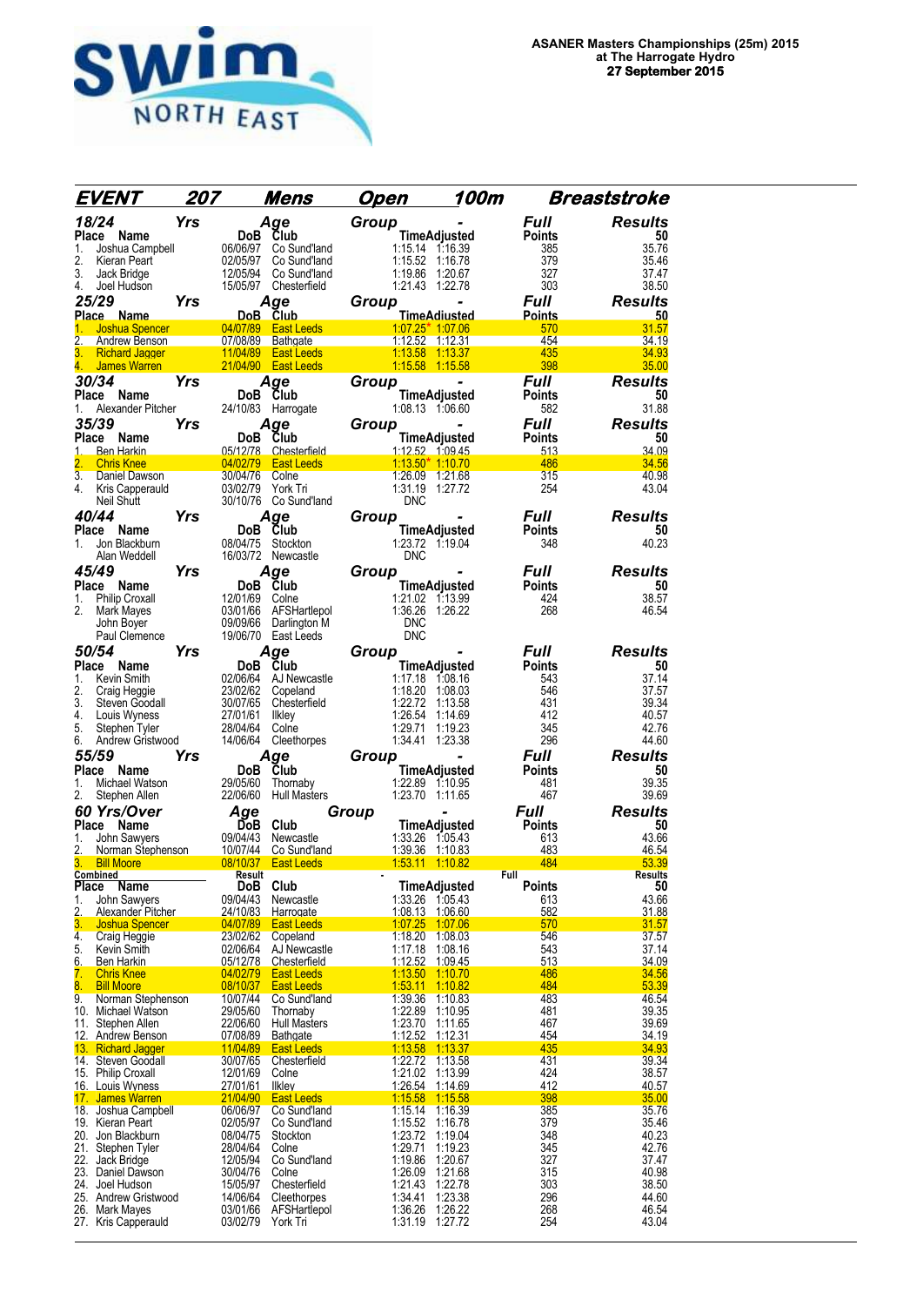

| EVENT                                                  | 207        |                      | Mens                                                             | Open  |                                    | 100m                |                       | Breaststroke            |
|--------------------------------------------------------|------------|----------------------|------------------------------------------------------------------|-------|------------------------------------|---------------------|-----------------------|-------------------------|
| 18/24                                                  | <b>Yrs</b> |                      | Age                                                              | Group |                                    |                     | Full                  | <b>Results</b>          |
| Place Name                                             |            | DoB Club             |                                                                  |       |                                    | <b>TimeAdjusted</b> | <b>Points</b>         | 50                      |
| 1.<br>Joshua Campbell<br>2.<br>Kieran Peart            |            | 06/06/97<br>02/05/97 | Co Sund'land<br>Co Sund'land                                     |       | 1:15.14 1:16.39<br>1:15.52 1:16.78 |                     | 385<br>379            | 35.76<br>35.46          |
| 3.<br>Jack Bridge                                      |            | 12/05/94             | Co Sund'land                                                     |       | 1:19.86                            | 1:20.67             | 327                   | 37.47                   |
| 4.<br>Joel Hudson                                      |            |                      | 15/05/97 Chesterfield                                            |       | $1:21.43$ 1:22.78                  |                     | 303                   | 38.50                   |
| 25/29                                                  | Yrs        |                      | Age                                                              | Group |                                    |                     | <b>Full</b>           | <b>Results</b>          |
| Place Name<br>1.<br><b>Joshua Spencer</b>              |            | DoB Club<br>04/07/89 | <b>East Leeds</b>                                                |       | 1.07.25* 1.07.06                   | TimeAdiusted        | <b>Points</b><br>570  | 50<br>31.57             |
| 2.<br>Andrew Benson                                    |            |                      | 07/08/89 Bathgate                                                |       | $1:12.52$ 1:12.31                  |                     | 454                   | 34.19                   |
| 3.<br><b>Richard Jagger</b>                            |            | 11/04/89             | <b>East Leeds</b>                                                |       | 1:13.58                            | 1:13.37             | 435                   | 34.93                   |
| James Warren<br>4.<br>30/34                            | Yrs        |                      | 21/04/90 East Leeds                                              |       | 1.15.58 1:15.58                    |                     | 398<br>Full           | 35.00<br><b>Results</b> |
| Place Name                                             |            | DoB Club             | Age                                                              | Group |                                    | TimeAdjusted        | Points                | 50                      |
| Alexander Pitcher<br>1.                                |            |                      | 24/10/83 Harrogate                                               |       | 1:08.13 1:06.60                    |                     | 582                   | 31.88                   |
| 35/39                                                  | Yrs        |                      | Age                                                              | Group |                                    |                     | Full                  | <b>Results</b>          |
| Place Name                                             |            | DoB Club             |                                                                  |       |                                    | TimeAdjusted        | <b>Points</b>         | 50                      |
| <b>Ben Harkin</b><br>1.<br><b>Chris Knee</b>           |            | 04/02/79             | 05/12/78 Chesterfield<br>East Leeds 1:13.50 <sup>*</sup> 1:10.70 |       |                                    | $1:12.52$ 1:09.45   | 513<br>486            | 34 09<br>34.56          |
| 3.<br>Daniel Dawson                                    |            | 30/04/76             | Colne                                                            |       | 1:26.09 1:21.68                    |                     | 315                   | 40.98                   |
| 4. Kris Capperauld                                     |            | 03/02/79<br>30/10/76 | York Tri                                                         |       | 1:31.19 1:27.72<br><b>DNC</b>      |                     | 254                   | 43.04                   |
| Neil Shutt<br>40/44                                    | Yrs        |                      | Co Sund'land<br>Age                                              | Group |                                    |                     | Full                  | <b>Results</b>          |
| Place Name                                             |            | DoB Club             |                                                                  |       |                                    | <b>TimeAdjusted</b> | <b>Points</b>         | 50                      |
| Jon Blackburn<br>1.                                    |            | 08/04/75             | Stockton                                                         |       |                                    | 1:23.72 1:19.04     | 348                   | 40.23                   |
| Alan Weddell                                           |            |                      | 16/03/72 Newcastle                                               |       | <b>DNC</b>                         |                     |                       |                         |
| 45/49<br>Place Name                                    | Yrs        | DoB Club             | Age                                                              | Group |                                    |                     | Full<br><b>Points</b> | <b>Results</b><br>50    |
| Philip Croxall<br>1.                                   |            | 12/01/69 Colne       |                                                                  |       | 1:21.02 1:13.99                    | TimeAdjusted        | 424                   | 38.57                   |
| 2.<br>Mark Mayes                                       |            |                      | 03/01/66 AFSHartlepol                                            |       | 1:36.26 1:26.22                    |                     | 268                   | 46.54                   |
| John Boyer<br>Paul Clemence                            |            | 09/09/66             | Darlington M<br>19/06/70 East Leeds                              |       | <b>DNC</b><br><b>DNC</b>           |                     |                       |                         |
| 50/54                                                  | Yrs        |                      | Age                                                              | Group |                                    |                     | Full                  | <b>Results</b>          |
| Place Name                                             |            | DoB                  | Club                                                             |       |                                    | <b>TimeAdjusted</b> | Points                | 50                      |
| 1.<br>Kevin Smith                                      |            | 02/06/64             | AJ Newcastle                                                     |       | 1:17.18 1:08.16                    |                     | 543                   | 37.14                   |
| 2.<br>Craig Heggie<br>3.<br>Steven Goodall             |            | 23/02/62<br>30/07/65 | Copeland<br>Chesterfield                                         |       | 1:18.20 1:08.03<br>1:22.72         | 1:13.58             | 546<br>431            | 37.57<br>39.34          |
| 4.<br>Louis Wyness                                     |            | 27/01/61             | likley                                                           |       | 1:26.54                            | 1:14.69             | 412                   | 40.57                   |
| 5.<br>Stephen Tyler                                    |            | 28/04/64             | Colne                                                            |       | 1:29.71                            | 1:19.23             | 345                   | 42.76                   |
| 6.<br>Andrew Gristwood<br>55/59                        |            | 14/06/64             | Cleethorpes                                                      |       | 1:34.41 1:23.38                    |                     | 296                   | 44.60                   |
| Place Name                                             | <b>Yrs</b> | DoB Club             | Age                                                              | Group |                                    | TimeAdjusted        | Full<br>Points        | <b>Results</b><br>50    |
| Michael Watson<br>1.                                   |            | 29/05/60             | Thornaby                                                         |       | 1:22.89 1:10.95                    |                     | 481                   | 39.35                   |
| 2.<br>Stephen Allen                                    |            | 22/06/60             | <b>Hull Masters</b>                                              |       | 1:23.70 1:11.65                    |                     | 467                   | 39.69                   |
| 60 Yrs/Over                                            |            | Age                  |                                                                  | Group |                                    |                     | <b>Full</b>           | <b>Results</b>          |
| Place Name<br>John Sawyers<br>1.                       |            | ĎоВ<br>09/04/43      | Club<br>Newcastle                                                |       | 1:33.26 1:05.43                    | TimeAdjusted        | <b>Points</b><br>613  | 50<br>43.66             |
| 2.<br>Norman Stephenson 10/07/44                       |            |                      | Co Sund'land                                                     |       | 1:39.36 1:10.83                    |                     | 483                   | 46.54                   |
| 3.<br><b>Bill Moore</b><br>Combined                    |            | 08/10/37<br>Result   | <b>East Leeds</b>                                                |       | 1:53.11 1:10.82                    |                     | 484<br>Full           | 53.39<br>Results        |
| Place<br>Name                                          |            | DoB                  | Club                                                             |       |                                    | TimeAdjusted        | Points                | 50                      |
| 1.<br>John Sawyers                                     |            | 09/04/43             | Newcastle                                                        |       | 1:33.26 1:05.43                    |                     | 613                   | 43.66                   |
| 2.<br>Alexander Pitcher<br>3.<br><b>Joshua Spencer</b> |            | 24/10/83<br>04/07/89 | Harrogate<br><b>East Leeds</b>                                   |       | 1:08.13<br>1.07.25                 | 1:06.60<br>1:07.06  | 582<br>570            | 31.88<br>31.57          |
| 4.<br>Craig Heggie                                     |            | 23/02/62             | Copeland                                                         |       | 1:18.20                            | 1:08.03             | 546                   | 37.57                   |
| 5.<br>Kevin Smith<br>Ben Harkin<br>6.                  |            | 02/06/64<br>05/12/78 | AJ Newcastle<br>Chesterfield                                     |       | 1:17.18<br>1:12.52 1:09.45         | 1:08.16             | 543<br>513            | 37.14<br>34.09          |
| 7.<br><b>Chris Knee</b>                                |            | 04/02/79             | <b>East Leeds</b>                                                |       | 1:13.50                            | 1:10.70             | 486                   |                         |
| 8.<br><b>Bill Moore</b>                                |            | 08/10/37             | <b>East Leeds</b>                                                |       | 1:53.11                            | 1:10.82             | 484                   | 34.56<br>53.39          |
| 9.<br>Norman Stephenson<br>10. Michael Watson          |            | 10/07/44<br>29/05/60 | Co Sund'land<br>Thornaby                                         |       | 1:39.36<br>1:22.89                 | 1:10.83<br>1:10.95  | 483<br>481            | 46.54<br>39.35          |
| Stephen Allen<br>11.                                   |            | 22/06/60             | <b>Hull Masters</b>                                              |       | 1:23.70                            | 1:11.65             | 467                   | 39.69                   |
| 12. Andrew Benson                                      |            | 07/08/89             | <b>Bathgate</b>                                                  |       | 1:12.52 1:12.31                    |                     | 454                   | 34.19                   |
| 13. Richard Jagger<br>14. Steven Goodall               |            | 11/04/89<br>30/07/65 | <b>East Leeds</b><br>Chesterfield                                |       | <u>1:13.58</u><br>1:22.72          | 1:13.37<br>1:13.58  | 435<br>431            | 34.93<br>39.34          |
| 15. Philip Croxall                                     |            | 12/01/69             | Colne                                                            |       | 1:21.02                            | 1:13.99             | 424                   | 38.57                   |
| 16. Louis Wyness<br>17. James Warren                   |            | 27/01/61<br>21/04/90 | <b>Ilkley</b><br><b>East Leeds</b>                               |       | <u>1:26.54</u><br>1:15.58          | 1:14.69<br>1:15.58  | 412<br>398            | 40.57<br>35.00          |
| 18. Joshua Campbell                                    |            | 06/06/97             | Co Sund'land                                                     |       | 1:15.14                            | 1:16.39             | 385                   | 35.76                   |
| 19. Kieran Peart                                       |            | 02/05/97             | Co Sund'land                                                     |       | 1:15.52                            | 1:16.78             | 379                   | 35.46                   |
| 20. Jon Blackburn<br>21.<br>Stephen Tyler              |            | 08/04/75<br>28/04/64 | Stockton<br>Colne                                                |       | 1:23.72<br>1:29.71                 | 1:19.04<br>1:19.23  | 348<br>345            | 40.23<br>42.76          |
| 22.<br>Jack Bridge                                     |            | 12/05/94             | Co Sund'land                                                     |       | 1:19.86                            | 1:20.67             | 327                   | 37.47                   |
| 23.<br>Daniel Dawson                                   |            | 30/04/76             | Colne                                                            |       | 1:26.09                            | 1:21.68             | 315                   | 40.98                   |
| 24.<br>Joel Hudson<br>25. Andrew Gristwood             |            | 15/05/97<br>14/06/64 | Chesterfield<br>Cleethorpes                                      |       | 1:21.43<br>1:34.41                 | 1:22.78<br>1:23.38  | 303<br>296            | 38.50<br>44.60          |
| Mark Mayes<br>26.                                      |            | 03/01/66             | AFSHartlepol                                                     |       | 1:36.26                            | 1:26.22             | 268                   | 46.54                   |
| 27. Kris Capperauld                                    |            | 03/02/79             | York Tri                                                         |       | 1:31.19                            | 1:27.72             | 254                   | 43.04                   |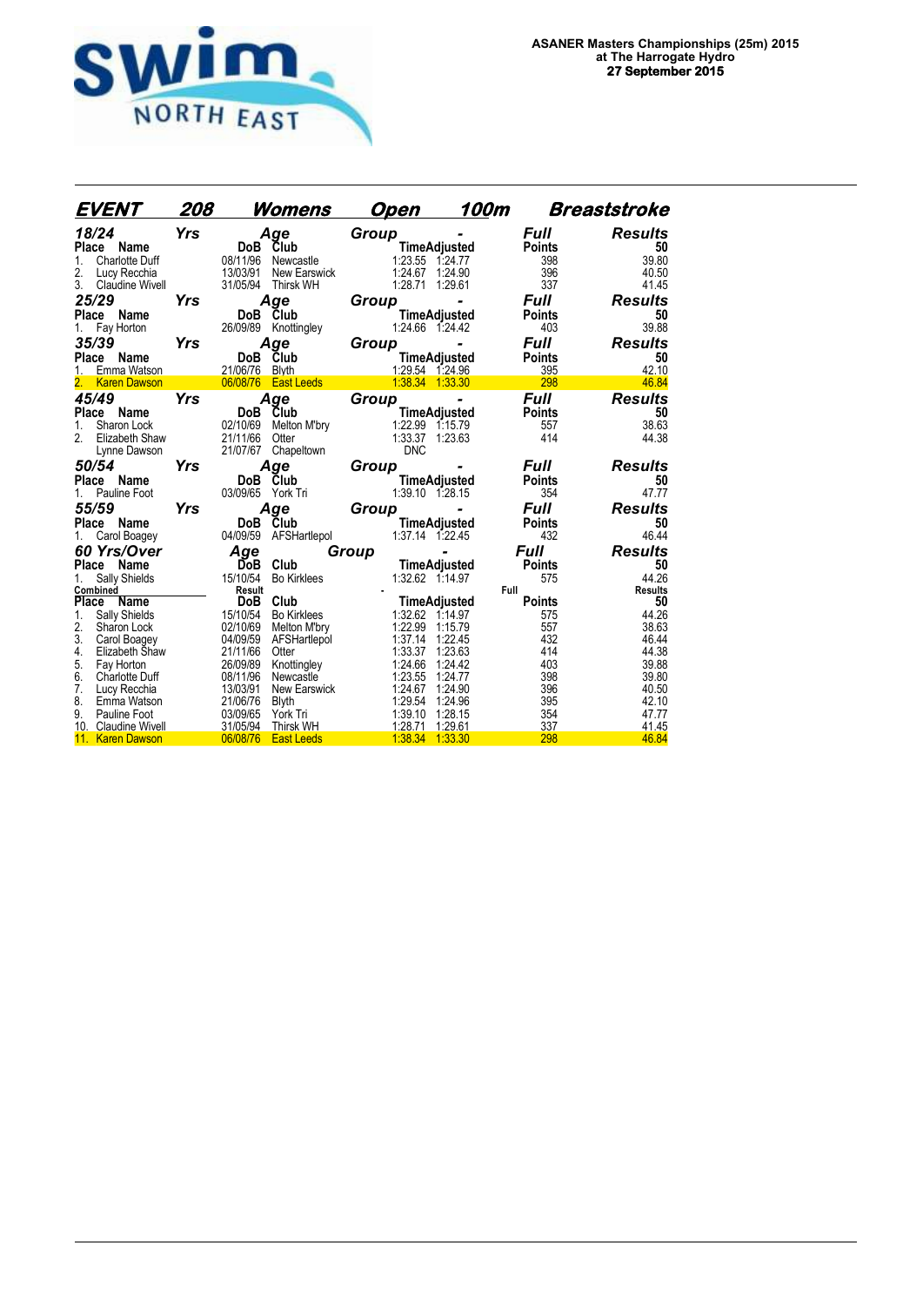

| EVENT                                                                                                            | 208        |                                              | <u>Womens</u>                                                     |       | <u>Open</u>                              | 100m                                                           |                                                   | <b>Breaststroke</b>                             |
|------------------------------------------------------------------------------------------------------------------|------------|----------------------------------------------|-------------------------------------------------------------------|-------|------------------------------------------|----------------------------------------------------------------|---------------------------------------------------|-------------------------------------------------|
| 18/24<br>Place<br>Name<br>Charlotte Duff<br>$\mathbf{1}$ .<br>2.<br>Lucy Recchia<br>3.<br><b>Claudine Wivell</b> | Yrs        | DoB Club<br>08/11/96<br>13/03/91<br>31/05/94 | Age<br>Newcastle<br>New Earswick<br><b>Thirsk WH</b>              | Group | 1:28.71 1:29.61                          | <b>TimeAdjusted</b><br>1:23.55 1:24.77<br>1:24.67 1:24.90      | <b>Full</b><br><b>Points</b><br>398<br>396<br>337 | <b>Results</b><br>50<br>39.80<br>40.50<br>41.45 |
| 25/29<br>Place<br>Name<br>Fay Horton<br>1.                                                                       | Yrs        |                                              | Aqe<br>DoB Club<br>26/09/89 Knottingley                           | Group |                                          | <b>TimeAdjusted</b><br>1:24.66 1:24.42                         | Full<br><b>Points</b><br>403                      | <b>Results</b><br>50<br>39.88                   |
| 35/39<br>Place<br>Name<br>Emma Watson                                                                            | Yrs        | DoB<br>21/06/76 Blyth                        | Age<br>Club                                                       | Group |                                          | <b>TimeAdjusted</b><br>1:29.54 1:24.96                         | <b>Full</b><br><b>Points</b><br>395               | <b>Results</b><br>50<br>42.10                   |
| 2.<br><b>Karen Dawson</b>                                                                                        |            |                                              | 06/08/76 East Leeds                                               |       |                                          | 1:38.34 1:33.30                                                | 298                                               | 46.84                                           |
| 45/49<br>Place Name<br>Sharon Lock<br>1.<br>2.<br>Elizabeth Shaw<br>Lynne Dawson                                 | <b>Yrs</b> | DoB<br>02/10/69<br>21/11/66<br>21/07/67      | Age<br>Club<br>Melton M'bry<br>Otter<br>Chapeltown                | Group | <b>DNC</b>                               | ٠<br><b>TimeAdjusted</b><br>1:22.99 1:15.79<br>1:33.37 1:23.63 | <b>Full</b><br><b>Points</b><br>557<br>414        | <b>Results</b><br>50<br>38.63<br>44.38          |
| 50/54<br>Place Name<br>Pauline Foot<br>1.                                                                        | Yrs        | DoB Club<br>03/09/65 York Tri                | Age                                                               | Group |                                          | <b>TimeAdjusted</b><br>1:39.10 1:28.15                         | Full<br><b>Points</b><br>354                      | <b>Results</b><br>50<br>47.77                   |
| 55/59<br>Place Name<br>Carol Boagey<br>1.                                                                        | <b>Yrs</b> | DoB Club                                     | Age<br>04/09/59 AFSHartlepol                                      | Group |                                          | TimeAdjusted<br>1:37.14 1:22.45                                | <b>Full</b><br><b>Points</b><br>432               | <b>Results</b><br>50<br>46.44                   |
| 60 Yrs/Over                                                                                                      |            | Age                                          |                                                                   | Group |                                          |                                                                | <b>Full</b>                                       | <b>Results</b>                                  |
| Place Name<br>Sally Shields                                                                                      |            | Do <sub>B</sub><br>15/10/54                  | Club<br><b>Bo Kirklees</b>                                        |       |                                          | TimeAdjusted<br>1:32.62 1:14.97                                | <b>Points</b><br>575                              | 50<br>44.26                                     |
| Combined<br>Place<br>Name                                                                                        |            | Result<br>DoB                                | Club                                                              |       |                                          | <b>TimeAdjusted</b>                                            | Full<br><b>Points</b>                             | <b>Results</b><br>50                            |
| Sally Shields<br>1.<br>2.<br>Sharon Lock<br>3.<br>Carol Boagey<br>4.<br>Elizabeth Shaw                           |            | 15/10/54<br>02/10/69<br>04/09/59<br>21/11/66 | <b>Bo Kirklees</b><br>Melton M'bry<br>AFSHartlepol<br>Otter       |       | 1:22.99<br>1:37.14<br>1:33.37            | 1:32.62 1:14.97<br>1:15.79<br>1:22.45<br>1:23.63               | 575<br>557<br>432<br>414                          | 44.26<br>38.63<br>46.44<br>44.38                |
| 5.<br>Fay Horton<br>6.<br><b>Charlotte Duff</b><br>7.<br>Lucy Recchia                                            |            | 26/09/89<br>08/11/96<br>13/03/91             | Knottingley<br>Newcastle<br><b>New Earswick</b>                   |       | 1:24.66<br>1:23.55<br>1:24.67            | 1:24.42<br>1.24.77<br>1:24.90                                  | 403<br>398<br>396                                 | 39.88<br>39.80<br>40.50                         |
| 8.<br>Emma Watson<br>9.<br>Pauline Foot<br>10. Claudine Wivell<br>11.<br><b>Karen Dawson</b>                     |            | 21/06/76<br>03/09/65<br>31/05/94<br>06/08/76 | <b>Blyth</b><br>York Tri<br><b>Thirsk WH</b><br><b>East Leeds</b> |       | 1:29.54<br>1:39.10<br>1:28.71<br>1:38.34 | 1:24.96<br>1:28.15<br>1:29.61<br>1:33.30                       | 395<br>354<br>337<br>298                          | 42.10<br>47.77<br>41.45<br>46.84                |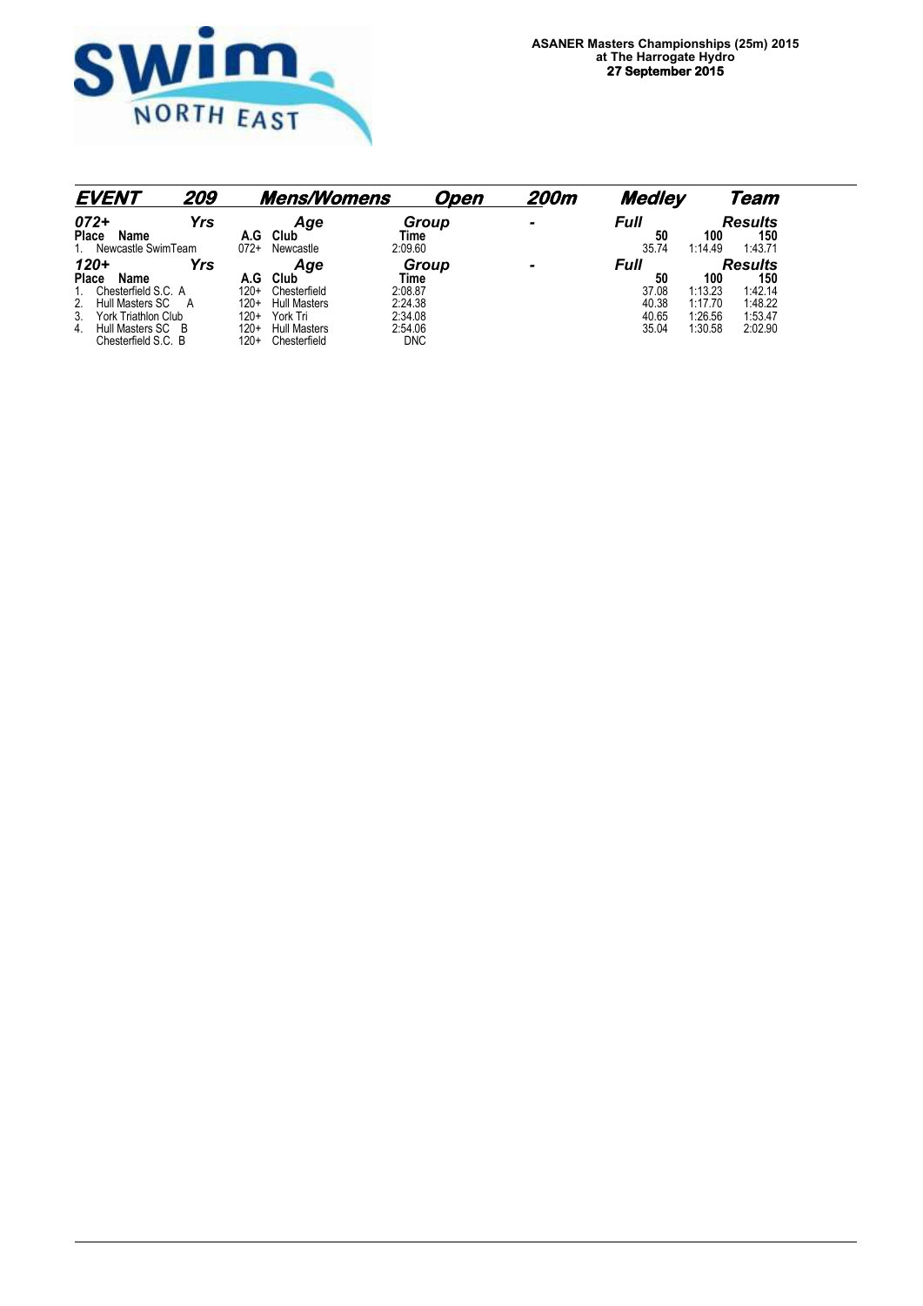

| <b>EVENT</b>                                   | 209 |                  | <b>Mens/Womens</b>                  |                       | Open | 200m         | Medley     |         | Team                  |
|------------------------------------------------|-----|------------------|-------------------------------------|-----------------------|------|--------------|------------|---------|-----------------------|
| $072+$<br>Name<br>Place                        | Yrs | A.G              | Age<br>Club                         | Group<br>Time         |      |              | Full<br>50 | 100     | <b>Results</b><br>150 |
| Newcastle SwimTeam                             |     | $072+$           | Newcastle                           | 2:09.60               |      |              | 35.74      | 1:14.49 | 1:43.71               |
| $120 +$                                        | Yrs |                  | Age                                 | Group                 |      | $\mathbf{r}$ | Full       |         | <b>Results</b>        |
| <b>Place</b><br>Name                           |     | A.G              | Club                                | Time                  |      |              | 50         | 100     | 150                   |
| Chesterfield S.C. A                            |     | $120+$           | Chesterfield                        | 2:08.87               |      |              | 37.08      | 1:13.23 | 1:42.14               |
| Hull Masters SC                                | A   | $120+$           | <b>Hull Masters</b>                 | 2:24.38               |      |              | 40.38      | 1:17.70 | 1:48.22               |
| York Triathlon Club<br>3.                      |     | $120+$           | York Tri                            | 2:34.08               |      |              | 40.65      | 1:26.56 | 1:53.47               |
| Hull Masters SC B<br>4.<br>Chesterfield S.C. B |     | $120+$<br>$120+$ | <b>Hull Masters</b><br>Chesterfield | 2:54.06<br><b>DNC</b> |      |              | 35.04      | 1:30.58 | 2:02.90               |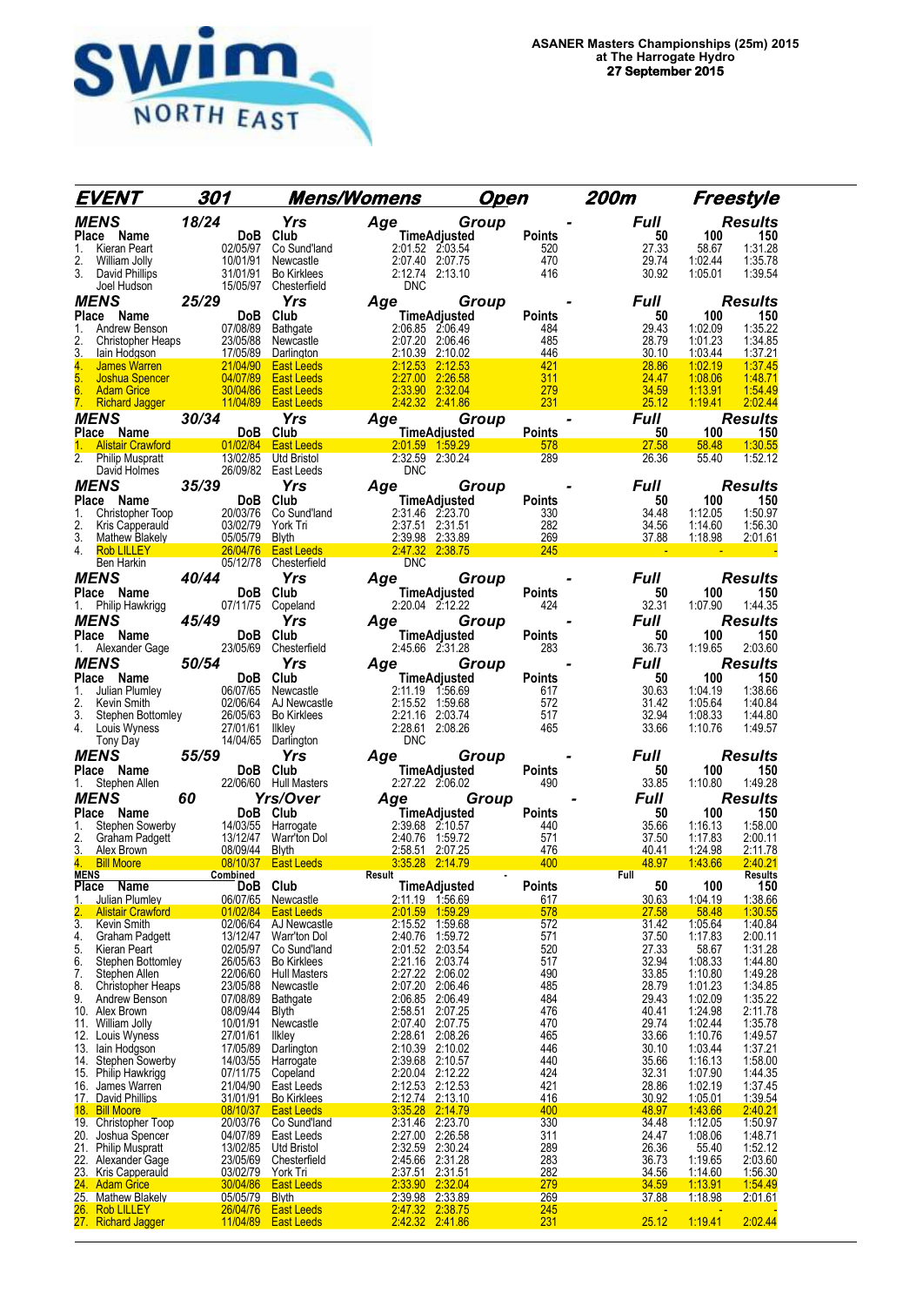

|                             | <b>EVENT</b>                                        | 301                        |                                  |                                                                     | <b>Mens/Womens</b>                                                                                                                                                         | <u>Open</u>                   |                      | 200m Freestyle                |                           |                       |
|-----------------------------|-----------------------------------------------------|----------------------------|----------------------------------|---------------------------------------------------------------------|----------------------------------------------------------------------------------------------------------------------------------------------------------------------------|-------------------------------|----------------------|-------------------------------|---------------------------|-----------------------|
|                             | <b>MENS</b>                                         | 18/24                      |                                  | Yrs                                                                 | Age                                                                                                                                                                        | <b>Group</b>                  |                      | Full                          |                           | <b>Results</b>        |
|                             | Place Name                                          |                            | DoB                              | Club                                                                | $2:01.52 \quad 2:03.5-2:07.40 \quad 2:07.75$ 2:12.74 2:13.10<br>DNC                                                                                                        | <b>TimeAdjusted</b>           | <b>Points</b>        | 50                            | 100                       | 150                   |
| 1.<br>2.                    | Kieran Peart<br>William Jolly                       |                            |                                  | Co Sund'land<br>Newcastle                                           |                                                                                                                                                                            |                               | 520<br>470           | 27.33<br>29.74                | 58.67<br>1:02.44          | 1:31.28<br>1:35.78    |
| 3.                          | David Phillips                                      |                            | 02/05/97<br>10/01/91<br>31/01/91 | <b>Bo Kirklees</b>                                                  |                                                                                                                                                                            |                               | 416                  | 30.92                         | 1:05.01                   | 1:39.54               |
|                             | Joel Hudson                                         |                            |                                  | 15/05/97 Chesterfield                                               |                                                                                                                                                                            |                               |                      |                               |                           |                       |
|                             | <b>MENS</b>                                         | 25/29                      |                                  | <b>Yrs</b>                                                          | Age                                                                                                                                                                        | Group                         |                      | Full                          |                           | <b>Results</b>        |
| 1.                          | Place Name<br>Andrew Benson                         |                            | DoB<br>07/08/89                  | Club                                                                | 2:06.85 2:06.49                                                                                                                                                            | TimeAdjusted                  | Points<br>484        | 50<br>29.43                   | 100<br>1:02.09            | 150<br>1:35.22        |
| 2.                          | Christopher Heaps                                   |                            |                                  | Bathgate                                                            | 2:07.20 2:06.46                                                                                                                                                            |                               | 485                  | 28.79                         | 1:01.23                   | 1:34.85               |
| 3.                          | lain Hodgson                                        |                            |                                  | vs 23/05/88 Newcastle<br>17/05/89 Darlington<br>21/04/90 East Leeds | 2:10.39 2:10.02                                                                                                                                                            |                               | 446                  | 30.10                         | 1:03.44                   | 1:37.21               |
| 4.                          | James Warren                                        |                            | 04/07/89                         |                                                                     | 2:12.53 2:12.53<br>2:27.00                                                                                                                                                 |                               | 421                  | 28.86                         | 1:02.19                   | 1:37.45               |
| 5.<br>6.                    | Joshua Spencer<br><b>Adam Grice</b>                 |                            | 30/04/86                         | <b>East Leeds</b><br><b>East Leeds</b>                              | 2:33.90 2:32.04                                                                                                                                                            | 2:26.58                       | 311<br>279           | 24.47<br>34.59                | 1:08.06<br><u>1:13.91</u> | 1:48.71<br>1:54.49    |
| 7.                          | <b>Richard Jagger</b>                               |                            |                                  | 11/04/89 East Leeds                                                 | 2:42.32 2:41.86                                                                                                                                                            |                               | 231                  | 25.12                         | 1:19.41                   | 2:02.44               |
|                             | <b>MENS</b>                                         | 30/34                      |                                  | Yrs                                                                 | <i>Age</i>                                                                                                                                                                 | Group                         |                      | <b>Full</b><br>$\blacksquare$ |                           | <b>Results</b>        |
| 1.                          | Place Name                                          |                            | DoB Club                         |                                                                     |                                                                                                                                                                            | <b>TimeAdjusted</b>           | <b>Points</b><br>578 | 50<br>27.58                   | 100<br>58.48              | 150<br>1:30.55        |
|                             |                                                     |                            |                                  |                                                                     | Ventility 1:59.29<br>Alistair Crawford 11/02/84 East Leeds 2:01.59 1:59.29<br>Philip Muspratt 13/02/85 Utd Bristol 2:32.59 2:30.24<br>David Holmes 26/09/82 East Leeds DNC |                               | 289                  | 26.36                         | 55.40                     | 1:52.12               |
|                             | Philip Muspratt<br>David Holmes 26/09/82 East Leeds |                            |                                  |                                                                     | <b>DNC</b>                                                                                                                                                                 |                               |                      |                               |                           |                       |
|                             | <b>MENS</b>                                         | 35/39                      |                                  | Yrs                                                                 | Age                                                                                                                                                                        | <b>Group</b>                  |                      | Full                          |                           | <b>Results</b>        |
|                             | Place Name                                          |                            | DoB Club                         |                                                                     | TimeAdjusted                                                                                                                                                               |                               | <b>Points</b>        | 50                            | 100                       | 150                   |
| 1.<br>2.                    | Christopher Toop<br>Kris Capperauld                 |                            | 20/03/76<br>03/02/79             | Co Sund'land<br>York Tri                                            | 2:31.46 2:23.70<br>2:37.51 2:31.51                                                                                                                                         |                               | 330<br>282           | 34.48<br>34.56                | 1:12.05<br>1:14.60        | 1:50.97<br>1:56.30    |
| 3.                          | Mathew Blakely 05/05/79                             |                            |                                  | Blyth                                                               | 2:39.98 2:33.89                                                                                                                                                            |                               | $\frac{269}{245}$    | 37.88                         | <u>1.18.98</u>            | <u>2:01.61</u>        |
| 4.                          | Rob LILLEY 26/04/76                                 |                            |                                  |                                                                     | East Leeds 2.47.32 2.38.75                                                                                                                                                 | <b>Service Service</b>        | 245                  |                               |                           |                       |
|                             | Ben Harkin                                          |                            |                                  | 05/12/78 Chesterfield                                               | <b>DNC</b>                                                                                                                                                                 |                               |                      |                               |                           |                       |
|                             | <b>MENS</b>                                         | 40/44                      | <b>DoB</b>                       | <b>Yrs</b>                                                          | Age                                                                                                                                                                        | <b>Group</b>                  |                      | Full                          |                           | <b>Results</b>        |
|                             | Place Name<br>Philip Hawkrigg                       |                            |                                  | Club<br>07/11/75 Copeland                                           | 2:20.04 2:12.22                                                                                                                                                            | TimeAdjusted                  | <b>Points</b><br>424 | 50<br>32.31                   | 100<br>1:07.90            | 150<br>1:44.35        |
|                             | <b>MENS</b>                                         | 45/49                      |                                  | <b>Yrs</b>                                                          | Age                                                                                                                                                                        | Group                         |                      | <b>Full</b>                   |                           | <b>Results</b>        |
|                             | Place Name                                          |                            | DoB                              | Club                                                                |                                                                                                                                                                            | <b>TimeAdjusted</b>           | <b>Points</b>        | 50                            | 100                       | 150                   |
| 1.                          | Alexander Gage                                      |                            | 23/05/69                         | Chesterfield                                                        | 2:45.66 2:31.28                                                                                                                                                            |                               | 283                  | 36.73                         | 1:19.65                   | 2:03.60               |
|                             | <b>MENS</b>                                         | 50/54                      |                                  | Yrs                                                                 | Age                                                                                                                                                                        | Group                         |                      | Full                          |                           | <b>Results</b>        |
|                             | Place Name                                          |                            | DoB Club                         |                                                                     |                                                                                                                                                                            | <b>TimeAdjusted</b>           | <b>Points</b>        | 50                            | 100                       | 150                   |
| 1.<br>2.                    | Julian Plumley<br>Kevin Smith                       |                            | 06/07/65<br>02/06/64             | Newcastle<br>AJ Newcastle                                           | 2:11.19 1:56.69<br>2:15.52 1:59.68                                                                                                                                         |                               | 617<br>572           | 30.63<br>31.42                | 1:04.19<br>1:05.64        | 1:38.66<br>1:40.84    |
| 3.                          | Stephen Bottomley                                   |                            | 26/05/63                         | Bo Kirklees                                                         | 2:21.16 2:03.74                                                                                                                                                            |                               | 517                  | 32.94                         | 1:08.33                   | 1:44.80               |
| 4.                          | Louis Wyness                                        |                            | 27/01/61                         | Ilkley                                                              | 2:28.61 2:08.26                                                                                                                                                            |                               | 465                  | 33.66                         | 1:10.76                   | 1:49.57               |
|                             | Tony Day                                            |                            | 14/04/65                         | Darlington                                                          | <b>DNC</b>                                                                                                                                                                 |                               |                      |                               |                           |                       |
|                             | MENS                                                | 55/59                      | DoB Club                         | Yrs                                                                 | Age                                                                                                                                                                        | Group                         |                      | Full<br>50                    | 100                       | <b>Results</b><br>150 |
|                             | Place Name<br>Stephen Allen                         |                            |                                  | 22/06/60 Hull Masters                                               | 1111 <b>10Agjusted</b><br>2.06.02    22.27                                                                                                                                 | TimeAdjusted                  | <b>Points</b><br>490 | 33.85                         | 1:10.80                   | 1:49.28               |
|                             | <b>MENS</b>                                         | 60                         |                                  | <b>Yrs/Over</b>                                                     |                                                                                                                                                                            | Group                         |                      | <b>Full</b>                   |                           | <b>Results</b>        |
|                             | Place Name                                          |                            | DoB Club                         |                                                                     | Age G<br>TimeAdjusted                                                                                                                                                      |                               | <b>Points</b>        | 50                            | 100                       | 150                   |
| 1.                          | Stephen Sowerby                                     |                            | 14/03/55                         | Harrogate                                                           | 2:39.68 2:10.57                                                                                                                                                            |                               | 440                  | 35.66                         | 1:16.13                   | 1:58.00               |
| 2.<br>3.                    | Graham Padgett<br>Alex Brown                        |                            |                                  | Warr'ton Dol<br><b>Blyth</b>                                        | 2:40.76 1:59.72<br>2:58.51 2:07.25                                                                                                                                         |                               | 571<br>476           | 37.50<br>40.41                | 1:17.83<br>1:24.98        | 2:00.11<br>2:11.78    |
| 4.                          | <b>Bill Moore</b>                                   | $\frac{3/12/47}{08/09/44}$ |                                  | 08/10/37 East Leeds                                                 | 3.35.28 2:14.79                                                                                                                                                            |                               | 400                  | 48.97                         | 1:43.66                   | 2:40.21               |
| <b>MENS</b><br><b>Place</b> |                                                     |                            |                                  | Club                                                                | Result                                                                                                                                                                     | $\sim$<br><b>TimeAdjusted</b> |                      | Full                          | 100                       | Results<br>150        |
| 1.                          | <b>Name</b><br><b>Julian Plumley</b>                |                            | DoB<br>06/07/65                  | Newcastle                                                           | 2:11.19 1.56.69                                                                                                                                                            |                               | <b>Points</b><br>617 | 50<br>30.63                   | 1:04.19                   | 1:38.66               |
| 2.                          | <b>Alistair Crawford</b>                            |                            | 01/02/84                         | <b>East Leeds</b>                                                   | 2:01.59 1:59.29                                                                                                                                                            |                               | 578                  | 27.58                         | 58.48                     | 1:30.55               |
| 3.                          | Kevin Smith                                         |                            | 02/06/64                         | AJ Newcastle                                                        | 2:15.52 1:59.68                                                                                                                                                            |                               | 572                  | 31.42                         | 1:05.64                   | 1:40.84               |
| 4.<br>5.                    | <b>Graham Padgett</b><br>Kieran Peart               |                            | 13/12/47<br>02/05/97             | Warr'ton Dol<br>Co Sund'land                                        | 2:40.76<br>2:01.52 2:03.54                                                                                                                                                 | 1:59.72                       | 571<br>520           | 37.50<br>27.33                | 1:17.83<br>58.67          | 2:00.11<br>1:31.28    |
| 6.                          | Stephen Bottomley                                   |                            | 26/05/63                         | <b>Bo Kirklees</b>                                                  | 2:21.16 2:03.74                                                                                                                                                            |                               | 517                  | 32.94                         | 1:08.33                   | 1:44.80               |
| 7.                          | Stephen Allen                                       |                            | 22/06/60                         | <b>Hull Masters</b>                                                 | 2:27.22 2:06.02                                                                                                                                                            |                               | 490                  | 33.85                         | 1:10.80                   | 1:49.28               |
| 8.<br>9.                    | <b>Christopher Heaps</b><br>Andrew Benson           |                            | 23/05/88<br>07/08/89             | Newcastle<br>Bathgate                                               | 2:07.20<br>2:06.85 2:06.49                                                                                                                                                 | 2:06.46                       | 485<br>484           | 28.79<br>29.43                | 1:01.23<br>1:02.09        | 1:34.85<br>1:35.22    |
| 10.                         | Alex Brown                                          |                            | 08/09/44                         | <b>Blyth</b>                                                        | 2:58.51                                                                                                                                                                    | 2:07.25                       | 476                  | 40.41                         | 1:24.98                   | 2:11.78               |
| 11.                         | William Jolly                                       |                            | 10/01/91                         | Newcastle                                                           | 2:07.40 2:07.75                                                                                                                                                            |                               | 470                  | 29.74                         | 1:02.44                   | 1:35.78               |
| 13.                         | 12. Louis Wyness                                    |                            | 27/01/61<br>17/05/89             | <b>Ilkley</b>                                                       | 2:28.61 2:08.26<br>2:10.39 2:10.02                                                                                                                                         |                               | 465<br>446           | 33.66<br>30.10                | 1:10.76<br>1:03.44        | 1:49.57<br>1:37.21    |
| 14.                         | lain Hodgson<br><b>Stephen Sowerby</b>              |                            | 14/03/55                         | Darlington<br>Harrogate                                             | 2:39.68 2:10.57                                                                                                                                                            |                               | 440                  | 35.66                         | 1:16.13                   | 1:58.00               |
|                             | 15. Philip Hawkrigg                                 |                            | 07/11/75                         | Copeland                                                            | 2:20.04 2:12.22                                                                                                                                                            |                               | 424                  | 32.31                         | 1:07.90                   | 1:44.35               |
| 16.                         | James Warren                                        |                            | 21/04/90                         | East Leeds                                                          | 2:12.53                                                                                                                                                                    | 2:12.53                       | 421<br>416           | 28.86                         | 1:02.19                   | 1:37.45               |
| 18.                         | 17. David Phillips<br><b>Bill Moore</b>             |                            | <u>31/01/91</u><br>08/10/37      | <b>Bo Kirklees</b><br><b>East Leeds</b>                             | 2:12.74 2:13.10<br>3:35.28 2:14.79                                                                                                                                         |                               | 400                  | 30.92<br>48.97                | 1:05.01<br>1:43.66        | 1:39.54<br>2:40.21    |
|                             | 19. Christopher Toop                                |                            | 20/03/76                         | Co Sund'land                                                        | 2:31.46 2:23.70                                                                                                                                                            |                               | 330                  | 34.48                         | 1:12.05                   | 1:50.97               |
| 20.                         | Joshua Spencer                                      |                            | 04/07/89                         | East Leeds                                                          | 2:27.00 2:26.58                                                                                                                                                            |                               | 311                  | 24.47                         | 1:08.06                   | 1:48.71               |
| 22.                         | 21. Philip Muspratt<br>Alexander Gage               |                            | 13/02/85<br>23/05/69             | Utd Bristol<br>Chesterfield                                         | 2:32.59 2:30.24<br>2:45.66 2:31.28                                                                                                                                         |                               | 289<br>283           | 26.36<br>36.73                | 55.40<br>1:19.65          | 1:52.12<br>2:03.60    |
| 23.                         | <b>Kris Capperauld</b>                              |                            | 03/02/79                         | York Tri                                                            | 2:37.51 2:31.51                                                                                                                                                            |                               | 282                  | 34.56                         | <u>1:14.60</u>            | 1:56.30               |
|                             | 24. Adam Grice                                      |                            | 30/04/86                         | <b>East Leeds</b>                                                   | 2:33.90 2:32.04                                                                                                                                                            |                               | 279                  | 34.59                         | 1:13.91                   | 1:54.49               |
| 26.                         | 25. Mathew Blakely<br><b>Rob LILLEY</b>             |                            | 05/05/79<br>26/04/76             | <b>Blyth</b><br><b>East Leeds</b>                                   | 2:39.98 2:33.89                                                                                                                                                            |                               | 269                  | 37.88                         | 1:18.98                   | 2:01.61               |
|                             | 27. Richard Jagger                                  |                            | 11/04/89                         | <b>East Leeds</b>                                                   | 2:47.32 2:38.75<br>2:42.32 2:41.86                                                                                                                                         |                               | $\frac{245}{231}$    | 25.12                         | 1:19.41                   | 2:02.44               |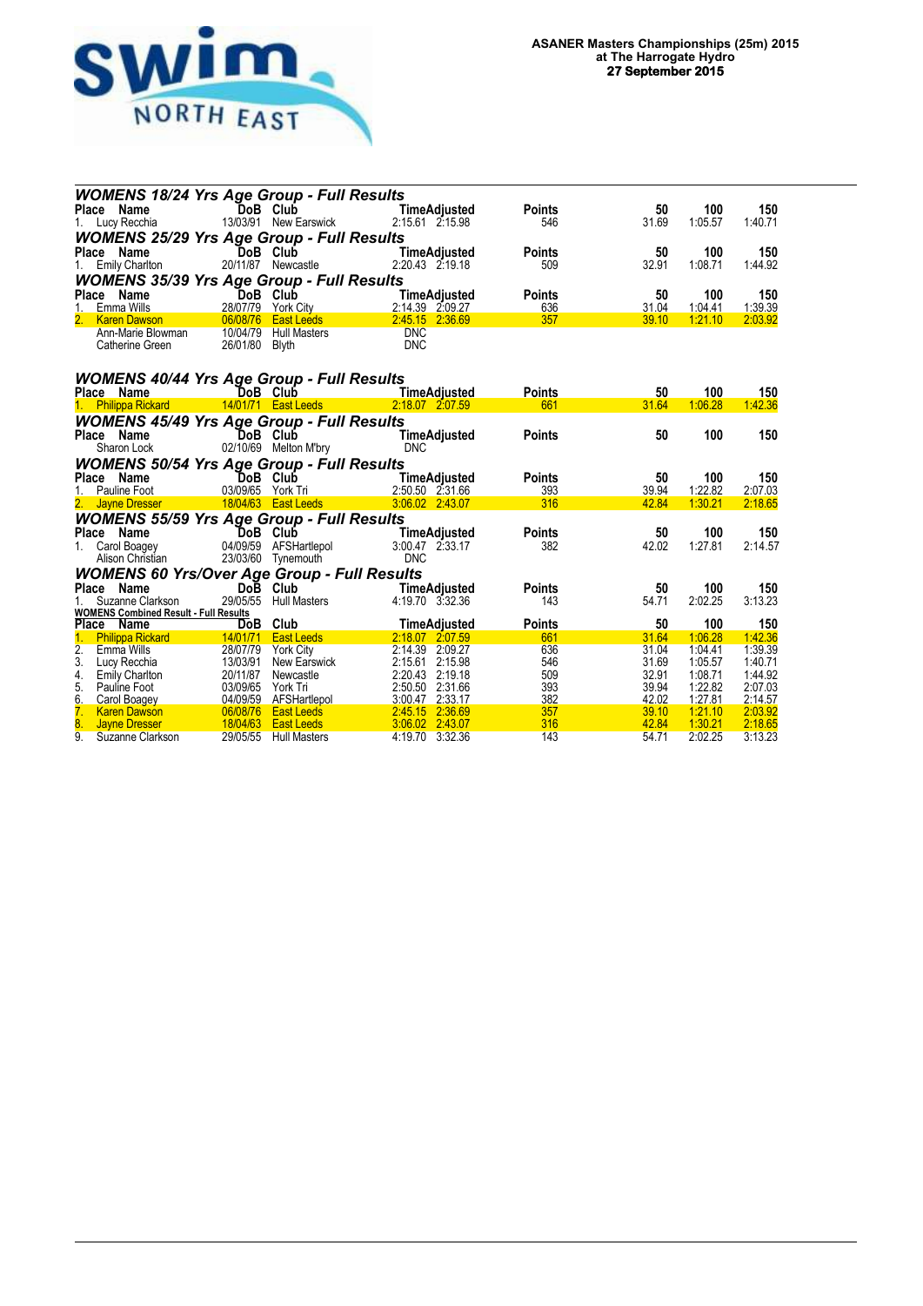

| <b>WOMENS 18/24 Yrs Age Group - Full Results</b>     |                      |                                          |                                       |               |                |                    |                    |  |  |
|------------------------------------------------------|----------------------|------------------------------------------|---------------------------------------|---------------|----------------|--------------------|--------------------|--|--|
| Place Name                                           |                      | DoB Club                                 | <b>TimeAdjusted</b>                   | <b>Points</b> | 50             | 100                | 150                |  |  |
| Lucy Recchia<br>1.                                   |                      | 13/03/91 New Earswick                    | 2:15.61 2:15.98                       | 546           | 31.69          | 1:05.57            | 1:40.71            |  |  |
| <b>WOMENS 25/29 Yrs Age Group - Full Results</b>     |                      |                                          |                                       |               |                |                    |                    |  |  |
| Place<br>Name                                        |                      | DoB Club                                 | <b>TimeAdjusted</b>                   | <b>Points</b> | 50             | 100                | 150                |  |  |
| <b>Emily Charlton</b><br>1.                          |                      | 20/11/87 Newcastle                       | 2:20.43 2:19.18                       | 509           | 32.91          | 1:08.71            | 1:44.92            |  |  |
| <b>WOMENS 35/39 Yrs Age Group - Full Results</b>     |                      |                                          |                                       |               |                |                    |                    |  |  |
| Place Name                                           |                      | DoB Club                                 | TimeAdjusted                          | <b>Points</b> | 50             | 100                | 150                |  |  |
| 1 <sup>1</sup><br>Emma Wills                         |                      | 28/07/79 York City                       | 2:14.39 2:09.27                       | 636           | 31.04          | 1:04.41            | 1:39.39            |  |  |
| <b>Karen Dawson</b>                                  | 06/08/76             | <b>East Leeds</b>                        | 2:45.15 2:36.69                       | 357           | 39.10          | 1:21.10            | 2:03.92            |  |  |
| Ann-Marie Blowman                                    | 10/04/79             | <b>Hull Masters</b>                      | <b>DNC</b>                            |               |                |                    |                    |  |  |
| Catherine Green                                      | 26/01/80             | <b>Blyth</b>                             | <b>DNC</b>                            |               |                |                    |                    |  |  |
|                                                      |                      |                                          |                                       |               |                |                    |                    |  |  |
| <b>WOMENS 40/44 Yrs Age Group - Full Results</b>     |                      |                                          |                                       |               |                |                    |                    |  |  |
| Place Name                                           | DoB Club             |                                          | <b>TimeAdjusted</b>                   | <b>Points</b> | 50             | 100                | 150                |  |  |
| 1. Philippa Rickard                                  |                      | 14/01/71 East Leeds                      | 2.18.07 2.07.59                       | 661           | 31.64          | 1:06.28            | 1:42.36            |  |  |
|                                                      |                      |                                          |                                       |               |                |                    |                    |  |  |
| <b>WOMENS 45/49 Yrs Age Group - Full Results</b>     |                      | DoB Club                                 |                                       | <b>Points</b> | 50             | 100                | 150                |  |  |
| Place Name<br>Sharon Lock                            |                      | 02/10/69 Melton M'bry                    | <b>TimeAdjusted</b><br><b>DNC</b>     |               |                |                    |                    |  |  |
|                                                      |                      |                                          |                                       |               |                |                    |                    |  |  |
| <b>WOMENS 50/54 Yrs Age Group - Full Results</b>     |                      |                                          |                                       |               |                |                    |                    |  |  |
|                                                      |                      |                                          |                                       |               |                |                    |                    |  |  |
| Place Name                                           |                      | DoB Club                                 | TimeAdjusted                          | <b>Points</b> | 50             | 100                | 150                |  |  |
| Pauline Foot                                         |                      | 03/09/65 York Tri                        | 2:50.50 2:31.66                       | 393           | 39.94          | 1:22.82            | 2:07.03            |  |  |
| 2. Jayne Dresser                                     |                      | 18/04/63  East Leeds                     | 3:06.02 2:43.07                       | 316           | 42.84          | 1:30.21            | 2:18.65            |  |  |
| <b>WOMENS 55/59 Yrs Age Group - Full Results</b>     |                      |                                          |                                       |               |                |                    |                    |  |  |
| Place Name                                           |                      | DoB Club                                 | TimeAdjusted                          | <b>Points</b> | 50             | 100                | 150                |  |  |
| Carol Boagey<br>1.                                   |                      | 04/09/59 AFSHartlepol                    | 3:00.47 2:33.17                       | 382           | 42.02          | 1:27.81            | 2:14.57            |  |  |
| Alison Christian                                     |                      | 23/03/60 Tynemouth                       | <b>DNC</b>                            |               |                |                    |                    |  |  |
| <b>WOMENS 60 Yrs/Over Age Group - Full Results</b>   |                      |                                          |                                       |               |                |                    |                    |  |  |
| <b>Place</b><br>Name                                 |                      | Do <b>B</b> Club                         | TimeAdjusted                          | <b>Points</b> | 50             | 100                | 150                |  |  |
| Suzanne Clarkson                                     | 29/05/55             | <b>Hull Masters</b>                      | 4:19.70 3:32.36                       | 143           | 54.71          | 2:02.25            | 3:13.23            |  |  |
| <b>WOMENS Combined Result - Full Results</b>         |                      |                                          |                                       |               |                |                    |                    |  |  |
| Place Name                                           |                      | DoB Club                                 | <b>TimeAdjusted</b>                   | <b>Points</b> | 50             | 100                | 150                |  |  |
| <b>Philippa Rickard</b>                              |                      | 14/01/71   East Leeds                    | 2:18.07 2:07.59                       | 661           | 31.64          | 1:06.28            | 1:42.36            |  |  |
| 2.<br><b>Emma Wills</b>                              | 28/07/79             | <b>York City</b>                         | 2:14.39 2:09.27                       | 636           | 31.04          | 1:04.41            | 1:39.39            |  |  |
| 3.<br>Lucy Recchia                                   | 13/03/91<br>20/11/87 | New Earswick<br>Newcastle                | 2:15.61<br>2:15.98<br>2:20.43 2:19.18 | 546           | 31.69<br>32.91 | 1:05.57<br>1:08.71 | 1:40.71<br>1:44.92 |  |  |
| 4.<br>Emily Charlton<br>5.<br>Pauline Foot           | 03/09/65             | York Tri                                 | 2:50.50 2:31.66                       | 509<br>393    | 39.94          | 1:22.82            | 2:07.03            |  |  |
| 6.<br>Carol Boagey                                   | 04/09/59             |                                          | 3:00.47 2:33.17                       | 382           | 42.02          | 1:27.81            | 2:14.57            |  |  |
| 7.<br><b>Karen Dawson</b>                            | 06/08/76             | <b>AFSHartlepol</b><br><b>East Leeds</b> | 2:45.15 2:36.69                       | 357           | 39.10          | 1:21.10            | 2:03.92            |  |  |
| 8.<br><b>Jayne Dresser</b><br>9.<br>Suzanne Clarkson | 18/04/63<br>29/05/55 | <b>East Leeds</b><br><b>Hull Masters</b> | 3.06.02 2:43.07<br>4:19.70 3:32.36    | 316<br>143    | 42.84<br>54.71 | 1:30.21<br>2:02.25 | 2:18.65<br>3:13.23 |  |  |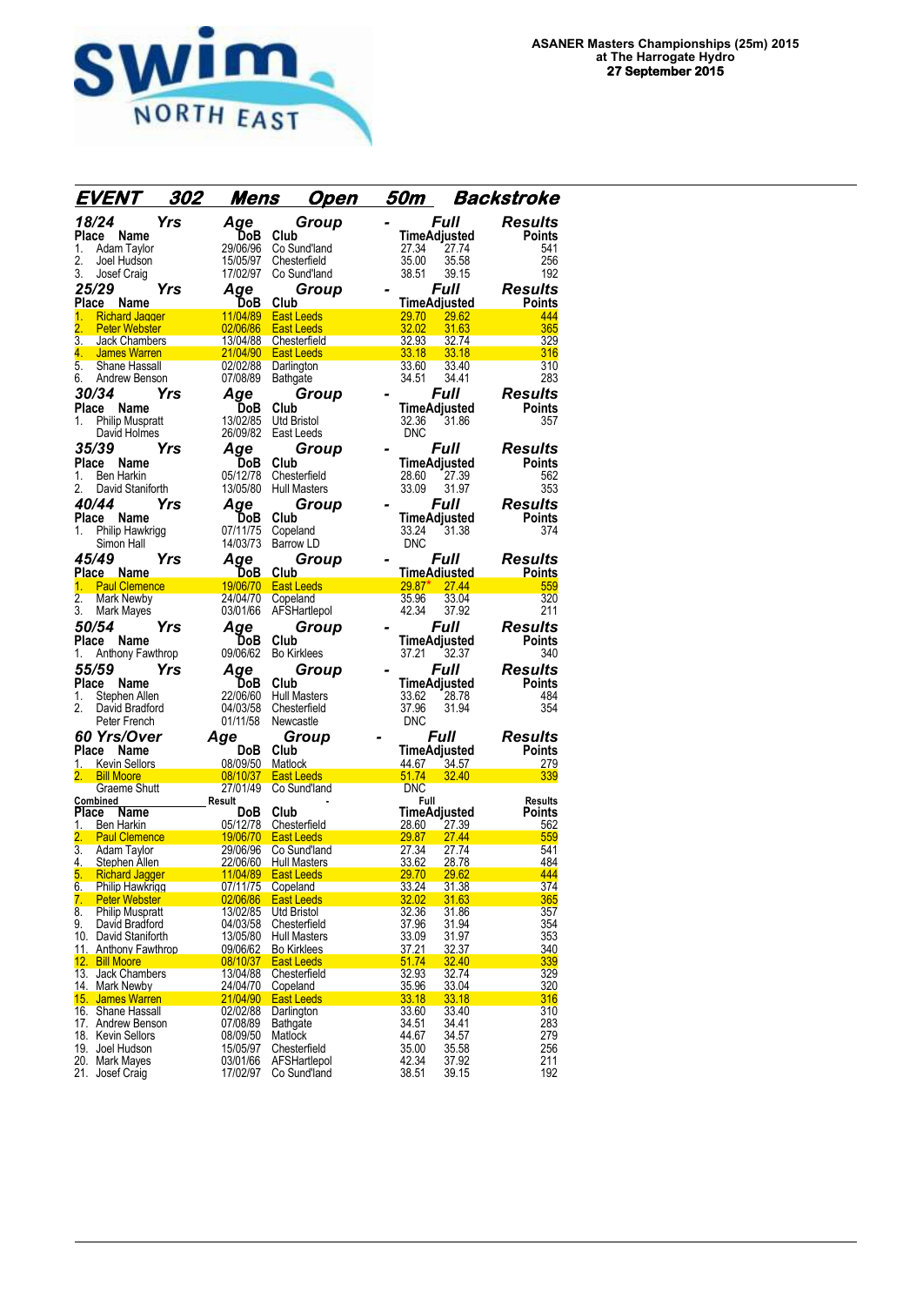

| EVENT                                                     | 302 | Mens                               | <u>Open</u>                            | 50m                   | Backstroke                             |
|-----------------------------------------------------------|-----|------------------------------------|----------------------------------------|-----------------------|----------------------------------------|
| 18/24                                                     | Yrs | Age                                | Group                                  |                       | <b>Full</b><br><b>Results</b>          |
| Place Name                                                |     | DoB                                | Club                                   |                       | <b>TimeAdjusted</b><br>Points          |
| 1.<br>Adam Taylor                                         |     | 29/06/96                           | Co Sund'land                           | 27.34                 | 541<br>27.74                           |
| 2.<br>Joel Hudson                                         |     | 15/05/97                           | Chesterfield                           | 35.00                 | 35.58<br>256                           |
| 3.<br>Josef Craig                                         |     | 17/02/97                           | Co Sund'land                           | 38.51                 | 192<br>39.15                           |
| 25/29                                                     | Yrs | Age                                | Group                                  |                       | <i><b>Full</b></i><br><b>Results</b>   |
| Place Name                                                |     | DoB                                | Club                                   |                       | <b>TimeAdjusted</b><br>Points          |
| 1.<br><b>Richard Jagger</b><br>2.<br><b>Peter Webster</b> |     | 11/04/89<br>02/06/86               | <b>East Leeds</b><br><b>East Leeds</b> | <b>29.70</b><br>32.02 | 29.62<br>444<br>31.63<br>365           |
| 3.<br><b>Jack Chambers</b>                                |     | 13/04/88                           | Chesterfield                           | 32.93                 | 32.74<br>329                           |
| 4.<br><b>James Warren</b>                                 |     | 21/04/90                           | <b>East Leeds</b>                      | 33.18                 | 33.18<br>316                           |
| 5.<br>Shane Hassall                                       |     | 02/02/88                           | Darlington                             | 33.60                 | 33.40<br>310                           |
| 6.<br>Andrew Benson                                       |     | 07/08/89                           | Bathgate                               | 34.51                 | 34.41<br>283                           |
| 30/34                                                     | Yrs | Aqe                                | Group                                  |                       | <b>Full</b><br><b>Results</b>          |
| Place<br>Name                                             |     | <b>DoB</b>                         | Club                                   |                       | TimeAdjusted<br>Points                 |
| 1.<br><b>Philip Muspratt</b>                              |     | 13/02/85                           | <b>Utd Bristol</b>                     | 32.36                 | 31.86<br>357                           |
| David Holmes                                              |     | 26/09/82                           | East Leeds                             | <b>DNC</b>            |                                        |
| 35/39                                                     | Yrs | Age                                | Group                                  |                       | <i><b>Full</b></i><br><b>Results</b>   |
| Place<br>Name                                             |     | <b>DoB</b><br>05/12/78             | Club                                   |                       | TimeAdjusted<br>Points                 |
| 1.<br><b>Ben Harkin</b><br>2.<br>David Staniforth         |     | 13/05/80                           | Chesterfield<br><b>Hull Masters</b>    | 28.60<br>33.09        | 27.39<br>562<br>353<br>31.97           |
| 40/44                                                     | Yrs | Aqe                                | Group                                  |                       | <b>Results</b><br><i><b>Full</b></i>   |
| Place Name                                                |     | DoB                                | Club                                   |                       | <b>TimeAdjusted</b><br>Points          |
| Philip Hawkrigg<br>1.                                     |     | 07/11/75                           | Copeland                               | 33.24                 | 31.38<br>374                           |
| Simon Hall                                                |     | 14/03/73                           | Barrow LD                              | <b>DNC</b>            |                                        |
| 45/49                                                     | Yrs | Age                                | Group                                  |                       | <i><b>Full</b></i><br><b>Results</b>   |
| Place Name                                                |     | DoB.                               | <b>Club</b>                            |                       | TimeAdiusted<br><b>Points</b>          |
| <b>Paul Clemence</b><br>1.                                |     | 19/06/70                           | <b>East Leeds</b>                      | $29.87*$              | 27.44<br>559                           |
| 2.<br><b>Mark Newby</b>                                   |     | 24/04/70                           | Copeland                               | 35.96                 | 33.04<br>320                           |
| 3.<br>Mark Mayes                                          |     | 03/01/66                           | AFSHartlepol                           | 42.34                 | 211<br>37.92                           |
| 50/54                                                     | Yrs | Aae                                | Group                                  |                       | <b>Full</b><br><b>Results</b>          |
| Place<br>Name<br>Anthony Fawthrop<br>1.                   |     | DoB<br>09/06/62                    | Club<br><b>Bo Kirklees</b>             | 37.21                 | TimeAdjusted<br>Points<br>340<br>32.37 |
| <i><b>55/59</b></i>                                       | Yrs |                                    |                                        |                       | Full<br><b>Results</b>                 |
| Place Name                                                |     | Aqe<br>DoB                         | Group<br>Club                          |                       | <b>TimeAdjusted</b><br><b>Points</b>   |
| Stephen Allen<br>1.                                       |     | 22/06/60                           | <b>Hull Masters</b>                    | 33.62                 | 28.78<br>484                           |
| 2.<br>David Bradford                                      |     | 04/03/58                           | Chesterfield                           | 37.96                 | 31.94<br>354                           |
| Peter French                                              |     | 01/11/58                           | Newcastle                              | <b>DNC</b>            |                                        |
| 60 Yrs/Over                                               |     | Age                                | Group                                  |                       | <i><b>Full</b></i><br><b>Results</b>   |
| Place<br>Name                                             |     | <b>DoB</b>                         | Club                                   |                       | <b>Points</b><br>TimeAdjusted          |
| 1. Kevin Sellors                                          |     | 08/09/50                           | Matlock                                | 44.67                 | 34.57<br>279                           |
| 2. Bill Moore<br>Graeme Shutt                             |     | 08/10/37<br>27/01/49               | <b>East Leeds</b><br>Co Sund'Iand      | 51.74<br><b>DNC</b>   | 32.40<br>339                           |
| Combined                                                  |     | Result                             |                                        | Full                  | <b>Results</b>                         |
| Place<br>Name                                             |     | <b>DoB</b>                         | Club                                   |                       | TimeAdjusted<br>Points                 |
| $1\overline{ }$<br>Ben Harkin                             |     | 05/12/78                           | Chesterfield                           | 28.60                 | 27.39<br>562                           |
| 2.<br><b>Paul Clemence</b><br>3.<br><b>Adam Taylor</b>    |     | 19/06/70<br>29/06/96               | <b>East Leeds</b><br>Co Sund'land      | 29.87<br>27.34        | 27.44<br>559<br>541<br>27.74           |
| 4.<br>Stephen Allen                                       |     | 22/06/60                           | <b>Hull Masters</b>                    | 33.62                 | 484<br>28.78                           |
| <b>Richard Jagger</b><br>5.                               |     | 11/04/89                           | <b>East Leeds</b>                      | <u>29.70</u>          | 29.62<br>444                           |
| 6.<br><b>Philip Hawkrigg</b>                              |     | 07/11/75                           | Copeland                               | 33.24                 | 31.38<br>374                           |
| 7.<br><b>Peter Webster</b>                                |     | 02/06/86                           | <b>East Leeds</b>                      | 32.02                 | 31.63<br>365                           |
| 8.<br><b>Philip Muspratt</b><br>9.<br>David Bradford      |     | 13/02/85<br>04/03/58               | Utd Bristol<br>Chesterfield            | 32.36<br>37.96        | 31.86<br>357<br>31.94<br>354           |
| 10. David Staniforth                                      |     | 13/05/80                           | <b>Hull Masters</b>                    | 33.09                 | 353<br>31.97                           |
| 11. Anthony Fawthrop                                      |     | 09/06/62                           | <b>Bo Kirklees</b>                     | <u>37.21</u>          | 32.37<br>340                           |
| 12. Bill Moore                                            |     | 08/10/37                           | <b>East Leeds</b>                      | 51.74                 | 339<br>32.40                           |
| 13. Jack Chambers                                         |     | 13/04/88                           | Chesterfield                           | 32.93                 | 329<br>32.74                           |
| 14. Mark Newby<br>15. James Warren                        |     | <u>24/04/70</u><br><u>21/04/90</u> | Copeland<br><b>East Leeds</b>          | 35.96<br>33.18        | 320<br>33.04<br>33.18<br>316           |
| 16. Shane Hassall                                         |     | 02/02/88                           | Darlington                             | 33.60                 | 310<br>33.40                           |
| 17. Andrew Benson                                         |     | 07/08/89                           | Bathgate                               | 34.51                 | 283<br>34.41                           |
| 18. Kevin Sellors                                         |     | 08/09/50                           | Matlock                                | 44.67                 | 279<br>34.57                           |
| 19. Joel Hudson                                           |     |                                    |                                        |                       |                                        |
|                                                           |     | 15/05/97                           | Chesterfield                           | 35.00                 | 35.58<br>256                           |
| 20. Mark Mayes<br>21. Josef Craig                         |     | 03/01/66<br>17/02/97               | AFSHartlepol<br>Co Sund'land           | 42.34<br>38.51        | 211<br>37.92<br>192<br>39.15           |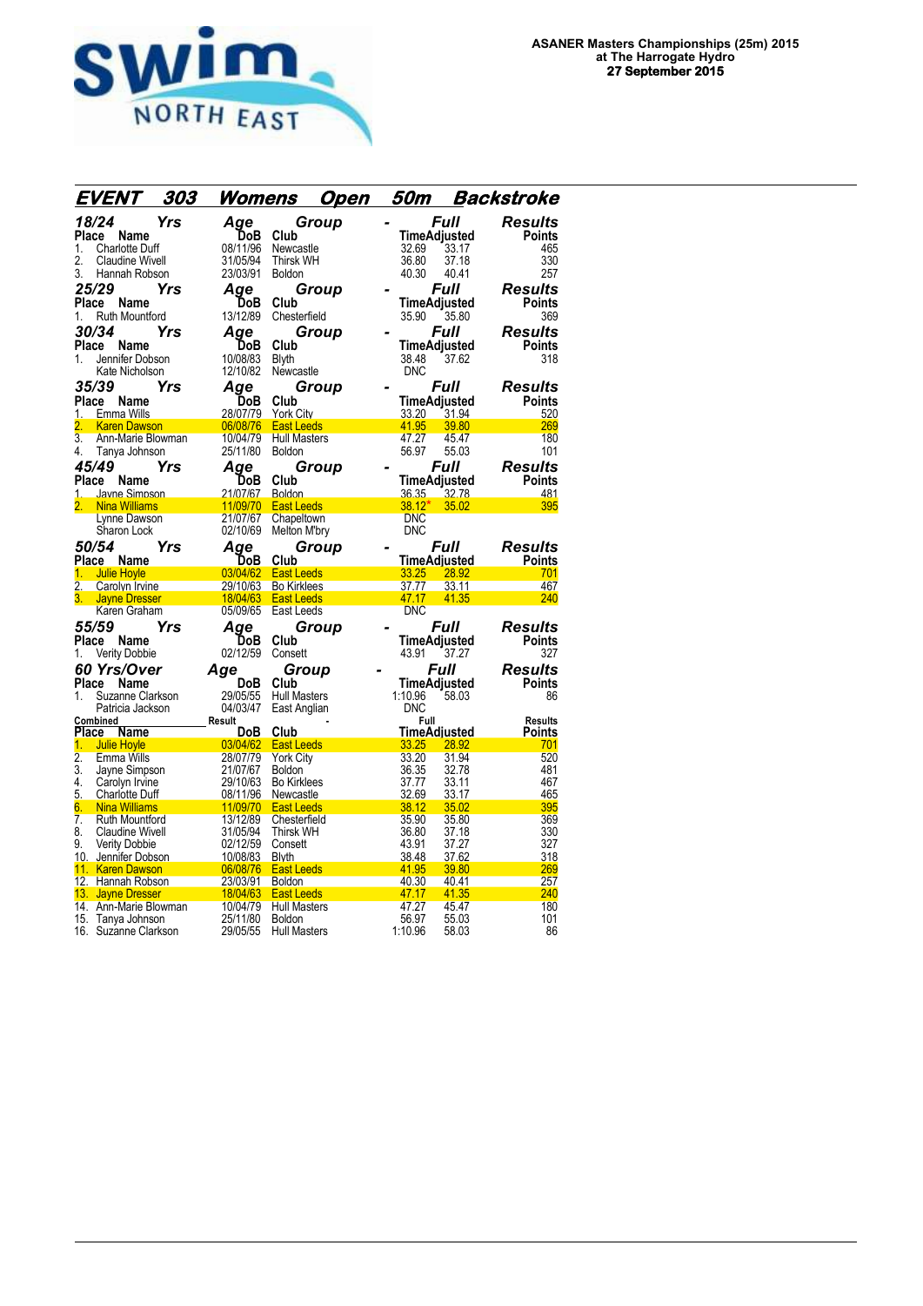

|                        | EVENT                                   | 303<br><u>Womens</u> | <u>Open</u>                            | 50m                            |                       | Backstroke                      |
|------------------------|-----------------------------------------|----------------------|----------------------------------------|--------------------------------|-----------------------|---------------------------------|
|                        | 18/24<br>Yrs                            | Age                  | Group                                  |                                | Full                  | Results                         |
| Place                  | Name                                    | ĎоB                  | Club                                   |                                | TimeAdjusted          | <b>Points</b>                   |
| 1.                     | <b>Charlotte Duff</b>                   | 08/11/96             | Newcastle                              | 32.69                          | 33.17                 | 465                             |
| 2.                     | <b>Claudine Wivell</b>                  | 31/05/94             | <b>Thirsk WH</b>                       | 36.80                          | 37.18                 | 330                             |
| 3.                     | Hannah Robson                           | 23/03/91             | <b>Boldon</b>                          | 40.30                          | 40.41                 | 257                             |
|                        | 25/29<br>Yrs                            | Age                  | Group                                  |                                | Full                  | Results                         |
|                        | Place<br>Name                           | <b>DoB</b>           | Club                                   |                                | TimeAdjusted          | Points                          |
| 1.                     | <b>Ruth Mountford</b>                   | 13/12/89             | Chesterfield                           | 35.90                          | 35.80                 | 369                             |
|                        | 30/34<br>Yrs                            | Age                  | Group                                  |                                | Full                  | <b>Results</b>                  |
| Place                  | Name                                    | DoB                  | Club                                   |                                | TimeAdjusted          | Points                          |
| 1.                     | Jennifer Dobson                         | 10/08/83             | <b>Blyth</b>                           | 38.48                          | 37.62                 | 318                             |
|                        | Kate Nicholson                          | 12/10/82             | Newcastle                              | <b>DNC</b>                     |                       |                                 |
|                        | 35/39<br>Yrs                            | Aqe                  | Group                                  |                                | <i><b>Full</b></i>    | <b>Results</b>                  |
|                        | Place<br>Name                           | DoB                  | Club                                   | TimeAdjusted                   |                       | <b>Points</b>                   |
| 1.                     | Emma Wills                              | 28/07/79             | York City                              | 33.20                          | 31.94                 | 520                             |
| 2.                     | <b>Karen Dawson</b>                     | 06/08/76             | <b>East Leeds</b>                      | 41.95                          | 39.80                 | 269                             |
| 3.<br>4.               | Ann-Marie Blowman<br>Tanya Johnson      | 10/04/79<br>25/11/80 | <b>Hull Masters</b><br>Boldon          | 47.27<br>56.97                 | 45.47<br>55.03        | 180<br>101                      |
|                        | 45/49                                   |                      |                                        |                                | Full                  | Results                         |
|                        | Yrs<br>Place<br>Name                    | Age<br>DoB           | Group<br>Club                          | TimeAdjusted                   |                       | <b>Points</b>                   |
|                        | 1. Javne Simpson                        | 21/07/67             | <b>Boldon</b>                          | 36.35                          | 32.78                 | 481                             |
| 2.                     | <b>Nina Williams</b>                    | 11/09/70             | <b>East Leeds</b>                      | $38.12*$                       | 35.02                 | 395                             |
|                        | Lynne Dawson                            | 21/07/67             | Chapeltown                             | <b>DNC</b>                     |                       |                                 |
|                        | Sharon Lock                             | 02/10/69             | Melton M'bry                           | <b>DNC</b>                     |                       |                                 |
|                        | <i><b>50/54</b></i><br>Yrs              | Age                  | Group                                  |                                | Full                  | <b>Results</b>                  |
|                        | Place Name                              | DoB                  | Club                                   | TimeAdjusted                   |                       | Points                          |
| 1.                     | <b>Julie Hoyle</b>                      | 03/04/62             | <b>East Leeds</b>                      | 33.25                          | 28.92                 | 701                             |
|                        | 2. Carolyn Irvine                       | 29/10/63             | <b>Bo Kirklees</b>                     | 37.77                          | 33.11                 | 467                             |
|                        | <b>Jayne Dresser</b><br>Karen Graham    | 18/04/63<br>05/09/65 | <b>East Leeds</b><br><b>East Leeds</b> | 47.17<br><b>DNC</b>            | 41.35                 | 240                             |
|                        |                                         |                      |                                        |                                |                       |                                 |
|                        | 55/59<br>Yrs                            | Aae                  | Group                                  |                                | <i><b>Full</b></i>    | Results                         |
| 1.                     | Place<br>Name<br><b>Verity Dobbie</b>   | DoB<br>02/12/59      | Club<br>Consett                        | TimeAdjusted<br>43.91          | 37.27                 | Points<br>327                   |
|                        |                                         |                      |                                        |                                |                       |                                 |
|                        | 60 Yrs/Over<br>Place Name               | Age<br>DoB           | Group<br>Club                          |                                | Full                  | <b>Results</b><br><b>Points</b> |
| 1.                     | Suzanne Clarkson                        | 29/05/55             | <b>Hull Masters</b>                    | <b>TimeAdjusted</b><br>1:10.96 | 58.03                 | 86                              |
|                        | Patricia Jackson                        | 04/03/47             | East Anglian                           | <b>DNC</b>                     |                       |                                 |
|                        | Combined                                | Result               |                                        | Full                           |                       | <b>Results</b>                  |
| <b>Place</b>           | Name                                    | DoB                  | Club                                   | TimeAdiusted                   |                       | <b>Points</b>                   |
| 1.                     | <b>Julie Hoyle</b>                      |                      | 03/04/62 East Leeds                    | 33.25                          | 28.92                 | 701                             |
| $\overline{2}$ .<br>3. | <b>Emma Wills</b>                       | 28/07/79<br>21/07/67 | <b>York City</b><br><b>Boldon</b>      | 33.20<br>36.35                 | 31.94<br>32.78        | 520<br>481                      |
| 4.                     | Jayne Simpson<br>Carolyn Irvine         | 29/10/63             | <b>Bo Kirklees</b>                     | 37.77                          | 33.11                 | 467                             |
| 5.                     | <b>Charlotte Duff</b>                   | 08/11/96             | Newcastle                              | 32.69                          | 33.17                 | 465                             |
| 6.                     | <b>Nina Williams</b>                    | 11/09/70             | <b>East Leeds</b>                      | 38.12                          | 35.02                 | 395                             |
| $\overline{7}$ .       | <b>Ruth Mountford</b>                   | 13/12/89             | Chesterfield                           | 35.90                          | 35.80                 | 369                             |
| 8.                     | <b>Claudine Wivell</b>                  | 31/05/94             | Thirsk WH                              | 36.80                          | 37.18                 | 330                             |
| 9.                     | Verity Dobbie                           | 02/12/59             | Consett                                | 43.91                          | 37.27                 | 327                             |
|                        | 10. Jennifer Dobson<br>11. Karen Dawson | 10/08/83             | <b>Blyth</b><br>06/08/76 East Leeds    | 38.48<br>41.95                 | <u>37.62</u><br>39.80 | 318<br>269                      |
|                        | 12. Hannah Robson                       | 23/03/91             | Boldon                                 | 40.30                          | 40.41                 | <u>257</u>                      |
|                        | 13. Jayne Dresser                       | 18/04/63             | <b>East Leeds</b>                      | 47.17                          | 41.35                 | 240                             |
|                        | 14. Ann-Marie Blowman                   | 10/04/79             | <b>Hull Masters</b>                    | 47.27                          | 45.47                 | 180                             |
|                        | 15. Tanya Johnson                       | 25/11/80             | <b>Boldon</b>                          | 56.97                          | 55.03                 | 101                             |
|                        | 16. Suzanne Clarkson                    | 29/05/55             | <b>Hull Masters</b>                    | 1:10.96                        | 58.03                 | 86                              |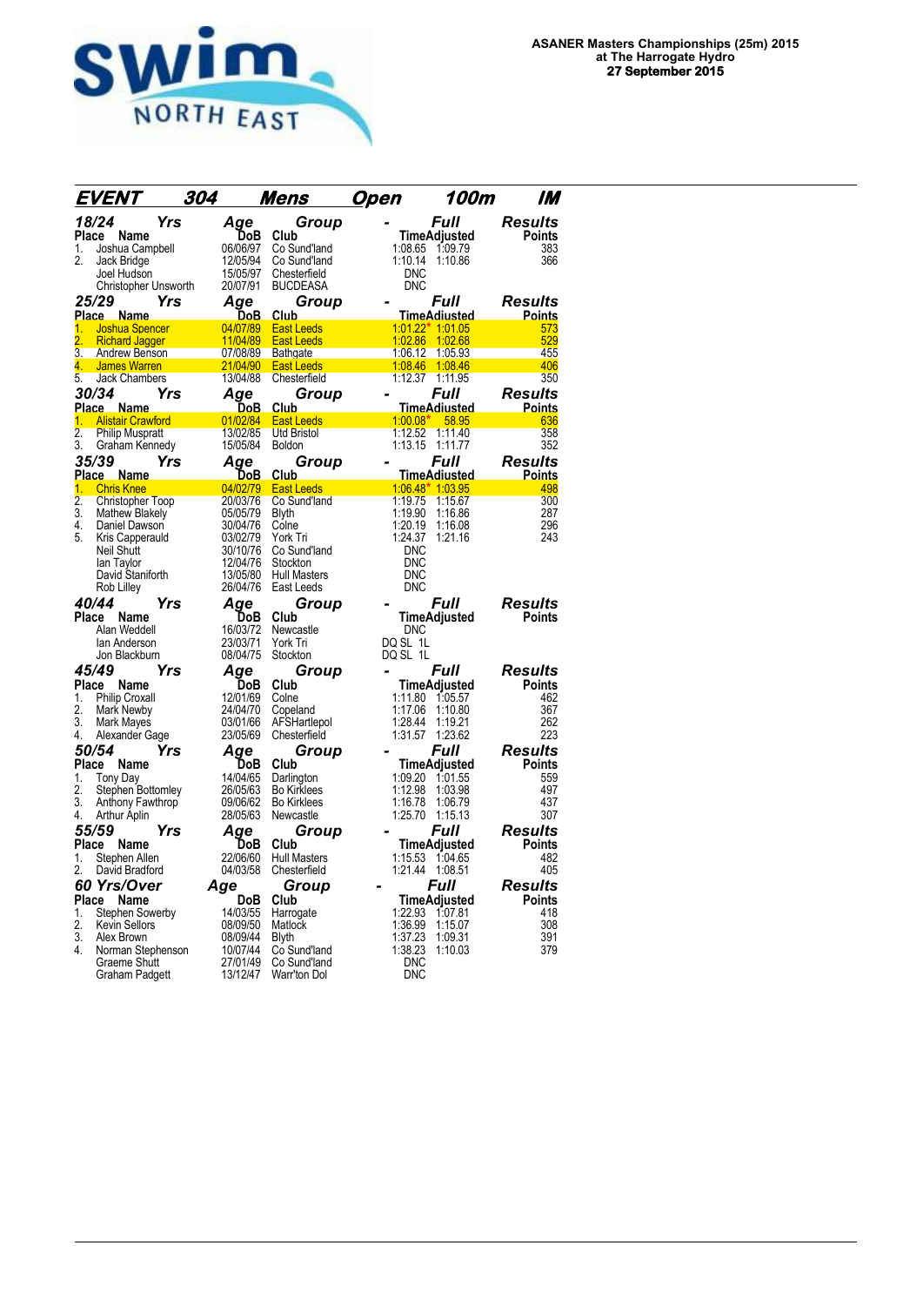

|                  | EVENT                    | 304 |            | <u>Mens</u>         | <u>O</u> pen | 100m                  | IM             |
|------------------|--------------------------|-----|------------|---------------------|--------------|-----------------------|----------------|
|                  | 18/24                    | Yrs | Age        | Group               |              | Full                  | <b>Results</b> |
| Place            | Name                     |     | DoB        | Club                |              | <b>TimeAdjusted</b>   | Points         |
| 1.               | Joshua Campbell          |     | 06/06/97   | Co Sund'land        |              | 1:08.65 1:09.79       | 383            |
| 2.               | Jack Bridge              |     | 12/05/94   | Co Sund'land        | 1:10.14      | 1:10.86               | 366            |
|                  | Joel Hudson              |     | 15/05/97   | Chesterfield        | <b>DNC</b>   |                       |                |
|                  | Christopher Unsworth     |     | 20/07/91   | <b>BUCDEASA</b>     | <b>DNC</b>   |                       |                |
|                  | 25/29                    | Yrs | Aqe        | Group               |              | <i><b>Full</b></i>    | <b>Results</b> |
|                  | Place Name               |     | DoB        | Club                |              | <b>TimeAdiusted</b>   | <b>Points</b>  |
| 1.               | <b>Joshua Spencer</b>    |     | 04/07/89   | <b>East Leeds</b>   |              | $1:01.22$ $*$ 1:01.05 | 573            |
|                  | <b>Richard Jagger</b>    |     | 11/04/89   | <b>East Leeds</b>   |              | 1:02.86 1:02.68       | 529            |
| 3.               | Andrew Benson            |     | 07/08/89   | <b>Bathgate</b>     | 1:06.12      | 1:05.93               | 455            |
| 4.               | <b>James Warren</b>      |     | 21/04/90   | <b>East Leeds</b>   |              | 1:08.46 1:08.46       | 406            |
| 5.               | Jack Chambers            |     | 13/04/88   | Chesterfield        |              | 1:12.37 1:11.95       | 350            |
|                  | 30/34                    | Yrs | Age        | Group               |              | Full                  | <b>Results</b> |
|                  | Place Name               |     | <u>DoB</u> | Club                |              | <b>TimeAdiusted</b>   | <b>Points</b>  |
| 1.               | <b>Alistair Crawford</b> |     | 01/02/84   | <b>East Leeds</b>   | $1:00.08*$   | $-58.95$              | 636            |
| $\overline{2}$ . | <b>Philip Muspratt</b>   |     | 13/02/85   | Utd Bristol         | 1:12.52      | 1:11.40               | 358            |
| 3.               | Graham Kennedy           |     | 15/05/84   | <b>Boldon</b>       |              | 1:13.15 1:11.77       | 352            |
|                  | 35/39                    | Yrs | Age        | Group               |              | Full                  | <b>Results</b> |
|                  | Place Name               |     | <u>DoB</u> | <b>Club</b>         |              | <b>TimeAdiusted</b>   | <u>Points</u>  |
| 1.               | <b>Chris Knee</b>        |     | 04/02/79   | <b>East Leeds</b>   |              | $1.06.48*$ 1:03.95    | 498            |
| 2.               | <b>Christopher Toop</b>  |     | 20/03/76   | Co Sund'land        | 1:19.75      | 1:15.67               | 300            |
| 3.               | <b>Mathew Blakely</b>    |     | 05/05/79   | <b>Blyth</b>        | 1:19.90      | 1:16.86               | 287            |
| 4.               | Daniel Dawson            |     | 30/04/76   | Colne               | 1:20.19      | 1:16.08               | 296            |
| 5.               | Kris Capperauld          |     | 03/02/79   | York Tri            | 1:24.37      | 1:21.16               | 243            |
|                  | <b>Neil Shutt</b>        |     | 30/10/76   | Co Sund'land        | <b>DNC</b>   |                       |                |
|                  | lan Taylor               |     | 12/04/76   | Stockton            | <b>DNC</b>   |                       |                |
|                  | David Staniforth         |     | 13/05/80   | <b>Hull Masters</b> | DNC          |                       |                |
|                  | Rob Lilley               |     | 26/04/76   | East Leeds          | <b>DNC</b>   |                       |                |
|                  | 40/44                    | Yrs | Age        | Group               |              | Full                  | <b>Results</b> |
| Place            | Name                     |     | DoB        | Club                |              | TimeAdjusted          | <b>Points</b>  |
|                  | Alan Weddell             |     | 16/03/72   | Newcastle           | <b>DNC</b>   |                       |                |
|                  | lan Anderson             |     | 23/03/71   | York Tri            | DQ SL 1L     |                       |                |
|                  | Jon Blackburn            |     | 08/04/75   | Stockton            | DQ SL 1L     |                       |                |
|                  | 45/49                    | Yrs | Aqe        | Group               |              | Full                  | Results        |
| Place            | Name                     |     | DoB        | Club                |              | TimeAdjusted          | <b>Points</b>  |
| 1.               | <b>Philip Croxall</b>    |     | 12/01/69   | Colne               | 1:11.80      | 1:05.57               | 462            |
| 2.               | Mark Newby               |     | 24/04/70   | Copeland            | 1:17.06      | 1:10.80               | 367            |
| 3.               | Mark Mayes               |     | 03/01/66   | AFSHartlepol        | 1:28.44      | 1:19.21               | 262            |
| 4.               | Alexander Gage           |     | 23/05/69   | Chesterfield        | 1:31.57      | 1:23.62               | 223            |
|                  | 50/54                    | Yrs | Age        | Group               |              | <i><b>Full</b></i>    | <b>Results</b> |
| Place            | Name                     |     | DoB        | Club                |              | TimeAdjusted          | Points         |
| 1.               | Tony Day                 |     | 14/04/65   | Darlington          | 1:09.20      | 1:01.55               | 559            |
| 2.               | Stephen Bottomley        |     | 26/05/63   | <b>Bo Kirklees</b>  | 1:12.98      | 1:03.98               | 497            |
| 3.               | Anthony Fawthrop         |     | 09/06/62   | <b>Bo Kirklees</b>  | 1:16.78      | 1:06.79               | 437            |
| 4.               | Arthur Aplin             |     | 28/05/63   | Newcastle           | 1:25.70      | 1:15.13               | 307            |
| 55/59            |                          | Yrs | Age        | Group               |              | Full                  | <b>Results</b> |
| Place            | Name                     |     | DoB        | Club                |              | <b>TimeAdjusted</b>   | <b>Points</b>  |
| 1.               | Stephen Allen            |     | 22/06/60   | <b>Hull Masters</b> | 1:15.53      | 1:04.65               | 482            |
| 2.               | David Bradford           |     | 04/03/58   | Chesterfield        |              | 1:21.44 1:08.51       | 405            |
|                  | 60 Yrs/Over              |     | Age        | Group               |              | Full                  | Results        |
| Place            | Name                     |     | DoB        | Club                |              | <b>TimeAdjusted</b>   | <b>Points</b>  |
| 1.               | Stephen Sowerby          |     | 14/03/55   | Harrogate           | 1:22.93      | 1.07.81               | 418            |
| 2.               | <b>Kevin Sellors</b>     |     | 08/09/50   | Matlock             | 1:36.99      | 1:15.07               | 308            |
| 3.               | Alex Brown               |     | 08/09/44   | <b>Blyth</b>        | 1:37.23      | 1:09.31               | 391            |
| 4.               | Norman Stephenson        |     | 10/07/44   | Co Sund'land        | 1:38.23      | 1:10.03               | 379            |
|                  | <b>Graeme Shutt</b>      |     | 27/01/49   | Co Sund'land        | <b>DNC</b>   |                       |                |
|                  | <b>Graham Padgett</b>    |     | 13/12/47   | Warr'ton Dol        | <b>DNC</b>   |                       |                |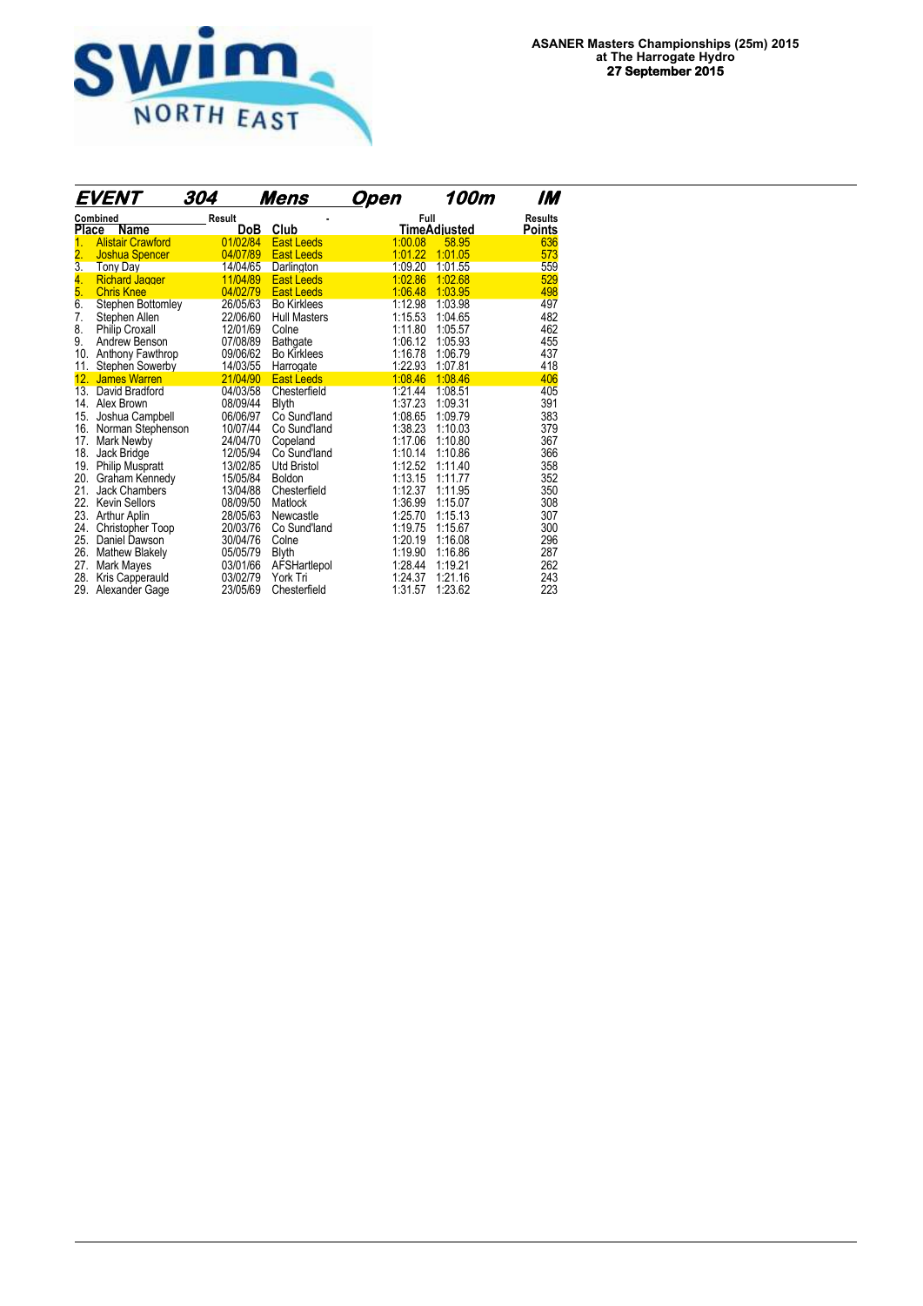

|                  | EVENT                            | 304           | Mens                | Open    | 100m         | IM                              |
|------------------|----------------------------------|---------------|---------------------|---------|--------------|---------------------------------|
|                  | Combined<br><b>Place</b><br>Name | Result<br>DoB | Club                | Full    | TimeAdjusted | <b>Results</b><br><b>Points</b> |
| 1.               | <b>Alistair Crawford</b>         | 01/02/84      | <b>East Leeds</b>   | 1:00.08 | 58.95        | 636                             |
| $\overline{2}$ . | <b>Joshua Spencer</b>            | 04/07/89      | <b>East Leeds</b>   | 1:01.22 | 1:01.05      | 573                             |
| 3.               | Tony Day                         | 14/04/65      | Darlington          | 1:09.20 | 1:01.55      | 559                             |
| 4.               | <b>Richard Jagger</b>            | 11/04/89      | <b>East Leeds</b>   | 1:02.86 | 1:02.68      | 529                             |
| 5.               | <b>Chris Knee</b>                | 04/02/79      | <b>East Leeds</b>   | 1:06.48 | 1:03.95      | 498                             |
| 6.               | Stephen Bottomley                | 26/05/63      | <b>Bo Kirklees</b>  | 1:12.98 | 1:03.98      | 497                             |
| 7.               | Stephen Allen                    | 22/06/60      | <b>Hull Masters</b> | 1:15.53 | 1:04.65      | 482                             |
| 8.               | Philip Croxall                   | 12/01/69      | Colne               | 1:11.80 | 1:05.57      | 462                             |
| 9.               | Andrew Benson                    | 07/08/89      | <b>Bathgate</b>     | 1:06.12 | 1:05.93      | 455                             |
| 10.              | Anthony Fawthrop                 | 09/06/62      | <b>Bo Kirklees</b>  | 1:16.78 | 1:06.79      | 437                             |
| 11.              | <b>Stephen Sowerby</b>           | 14/03/55      | Harrogate           | 1:22.93 | 1:07.81      | 418                             |
| 12.              | <b>James Warren</b>              | 21/04/90      | <b>East Leeds</b>   | 1.08.46 | 1:08.46      | 406                             |
| 13.              | David Bradford                   | 04/03/58      | Chesterfield        | 1:21.44 | 1:08.51      | 405                             |
| 14.              | Alex Brown                       | 08/09/44      | <b>Blyth</b>        | 1:37.23 | 1:09.31      | 391                             |
| 15.              | Joshua Campbell                  | 06/06/97      | Co Sund'land        | 1:08.65 | 1:09.79      | 383                             |
| 16.              | Norman Stephenson                | 10/07/44      | Co Sund'land        | 1:38.23 | 1:10.03      | 379                             |
| 17.              | Mark Newby                       | 24/04/70      | Copeland            | 1:17.06 | 1:10.80      | 367                             |
| 18.              | Jack Bridge                      | 12/05/94      | Co Sund'land        | 1:10.14 | 1:10.86      | 366                             |
| 19.              | <b>Philip Muspratt</b>           | 13/02/85      | <b>Utd Bristol</b>  | 1:12.52 | 1:11.40      | 358                             |
| 20.              | Graham Kennedy                   | 15/05/84      | Boldon              | 1:13.15 | 1:11.77      | 352                             |
| 21.              | <b>Jack Chambers</b>             | 13/04/88      | Chesterfield        | 1:12.37 | 1:11.95      | 350                             |
| 22.              | <b>Kevin Sellors</b>             | 08/09/50      | Matlock             | 1:36.99 | 1:15.07      | 308                             |
| 23.              | Arthur Aplin                     | 28/05/63      | Newcastle           | 1:25.70 | 1:15.13      | 307                             |
| 24.              | Christopher Toop                 | 20/03/76      | Co Sund'land        | 1:19.75 | 1:15.67      | 300                             |
| 25.              | Daniel Dawson                    | 30/04/76      | Colne               | 1:20.19 | 1:16.08      | 296                             |
| 26.              | <b>Mathew Blakely</b>            | 05/05/79      | <b>Blyth</b>        | 1:19.90 | 1:16.86      | 287                             |
| 27.              | Mark Mayes                       | 03/01/66      | AFSHartlepol        | 1:28.44 | 1:19.21      | 262                             |
| 28.              | Kris Capperauld                  | 03/02/79      | York Tri            | 1:24.37 | 1:21.16      | 243                             |
| 29.              | Alexander Gage                   | 23/05/69      | Chesterfield        | 1:31.57 | 1:23.62      | 223                             |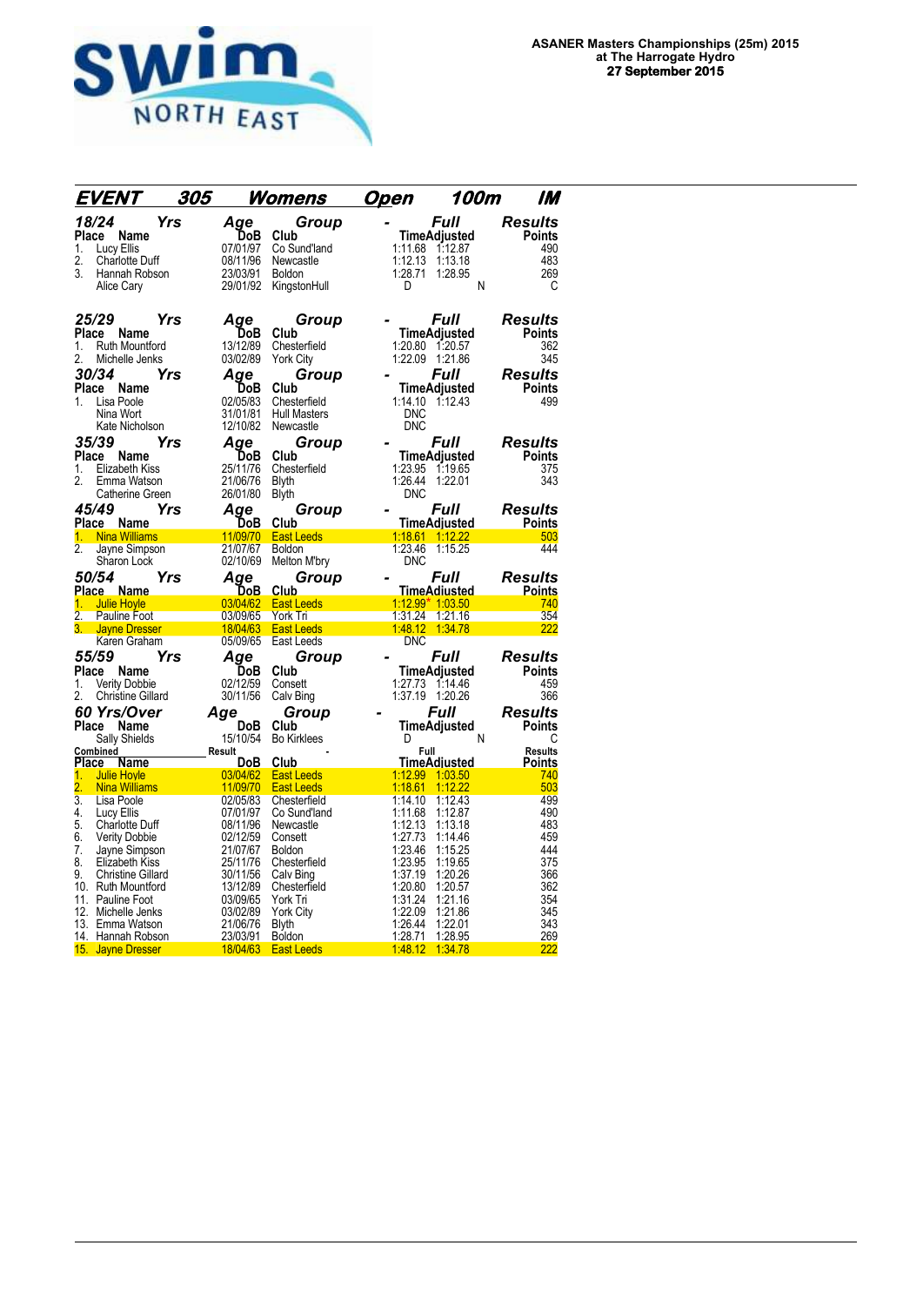

| EVENT                                                                                                                                            | 305        |                                                                                      | <u>Womens</u>                                                                                                          | <u>Open</u>              | 100m                                                                                                                       | IM                                                                        |
|--------------------------------------------------------------------------------------------------------------------------------------------------|------------|--------------------------------------------------------------------------------------|------------------------------------------------------------------------------------------------------------------------|--------------------------|----------------------------------------------------------------------------------------------------------------------------|---------------------------------------------------------------------------|
| 18/24<br>Name<br>Place<br>Lucy Ellis<br>1.<br>2.<br><b>Charlotte Duff</b><br>3.<br>Hannah Robson<br>Alice Cary                                   | Yrs        | Age<br>DoB<br>07/01/97<br>08/11/96<br>23/03/91<br>29/01/92                           | Group<br>Club<br>Co Sund'land<br>Newcastle<br><b>Boldon</b><br>KingstonHull                                            | 1:12.13<br>1:28.71<br>D  | Full<br>TimeAdjusted<br>1:11.68 1:12.87<br>1:13.18<br>1:28.95<br>Ν                                                         | Results<br><b>Points</b><br>490<br>483<br>269<br>С                        |
| 25/29<br>Place Name<br>1.<br>Ruth Mountford<br>2.<br>Michelle Jenks<br>30/34<br>Place<br>Name<br>1.<br>Lisa Poole<br>Nina Wort<br>Kate Nicholson | Yrs<br>Yrs | Age<br>DoB<br>13/12/89<br>03/02/89<br>Aqe<br>DoB<br>02/05/83<br>31/01/81<br>12/10/82 | Group<br>Club<br>Chesterfield<br><b>York City</b><br>Group<br>Club<br>Chesterfield<br><b>Hull Masters</b><br>Newcastle | <b>DNC</b><br><b>DNC</b> | <i><b>Full</b></i><br><b>TimeAdjusted</b><br>1:20.80 1:20.57<br>1:22.09 1:21.86<br>Full<br>TimeAdjusted<br>1:14.10 1:12.43 | Results<br><b>Points</b><br>362<br>345<br>Results<br><b>Points</b><br>499 |
| 35/39<br>Place<br>Name<br>Elizabeth Kiss<br>1.<br>2.<br>Emma Watson<br>Catherine Green                                                           | Yrs        | Aqe<br>DoB<br>25/11/76<br>21/06/76<br>26/01/80                                       | Group<br>Club<br>Chesterfield<br><b>Blyth</b><br><b>Blyth</b>                                                          | 1:26.44<br><b>DNC</b>    | Full<br>TimeAdjusted<br>1:23.95 1:19.65<br>1:22.01                                                                         | <b>Results</b><br><b>Points</b><br>375<br>343                             |
| 45/49<br>Place Name                                                                                                                              | Yrs        | Aqe<br>DoB                                                                           | Group<br>Club                                                                                                          |                          | Full<br><b>TimeAdjusted</b>                                                                                                | Results<br>Points                                                         |
| <b>Nina Williams</b><br>1.                                                                                                                       |            |                                                                                      | 11/09/70 East Leeds                                                                                                    |                          | 1:18.61 1:12.22                                                                                                            | 503                                                                       |
| 2.<br>Jayne Simpson<br>Sharon Lock                                                                                                               |            | 21/07/67<br>02/10/69                                                                 | <b>Boldon</b><br>Melton M'bry                                                                                          | 1:23.46<br><b>DNC</b>    | 1:15.25                                                                                                                    | 444                                                                       |
| <i><b>50/54</b></i>                                                                                                                              | Yrs        | Age                                                                                  | Group                                                                                                                  |                          | Full                                                                                                                       | <b>Results</b>                                                            |
| Place Name<br><b>Julie Hoyle</b><br>1 <sup>1</sup>                                                                                               |            | DoB<br>03/04/62                                                                      | Club<br><b>East Leeds</b>                                                                                              |                          | <u>TimeAdiusted</u><br>1:12.99* 1:03.50                                                                                    | <b>Points</b><br>740                                                      |
| 2. Pauline Foot                                                                                                                                  |            | 03/09/65                                                                             | York Tri                                                                                                               |                          | 1:31.24 1:21.16                                                                                                            | 354                                                                       |
| Jayne Dresser                                                                                                                                    |            | 18/04/63                                                                             | <b>East Leeds</b>                                                                                                      |                          | 1:48.12 1:34.78                                                                                                            | 222                                                                       |
| Karen Graham                                                                                                                                     |            | 05/09/65                                                                             | East Leeds                                                                                                             | <b>DNC</b>               |                                                                                                                            |                                                                           |
| 55/59                                                                                                                                            | Yrs        | Aqe                                                                                  | Group                                                                                                                  |                          | Full                                                                                                                       | <b>Results</b>                                                            |
| Place Name                                                                                                                                       |            | DoB                                                                                  | Club                                                                                                                   |                          | TimeAdjusted                                                                                                               | <b>Points</b>                                                             |
| 1.<br><b>Verity Dobbie</b>                                                                                                                       |            | 02/12/59                                                                             | Consett                                                                                                                |                          | 1:27.73 1:14.46                                                                                                            | 459                                                                       |
| 2.<br><b>Christine Gillard</b>                                                                                                                   |            | 30/11/56                                                                             | Calv Bing                                                                                                              |                          | 1:37.19 1:20.26                                                                                                            | 366                                                                       |
| <b>60 Yrs/Over</b>                                                                                                                               |            | Age                                                                                  | Group                                                                                                                  |                          | Full                                                                                                                       | <b>Results</b>                                                            |
| Place<br>Name                                                                                                                                    |            | DoB                                                                                  | Club                                                                                                                   |                          | TimeAdjusted                                                                                                               | <b>Points</b>                                                             |
| Sally Shields                                                                                                                                    |            | 15/10/54                                                                             | <b>Bo Kirklees</b>                                                                                                     | D.                       | N                                                                                                                          | C                                                                         |
| Combined                                                                                                                                         |            | _Result                                                                              |                                                                                                                        | <b>Full</b>              |                                                                                                                            | <b>Results</b>                                                            |
| Place<br>Name<br>1.<br><b>Julie Hoyle</b>                                                                                                        |            | <b>DoB</b><br>03/04/62                                                               | Club<br><b>East Leeds</b>                                                                                              | 1:12.99                  | <u>TimeAdiusted</u><br>1:03.50                                                                                             | <b>Points</b><br>740                                                      |
| 2.<br><b>Nina Williams</b>                                                                                                                       |            | 11/09/70                                                                             | <b>East Leeds</b>                                                                                                      | 1:18.61                  | 1:12.22                                                                                                                    | 503                                                                       |
| 3.<br>Lisa Poole                                                                                                                                 |            | 02/05/83                                                                             | Chesterfield                                                                                                           | 1:14.10                  | 1:12.43                                                                                                                    | 499                                                                       |
| 4.<br>Lucy Ellis                                                                                                                                 |            | 07/01/97                                                                             | Co Sund'land                                                                                                           | 1:11.68                  | 1:12.87                                                                                                                    | 490                                                                       |
| 5.<br>Charlotte Duff                                                                                                                             |            | 08/11/96                                                                             | Newcastle                                                                                                              | 1:12.13                  | 1:13.18                                                                                                                    | 483                                                                       |
| 6.<br><b>Verity Dobbie</b>                                                                                                                       |            | 02/12/59                                                                             | Consett                                                                                                                | 1:27.73                  | 1:14.46                                                                                                                    | 459                                                                       |
| 7.<br>Jayne Simpson<br>8.<br>Elizabeth Kiss                                                                                                      |            | 21/07/67<br>25/11/76                                                                 | Boldon<br>Chesterfield                                                                                                 | 1:23.46<br>1:23.95       | 1:15.25<br>1:19.65                                                                                                         | 444<br>375                                                                |
| 9.<br><b>Christine Gillard</b>                                                                                                                   |            | 30/11/56                                                                             | Calv Bing                                                                                                              | 1:37.19                  | 1:20.26                                                                                                                    | 366                                                                       |
| 10. Ruth Mountford                                                                                                                               |            | 13/12/89                                                                             | Chesterfield                                                                                                           | 1:20.80                  | 1:20.57                                                                                                                    | 362                                                                       |
| 11. Pauline Foot                                                                                                                                 |            | 03/09/65                                                                             | York Tri                                                                                                               | 1:31.24                  | 1:21.16                                                                                                                    | 354                                                                       |
| 12. Michelle Jenks                                                                                                                               |            | 03/02/89                                                                             | York City                                                                                                              | 1:22.09                  | 1:21.86                                                                                                                    | 345                                                                       |
| 13. Emma Watson                                                                                                                                  |            | 21/06/76                                                                             | <b>Blyth</b>                                                                                                           | 1:26.44                  | 1:22.01                                                                                                                    | 343                                                                       |
| 14. Hannah Robson                                                                                                                                |            | 23/03/91                                                                             | <b>Boldon</b>                                                                                                          | 1:28.71                  | 1:28.95                                                                                                                    | 269                                                                       |
| 15. Jayne Dresser                                                                                                                                |            | 18/04/63                                                                             | <b>East Leeds</b>                                                                                                      | 1:48.12                  | 1:34.78                                                                                                                    | 222                                                                       |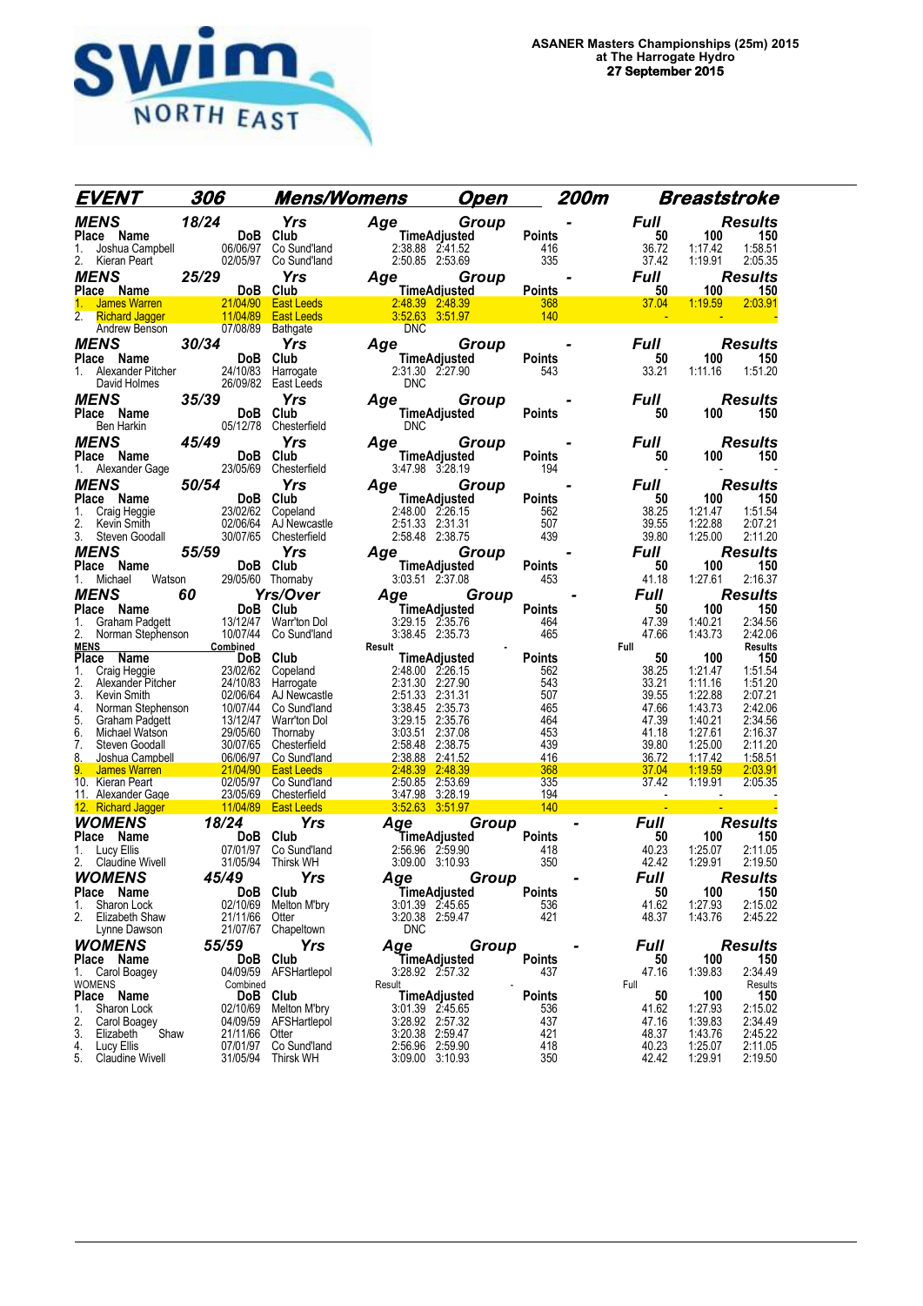

| EVENT                                                | 306                                                   | <b>Mens/Womens</b>                           |                                        | <u>Open</u> | 200m                 |                   | <b>Breaststroke</b>                      |
|------------------------------------------------------|-------------------------------------------------------|----------------------------------------------|----------------------------------------|-------------|----------------------|-------------------|------------------------------------------|
| <b>MENS</b>                                          | 18/24                                                 | <b>Yrs</b>                                   | Age                                    | Group       |                      | Full              | <b>Results</b>                           |
| Place Name                                           |                                                       | DoB Club                                     | TimeAdjusted                           |             | <b>Points</b>        | 50                | 100<br>150                               |
| 1.                                                   | Joshua Campbell 06/06/97 Co Sund'land                 |                                              | 2:38.88 2:41.52                        |             | 416                  | 36.72             | 1:17.42<br>1:58.51                       |
| 2.<br>Kieran Peart                                   |                                                       | 02/05/97 Co Sund'land                        | 2:50.85 2:53.69                        |             | 335                  | 37.42             | 1:19.91<br>2:05.35                       |
| <b>MENS</b>                                          | 25/29<br>$\overline{D}$ DoB Club                      | <b>Yrs</b>                                   | Age                                    | Group       | Points               | Full<br>50        | <b>Results</b><br>100<br>150             |
| Place Name<br><b>James Warren</b>                    |                                                       | 21/04/90 East Leeds                          | TimeAdjusted<br>2:48.39 2:48.39        |             | 368                  | 37.04             | 1:19.59<br>2:03.91                       |
| 2. Richard Jagger                                    | 11/04/89                                              | <b>East Leeds</b>                            |                                        |             | 140                  |                   |                                          |
| Andrew Benson                                        | 07/08/89 Bathgate                                     |                                              | <b>DNC</b>                             |             |                      |                   |                                          |
| <b>MENS</b>                                          | 30/34                                                 | <b>Yrs</b>                                   | Age                                    | Group       |                      | Full              | <b>Results</b>                           |
| Place Name                                           | <b>DoB</b><br>24/10/83                                | Club                                         | <b>TimeAdjusted</b><br>2:31.30 2:27.90 |             | <b>Points</b>        | 50                | 100<br>150                               |
| 1. Alexander Pitcher<br>David Holmes<br>David Holmes |                                                       | Harrogate<br>26/09/82 East Leeds             | <b>DNC</b>                             |             | 543                  | 33.21             | 1:51.20<br>1:11.16                       |
| <b>MENS</b>                                          | 35/39                                                 | <b>Yrs</b>                                   | Age Group                              |             |                      | Full              | <b>Results</b>                           |
| Place Name                                           |                                                       | DoB Club                                     | <b>TimeAdjusted</b>                    |             | <b>Points</b>        | 50                | 150<br>100                               |
| Ben Harkin                                           |                                                       | 05/12/78 Chesterfield                        | <b>DNC</b>                             |             |                      |                   |                                          |
| <b>MENS</b>                                          | 45/49                                                 | Yrs                                          | Age                                    | Group       |                      | <b>Full</b>       | <b>Results</b>                           |
| Place Name                                           |                                                       | DoB Club                                     | TimeAdjusted                           |             | <b>Points</b>        | 50                | 150<br>100                               |
| 1. Alexander Gage                                    | 23/05/69 Chesterfield                                 |                                              | 3:47.98 3:28.19                        |             | 194                  |                   |                                          |
| <b>MENS</b><br>Place Name                            | 50/54                                                 | <b>Yrs</b><br>DoB Club                       | Age Group<br>TimeAdjusted              |             | <b>Points</b>        | Full<br>50        | <b>Results</b><br>150<br>100             |
| Craig Heggie<br>1.                                   |                                                       |                                              | 2:48.00 2:26.15                        |             | 562                  | 38.25             | 1:21.47<br>1:51.54                       |
| 2.<br>Kevin Smith                                    | 23/02/62 Copeland<br>02/06/64 AJ Newca                | 02/06/64 AJ Newcastle                        | 2:51.33 2:31.31                        |             | 507                  | 39.55             | 1:22.88<br>2:07.21                       |
| 3.<br>Steven Goodall                                 | 30/07/65                                              | Chesterfield                                 | 2:58.48 2:38.75                        |             | 439                  | 39.80             | 1:25.00<br>2:11.20                       |
| <b>MENS</b>                                          | 55/59                                                 | <b>Yrs</b>                                   | Age                                    | Group       |                      | <b>Full</b>       | <b>Results</b>                           |
| Place Name                                           |                                                       | DoB Club<br>29/05/60 Thornaby                | TimeAdjusted<br>3:03.51 2:37.08        |             | <b>Points</b><br>453 | 50<br>41.18       | 100<br>150<br>1:27.61<br>2:16.37         |
| Michael<br>1.                                        | Watson                                                |                                              |                                        |             |                      |                   |                                          |
| <b>MENS</b><br>Place Name                            | 60                                                    | <b>Yrs/Over</b><br>DoB Club                  | <b>TimeAdjusted</b>                    | Age Group   | <b>Points</b>        | <b>Full</b><br>50 | <b>Results</b><br>100<br>150             |
| Graham Padgett<br>1.                                 | 13/12/47                                              | Warr'ton Dol                                 | 3:29.15 2:35.76                        |             | 464                  | 47.39             | 1:40.21<br>2:34.56                       |
| 2.<br>Norman Stephenson                              | 10/07/44                                              | Co Sund'land                                 | 3:38.45 2:35.73                        |             | 465                  | 47.66             | 1:43.73<br>2:42.06                       |
| <b>MENS</b><br>Place<br>Name                         | Combined                                              | DoB Club                                     | Result<br>TimeAdjusted                 |             | Points               | Full<br>50        | <b>Results</b><br>100<br>150             |
| 1.<br>Craig Heggie                                   |                                                       | 23/02/62 Copeland                            | 2:48.00 2:26.15                        |             | 562                  | 38.25             | 1:21.47<br>1:51.54                       |
| 2.<br>Alexander Pitcher                              | 24/10/83                                              | Harrogate                                    | 2:31.30 2:27.90                        |             | 543                  | 33.21             | 1:11.16<br>1:51.20                       |
| 3.<br>Kevin Smith<br>Norman Stephenson               | 10/07/44                                              | 02/06/64 AJ Newcastle                        | 2:51.33 2:31.31<br>3:38.45             | 2:35.73     | 507<br>465           | 39.55<br>47.66    | 1:22.88<br>2:07.21<br>1:43.73<br>2:42.06 |
| 4.<br>5.<br>Graham Padgett                           | 13/12/47                                              | Co Sund'land<br>Warr'ton Dol                 | 3:29.15 2:35.76                        |             | 464                  | 47.39             | 1:40.21<br>2:34.56                       |
| 6.<br>Michael Watson                                 | 29/05/60                                              | Thornaby                                     | 3:03.51                                | 2:37.08     | 453                  | 41.18             | 1:27.61<br>2:16.37                       |
| 7.<br>Steven Goodall                                 | 30/07/65                                              | Chesterfield                                 | 2:58.48                                | 2:38.75     | 439                  | 39.80             | 1:25.00<br>2:11.20                       |
| 8.<br>Joshua Campbell<br>9.<br><b>James Warren</b>   |                                                       | 06/06/97 Co Sund'land<br>21/04/90 East Leeds | 2:38.88 2:41.52<br>2:48.39             | 2:48.39     | 416<br>368           | 36.72<br>37.04    | 1:17.42<br>1:58.51<br>1:19.59<br>2:03.91 |
| 10. Kieran Peart                                     |                                                       | 02/05/97 Co Sund'land                        | 2:50.85 2:53.69                        |             | 335                  | 37.42             | 1:19.91<br>2:05.35                       |
| 11. Alexander Gage                                   | 23/05/69 Chesterfield<br>11/04/89 East Leeds          | 23/05/69 Chesterfield                        | 3:47.98 3:28.19                        |             | 194                  |                   |                                          |
| 12. Richard Jagger                                   |                                                       |                                              | $3.5263$ $3.51.97$                     |             | 140                  |                   |                                          |
| <b>WOMENS</b><br>Place Name                          | 18/24                                                 | Yrs                                          | Age<br>TimeAdjusted                    | Group       | Points               | <b>Full</b><br>50 | <b>Results</b><br>100<br>150             |
| 1.<br>Lucy Ellis                                     | <b>DoB Club</b><br>07/01/97 Co Sur<br>31/05/94 Thirsk | 07/01/97 Co Sund'land                        | 2:56.96 2:59.90                        |             | 418                  | 40.23             | 2:11.05<br>1:25.07                       |
| 2. Claudine Wivell                                   |                                                       | 31/05/94 Thirsk WH                           | 3:09.00 3:10.93                        |             | 350                  | 42.42             | 1:29.91<br>2:19.50                       |
| <b>WOMENS</b>                                        | 45/49                                                 | <b>Yrs</b>                                   | Age                                    | Group       |                      | Full              | <b>Results</b>                           |
| Place Name                                           |                                                       | DoB Club                                     | TimeAdjusted                           |             | <b>Points</b>        | 50                | 100<br>150                               |
| 1.<br>Sharon Lock<br>2.<br>Elizabeth Shaw            | 02/10/69<br>21/11/66                                  | Melton M'bry<br>Otter                        | 3:01.39 2:45.65<br>3:20.38 2:59.47     |             | 536<br>421           | 41.62<br>48.37    | 1:27.93<br>2:15.02<br>1:43.76<br>2:45.22 |
| Lynne Dawson                                         | 21/07/67                                              | Chapeltown                                   | <b>DNC</b>                             |             |                      |                   |                                          |
| <b>WOMENS</b>                                        | 55/59                                                 | Yrs                                          | Aqe                                    | Group       |                      | Full              | <b>Results</b>                           |
| Place Name                                           |                                                       | DoB Club                                     | TimeAdjusted                           |             | <b>Points</b>        | 50                | 150<br>100                               |
| Carol Boagey<br>1.                                   | 04/09/59                                              | AFSHartlepol                                 | 3:28.92 2:57.32                        |             | 437                  | 47.16             | 2:34.49<br>1:39.83                       |
| WOMENS<br>Place Name                                 | Combined                                              | DoB Club                                     | Result<br><b>TimeAdjusted</b>          |             | <b>Points</b>        | Full<br>50        | Results<br>150<br>100                    |
| Sharon Lock<br>1.                                    | 02/10/69                                              | Melton M'bry                                 | 3:01.39 2:45.65                        |             | 536                  | 41.62             | 1:27.93<br>2:15.02                       |
| 2.<br>Carol Boagey<br>Shaw                           |                                                       | 04/09/59 AFSHartlepol                        | 3:28.92 2:57.32                        |             | 437                  | 47.16             | 1:39.83<br>2:34.49                       |
| 3.<br>Elizabeth<br>4.<br>Lucy Ellis                  | 21/11/66 Otter<br>07/01/97                            | Co Sund'land                                 | 3:20.38 2:59.47<br>2:56.96 2:59.90     |             | 421<br>418           | 48.37<br>40.23    | 1:43.76<br>2:45.22<br>1:25.07<br>2:11.05 |
| 5. Claudine Wivell                                   | 31/05/94                                              | Thirsk WH                                    | 3:09.00 3:10.93                        |             | 350                  | 42.42             | 1:29.91<br>2:19.50                       |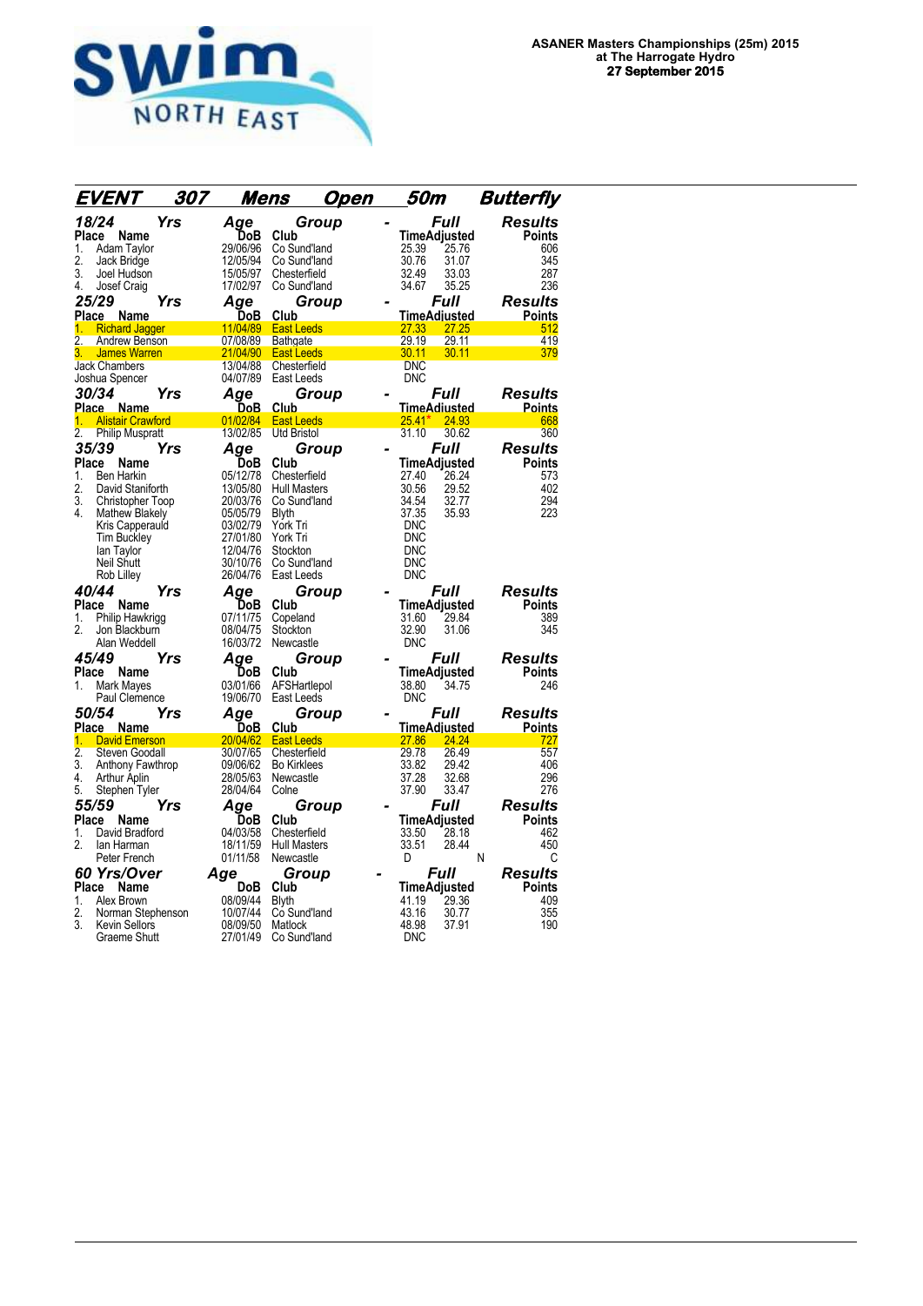

| EVENT<br>307                                          |     | <u>Mens</u><br><u>Open</u> |                                  |  | 50m                             |                    | <b>Butterfly</b>                |  |  |
|-------------------------------------------------------|-----|----------------------------|----------------------------------|--|---------------------------------|--------------------|---------------------------------|--|--|
| 18/24<br>Place<br>Name                                | Yrs | Age<br>DoB                 | Group<br>Club                    |  | TimeAdjusted                    | Full               | <b>Results</b><br><b>Points</b> |  |  |
| 1.<br>Adam Taylor                                     |     | 29/06/96                   | Co Sund'land                     |  | 25.39                           | 25.76              | 606                             |  |  |
| 2.<br>Jack Bridge                                     |     | 12/05/94                   | Co Sund'land                     |  | 30.76                           | 31.07              | 345                             |  |  |
| 3.<br>Joel Hudson                                     |     | 15/05/97                   | Chesterfield                     |  | 32.49                           | 33.03              | 287                             |  |  |
| 4.<br>Josef Craig                                     |     | 17/02/97                   | Co Sund'land                     |  | 34.67                           | 35.25              | 236                             |  |  |
| 25/29                                                 | Yrs | Age                        | Group                            |  |                                 | Full               | Results                         |  |  |
| Place<br><b>Name</b><br>1. Richard Jagger             |     | DoB                        | Club<br>11/04/89 East Leeds      |  | TimeAdjusted<br>27.33           | 27.25              | <b>Points</b><br>512            |  |  |
| $\overline{2}$ .<br>Andrew Benson                     |     | 07/08/89                   | Bathgate                         |  | 29.19                           | 29.11              | 419                             |  |  |
| 3.<br><b>James Warren</b>                             |     | 21/04/90                   | <b>East Leeds</b>                |  | 30.11                           | 30.11              | 379                             |  |  |
| <b>Jack Chambers</b>                                  |     | 13/04/88                   | Chesterfield                     |  | <b>DNC</b>                      |                    |                                 |  |  |
| Joshua Spencer                                        |     | 04/07/89                   | East Leeds                       |  | <b>DNC</b>                      |                    |                                 |  |  |
| <i><b>30/34</b></i>                                   | Yrs | Aqe                        | Group                            |  |                                 | <i><b>Full</b></i> | Results                         |  |  |
| Place Name<br><b>Alistair Crawford</b><br>1.          |     | DoB.<br>01/02/84           | <b>Club</b><br><b>East Leeds</b> |  | <u>TimeAdiusted</u><br>$25.41*$ | 24.93              | <b>Points</b><br>668            |  |  |
| 2.<br>Philip Muspratt                                 |     | 13/02/85                   | <b>Utd Bristol</b>               |  | 31.10                           | 30.62              | 360                             |  |  |
| 35/39                                                 | Yrs | Aqe                        | Group                            |  |                                 | Full               | <b>Results</b>                  |  |  |
| Place<br>Name                                         |     | DoB                        | Club                             |  | TimeAdjusted                    |                    | <b>Points</b>                   |  |  |
| 1.<br><b>Ben Harkin</b>                               |     | 05/12/78                   | Chesterfield                     |  | 27.40                           | 26.24              | 573                             |  |  |
| 2.<br>David Staniforth                                |     | 13/05/80                   | <b>Hull Masters</b>              |  | 30.56                           | 29.52              | 402                             |  |  |
| $\overline{3}$ .<br>Christopher Toop                  |     | 20/03/76                   | Co Sund'land                     |  | 34.54<br>37.35                  | 32.77              | 294                             |  |  |
| 4.<br><b>Mathew Blakely</b><br>Kris Capperauld        |     | 05/05/79<br>03/02/79       | Blyth<br>York Tri                |  | <b>DNC</b>                      | 35.93              | 223                             |  |  |
| Tim Buckley                                           |     | 27/01/80                   | York Tri                         |  | <b>DNC</b>                      |                    |                                 |  |  |
| lan Taylor                                            |     | 12/04/76                   | Stockton                         |  | <b>DNC</b>                      |                    |                                 |  |  |
| <b>Neil Shutt</b>                                     |     | 30/10/76                   | Co Sund'land                     |  | <b>DNC</b>                      |                    |                                 |  |  |
| Rob Lilley                                            |     | 26/04/76                   | East Leeds                       |  | <b>DNC</b>                      |                    |                                 |  |  |
| 40/44                                                 | Yrs | Age                        | Group                            |  |                                 | Full               | Results                         |  |  |
| Place<br><b>Name</b><br>Philip Hawkrigg<br>1.         |     | DoB<br>07/11/75            | Club<br>Copeland                 |  | TimeAdjusted<br>31.60           | 29.84              | <b>Points</b><br>389            |  |  |
| 2.<br>Jon Blackburn                                   |     | 08/04/75                   | Stockton                         |  | 32.90                           | 31.06              | 345                             |  |  |
| Alan Weddell                                          |     | 16/03/72                   | Newcastle                        |  | <b>DNC</b>                      |                    |                                 |  |  |
| 45/49                                                 | Yrs | Age                        | Group                            |  |                                 | Full               | Results                         |  |  |
| Place<br>Name                                         |     | DoB                        | Club                             |  | TimeAdjusted                    |                    | <b>Points</b>                   |  |  |
| 1.<br>Mark Mayes                                      |     | 03/01/66                   | AFSHartlepol                     |  | 38.80                           | 34.75              | 246                             |  |  |
| Paul Clemence                                         |     | 19/06/70                   | East Leeds                       |  | <b>DNC</b>                      |                    |                                 |  |  |
| <i><b>50/54</b></i>                                   | Yrs | Age                        | Group                            |  |                                 | <i><b>Full</b></i> | Results                         |  |  |
| Place Name<br><b>David Emerson</b><br>1.              |     | DoB<br>20/04/62            | Club<br><b>East Leeds</b>        |  | TimeAdiusted<br>27.86           | 24.24              | <b>Points</b><br>727            |  |  |
| $\overline{2}$ .<br>Steven Goodall                    |     | 30/07/65                   | Chesterfield                     |  | 29.78                           | 26.49              | 557                             |  |  |
| 3.<br>Anthony Fawthrop                                |     | 09/06/62                   | <b>Bo Kirklees</b>               |  | 33.82                           | 29.42              | 406                             |  |  |
| 4.<br><b>Arthur Aplin</b>                             |     | 28/05/63                   | Newcastle                        |  | 37.28                           | 32.68              | 296                             |  |  |
| 5.<br>Stephen Tyler                                   |     | 28/04/64                   | Colne                            |  | 37.90                           | 33.47              | 276                             |  |  |
| 55/59                                                 | Yrs | Age                        | Group                            |  |                                 | Full               | Results                         |  |  |
| Place<br>Name<br>David Bradford<br>1.                 |     | DoB<br>04/03/58            | Club<br>Chesterfield             |  | TimeAdjusted<br>33.50           | 28.18              | <b>Points</b><br>462            |  |  |
| 2.<br>lan Harman                                      |     | 18/11/59                   | <b>Hull Masters</b>              |  | 33.51                           | 28.44              | 450                             |  |  |
| Peter French                                          |     | 01/11/58                   | Newcastle                        |  | D                               |                    | N<br>C                          |  |  |
| 60 Yrs/Over                                           |     | Age                        | Group                            |  |                                 | Full               | Results                         |  |  |
| Place Name                                            |     | <b>DoB</b>                 | Club                             |  | TimeAdjusted                    |                    | Points                          |  |  |
| Alex Brown<br>1.                                      |     | 08/09/44                   | <b>Blyth</b>                     |  | 41.19                           | 29.36              | 409                             |  |  |
| 2.<br>Norman Stephenson<br>3.<br><b>Kevin Sellors</b> |     | 10/07/44<br>08/09/50       | Co Sund'land<br>Matlock          |  | 43.16<br>48.98                  | 30.77<br>37.91     | 355<br>190                      |  |  |
| <b>Graeme Shutt</b>                                   |     | 27/01/49                   | Co Sund'land                     |  | <b>DNC</b>                      |                    |                                 |  |  |
|                                                       |     |                            |                                  |  |                                 |                    |                                 |  |  |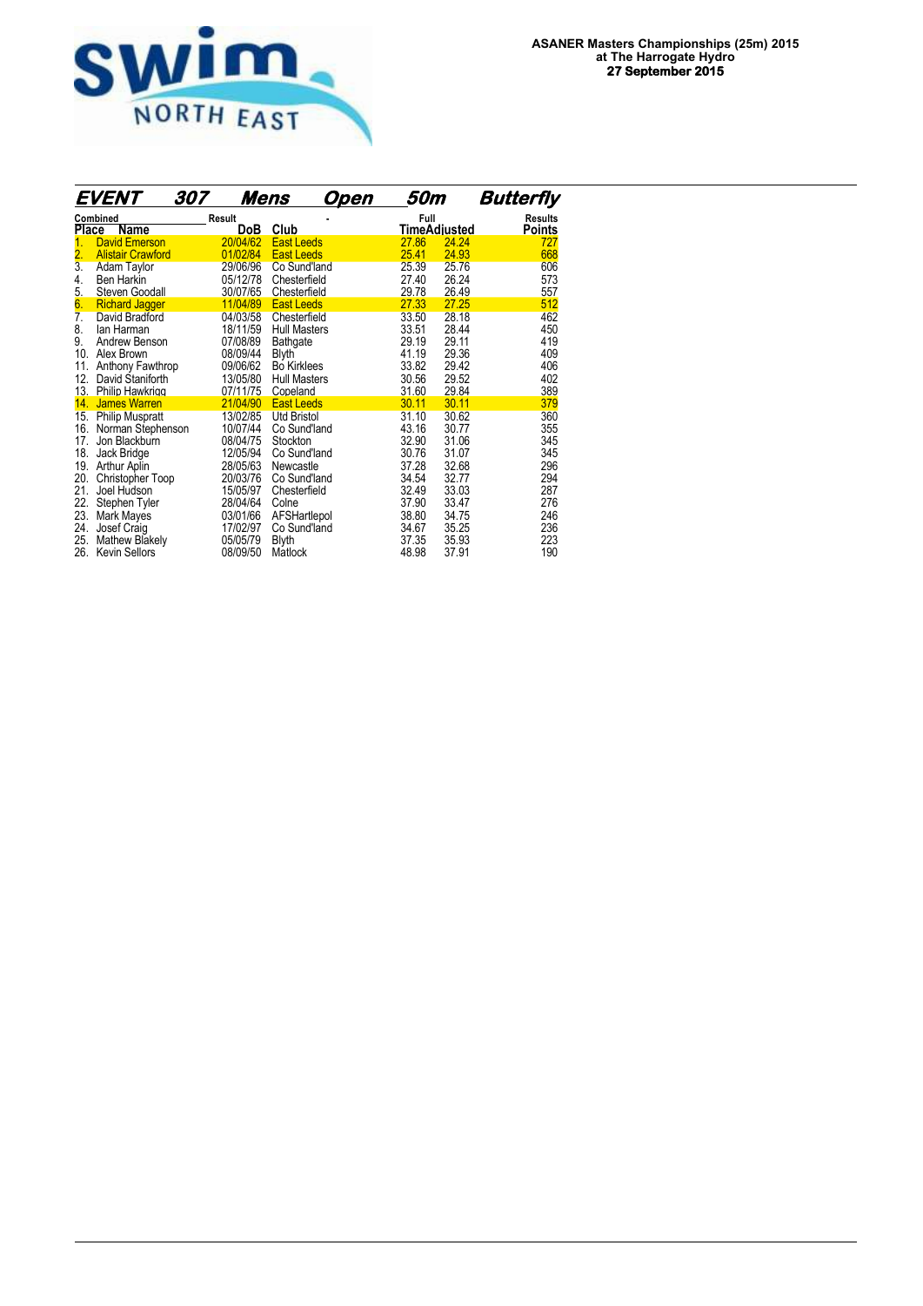

|                              | <b>EVENT</b>                                                 | 307 | <u>Mens</u>                      |                                                      | Open | 50m                     |                         | <b>Butterfly</b>                |
|------------------------------|--------------------------------------------------------------|-----|----------------------------------|------------------------------------------------------|------|-------------------------|-------------------------|---------------------------------|
| <b>Place</b>                 | Combined<br>Name                                             |     | Result<br>DoB                    | Club                                                 |      | Full                    | TimeAdjusted            | <b>Results</b><br><b>Points</b> |
| 2.                           | <b>David Emerson</b><br><b>Alistair Crawford</b>             |     | 20/04/62<br>01/02/84             | <b>East Leeds</b><br><b>East Leeds</b>               |      | 27.86<br>25.41          | 24.24<br>24.93          | 727<br>668                      |
| $\overline{3}$ .<br>4.       | Adam Taylor<br>Ben Harkin                                    |     | 29/06/96<br>05/12/78             | Co Sund'land<br>Chesterfield                         |      | 25.39<br>27.40          | 25.76<br>26.24          | 606<br>573                      |
| 5.<br>6.                     | Steven Goodall<br><b>Richard Jagger</b>                      |     | 30/07/65<br>11/04/89             | Chesterfield<br>East Leeds                           |      | 29.78<br>27.33          | 26.49<br>27.25          | 557<br>512                      |
| $\overline{7}$ .<br>8.<br>9. | David Bradford<br>lan Harman<br>Andrew Benson                |     | 04/03/58<br>18/11/59<br>07/08/89 | Chesterfield<br><b>Hull Masters</b><br>Bathgate      |      | 33.50<br>33.51<br>29.19 | 28.18<br>28.44<br>29.11 | 462<br>450<br>419               |
| 10.<br>11.                   | Alex Brown<br>Anthony Fawthrop                               |     | 08/09/44<br>09/06/62             | <b>Blyth</b><br><b>Bo</b> Kirklees                   |      | 41.19<br>33.82          | 29.36<br>29.42          | 409<br>406                      |
| 12.<br>13.<br>14.            | David Staniforth<br>Philip Hawkrigg<br><b>James Warren</b>   |     | 13/05/80<br>07/11/75<br>21/04/90 | <b>Hull Masters</b><br>Copeland<br><b>East Leeds</b> |      | 30.56<br>31.60<br>30.11 | 29.52<br>29.84<br>30.11 | 402<br>389<br>379               |
| 15.<br>16.<br>17.            | <b>Philip Muspratt</b><br>Norman Stephenson<br>Jon Blackburn |     | 13/02/85<br>10/07/44<br>08/04/75 | <b>Utd Bristol</b><br>Co Sund'land<br>Stockton       |      | 31.10<br>43.16<br>32.90 | 30.62<br>30.77<br>31.06 | 360<br>355<br>345               |
| 18.<br>19.<br>20.            | Jack Bridge<br>Arthur Aplin<br>Christopher Toop              |     | 12/05/94<br>28/05/63<br>20/03/76 | Co Sund'land<br>Newcastle<br>Co Sund'land            |      | 30.76<br>37.28<br>34.54 | 31.07<br>32.68<br>32.77 | 345<br>296<br>294               |
| 21.<br>22.<br>23.            | Joel Hudson<br>Stephen Tyler<br>Mark Mayes                   |     | 15/05/97<br>28/04/64<br>03/01/66 | Chesterfield<br>Colne<br>AFSHartlepol                |      | 32.49<br>37.90<br>38.80 | 33.03<br>33.47<br>34.75 | 287<br>276<br>246               |
| 24.<br>25.<br>26.            | Josef Craig<br><b>Mathew Blakely</b><br><b>Kevin Sellors</b> |     | 17/02/97<br>05/05/79<br>08/09/50 | Co Sund'land<br>Blyth<br>Matlock                     |      | 34.67<br>37.35<br>48.98 | 35.25<br>35.93<br>37.91 | 236<br>223<br>190               |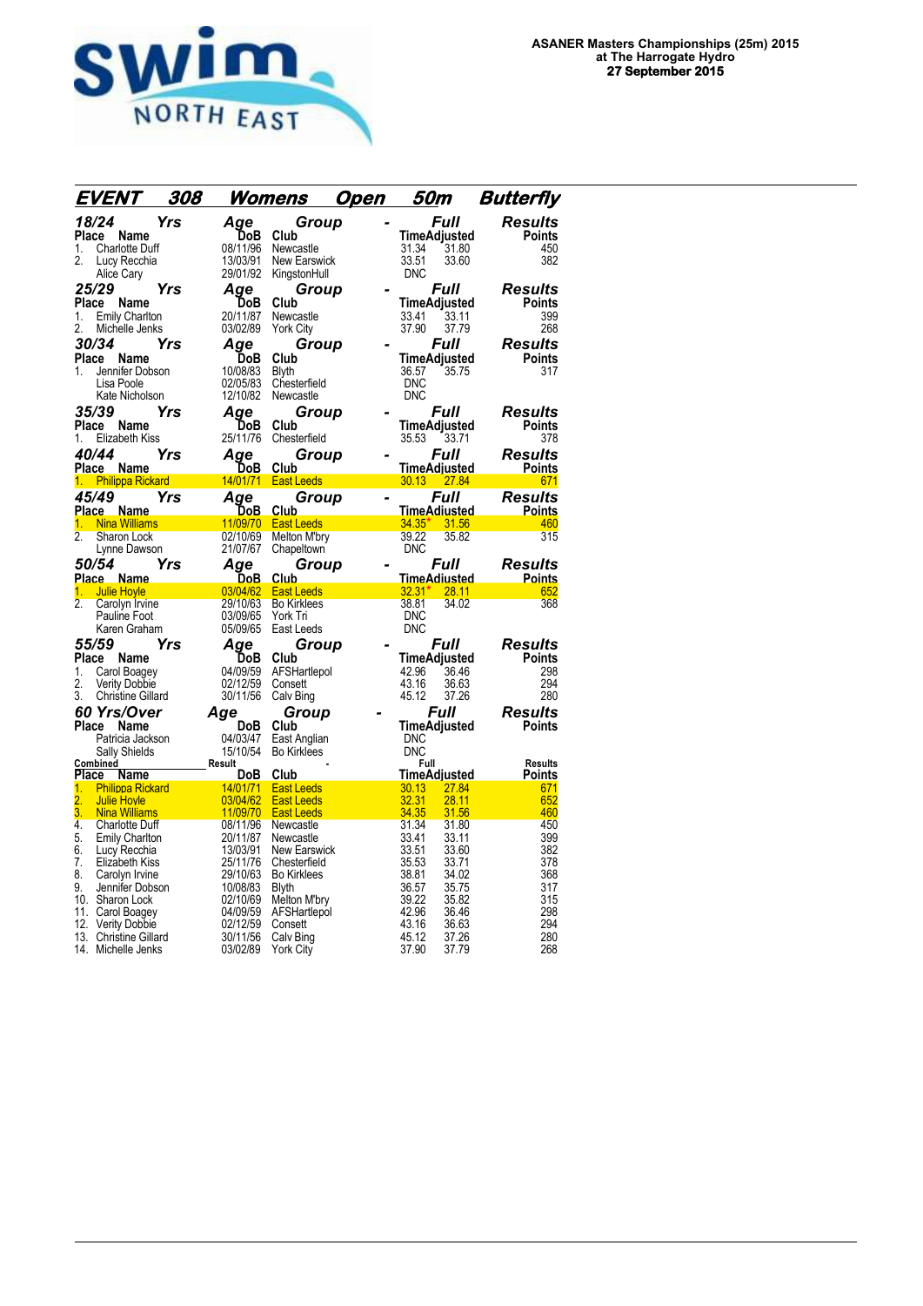

| EVENT                                                | 308 |                      | <u>Womens</u>                | Open | 50m            |                             | <b>Butterfly</b>         |
|------------------------------------------------------|-----|----------------------|------------------------------|------|----------------|-----------------------------|--------------------------|
| 18/24                                                | Yrs | Aqe                  | Group                        |      |                | Full                        | <b>Results</b>           |
| Place<br>Name                                        |     | DoB                  | Club                         |      | 31.34          | TimeAdjusted<br>31.80       | <b>Points</b>            |
| <b>Charlotte Duff</b><br>1.<br>2.<br>Lucy Recchia    |     | 08/11/96<br>13/03/91 | Newcastle<br>New Earswick    |      | 33.51          | 33.60                       | 450<br>382               |
| Alice Cary                                           |     | 29/01/92             | KingstonHull                 |      | <b>DNC</b>     |                             |                          |
| 25/29                                                | Yrs | Aqe                  | Group                        |      |                | <i><b>Full</b></i>          | Results                  |
| Place Name                                           |     | DoB                  | Club                         |      |                | TimeAdjusted                | <b>Points</b>            |
| 1.<br><b>Emily Charlton</b>                          |     | 20/11/87             | Newcastle                    |      | 33.41          | 33.11                       | 399                      |
| 2.<br>Michelle Jenks                                 |     | 03/02/89             | <b>York City</b>             |      | 37.90          | 37.79                       | 268                      |
| 30/34                                                | Yrs | Age                  | Group                        |      |                | Full                        | Results                  |
| Place Name<br>Jennifer Dobson<br>1.                  |     | DoB<br>10/08/83      | Club<br><b>Blyth</b>         |      | 36.57          | TimeAdjusted<br>35.75       | <b>Points</b><br>317     |
| Lisa Poole                                           |     | 02/05/83             | Chesterfield                 |      | <b>DNC</b>     |                             |                          |
| Kate Nicholson                                       |     | 12/10/82             | Newcastle                    |      | <b>DNC</b>     |                             |                          |
| 35/39                                                | Yrs | Age                  | Group                        |      |                | Full                        | Results                  |
| Place Name                                           |     | <b>DoB</b>           | Club                         |      |                | TimeAdjusted                | <b>Points</b>            |
| Elizabeth Kiss<br>1.                                 |     | 25/11/76             | Chesterfield                 |      | 35.53          | 33.71                       | 378                      |
| 40/44                                                | Yrs | Aqe                  | Group                        |      |                | Full                        | Results                  |
| Place Name<br>1. Philippa Rickard                    |     | DoB                  | Club<br>14/01/71 East Leeds  |      |                | TimeAdjusted<br>30.13 27.84 | <b>Points</b><br>671     |
| 45/49                                                | Yrs | Age                  | Group                        |      |                | Full                        | Results                  |
| Place Name                                           |     | DoB                  | Club                         |      |                | <u>TimeAdiusted</u>         | <b>Points</b>            |
| 1. Nina Williams                                     |     | 11/09/70             | <b>East Leeds</b>            |      | $34.35*$       | 31.56                       | 460                      |
| $\overline{2}$<br>Sharon Lock                        |     | 02/10/69             | <b>Melton M'bry</b>          |      | 39.22          | 35.82                       | 315                      |
| Lynne Dawson                                         |     | 21/07/67             | Chapeltown                   |      | <b>DNC</b>     |                             |                          |
| <i><b>50/54</b></i>                                  | Yrs | Aqe                  | Group                        |      |                | Full                        | <b>Results</b>           |
| Place Name<br><b>Julie Hovle</b><br>1.               |     | DoB.<br>03/04/62     | Club<br><b>East Leeds</b>    |      | $32.31*$       | TimeAdiusted<br>28.11       | <b>Points</b><br>652     |
| $\overline{2}$ .<br>Carolyn Irvine                   |     | 29/10/63             | <b>Bo Kirklees</b>           |      | 38.81          | 34.02                       | 368                      |
| Pauline Foot                                         |     | 03/09/65             | York Tri                     |      | <b>DNC</b>     |                             |                          |
| Karen Graham                                         |     | 05/09/65             | East Leeds                   |      | <b>DNC</b>     |                             |                          |
| 55/59                                                | Yrs | Aqe                  | Group                        |      |                | Full                        | Results                  |
| Place<br>Name                                        |     | DoB                  | Club                         |      |                | TimeAdjusted                | <b>Points</b>            |
| 1.<br>Carol Boagey<br>2.<br>Verity Dobbie            |     | 04/09/59<br>02/12/59 | AFSHartlepol<br>Consett      |      | 42.96<br>43.16 | 36.46<br>36.63              | 298<br>294               |
| 3.<br><b>Christine Gillard</b>                       |     | 30/11/56             | Calv Bing                    |      | 45.12          | 37.26                       | 280                      |
| <b>60 Yrs/Over</b>                                   |     | Age                  | Group                        |      |                | Full                        | Results                  |
| Place<br>Name                                        |     | DoB                  | Club                         |      |                | TimeAdjusted                | Points                   |
| Patricia Jackson                                     |     | 04/03/47             | East Anglian                 |      | <b>DNC</b>     |                             |                          |
| Sally Shields                                        |     | 15/10/54             | <b>Bo Kirklees</b>           |      | <b>DNC</b>     |                             |                          |
| Combined<br>Place<br>Name                            |     | Result<br>DoB        | Club                         |      | Full           | TimeAdjusted                | <b>Results</b><br>Points |
| <b>Philippa Rickard</b><br>1.                        |     | 14/01/71             | <b>East Leeds</b>            |      | 30.13          | 27.84                       | 671                      |
| 2.<br><b>Julie Hovle</b>                             |     | 03/04/62             | <b>East Leeds</b>            |      | 32.31          | 28.11                       | 652                      |
| 3.<br><b>Nina Williams</b><br>4.                     |     | 11/09/70<br>08/11/96 | <b>East Leeds</b>            |      | 34.35<br>31.34 | 31.56<br>31.80              | 460<br>450               |
| <b>Charlotte Duff</b><br>5.<br><b>Emily Charlton</b> |     | 20/11/87             | Newcastle<br>Newcastle       |      | 33.41          | 33.11                       | 399                      |
| 6.<br>Lucy Recchia                                   |     | 13/03/91             | New Earswick                 |      | 33.51          | 33.60                       | 382                      |
| 7.<br>Elizabeth Kiss                                 |     | 25/11/76             | Chesterfield                 |      | 35.53          | 33.71                       | 378                      |
| 8.<br>Carolyn Irvine                                 |     | 29/10/63             | <b>Bo Kirklees</b>           |      | 38.81          | 34.02                       | 368                      |
| 9.<br>Jennifer Dobson<br>10. Sharon Lock             |     | 10/08/83<br>02/10/69 | <b>Blyth</b><br>Melton M'bry |      | 36.57<br>39.22 | 35.75<br>35.82              | 317<br>315               |
| 11. Carol Boagey                                     |     | 04/09/59             | AFSHartlepol                 |      | 42.96          | 36.46                       | 298                      |
| 12.<br><b>Verity Dobbie</b>                          |     | 02/12/59             | Consett                      |      | 43.16          | 36.63                       | 294                      |
| 13. Christine Gillard                                |     | 30/11/56             | Calv Bing                    |      | 45.12          | 37.26                       | 280                      |
| 14. Michelle Jenks                                   |     | 03/02/89             | <b>York City</b>             |      | 37.90          | 37.79                       | 268                      |